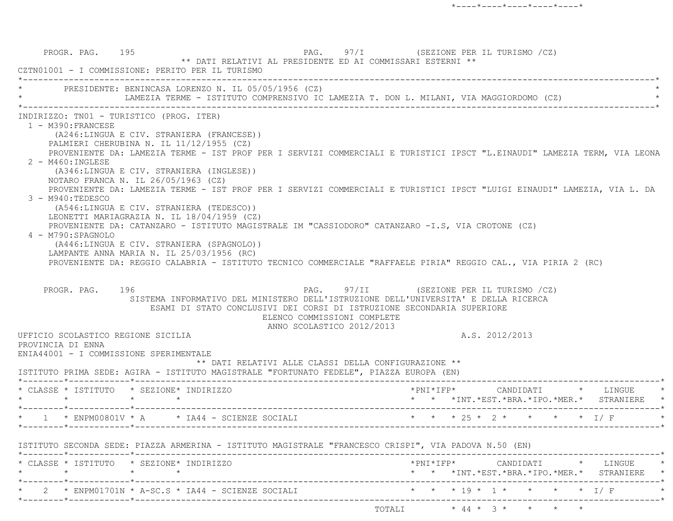PROGR. PAG. 195 221 PAG. 97/I (SEZIONE PER IL TURISMO /CZ) \*\* DATI RELATIVI AL PRESIDENTE ED AI COMMISSARI ESTERNI \*\* CZTN01001 - I COMMISSIONE: PERITO PER IL TURISMO \*----------------------------------------------------------------------------------------------------------------------------\*PRESIDENTE: BENINCASA LORENZO N. IL 05/05/1956 (CZ) LAMEZIA TERME - ISTITUTO COMPRENSIVO IC LAMEZIA T. DON L. MILANI, VIA MAGGIORDOMO (CZ) \*----------------------------------------------------------------------------------------------------------------------------\* INDIRIZZO: TN01 - TURISTICO (PROG. ITER) 1 - M390:FRANCESE (A246:LINGUA E CIV. STRANIERA (FRANCESE)) PALMIERI CHERUBINA N. IL 11/12/1955 (CZ) PROVENIENTE DA: LAMEZIA TERME - IST PROF PER I SERVIZI COMMERCIALI E TURISTICI IPSCT "L.EINAUDI" LAMEZIA TERM, VIA LEONA 2 - M460:INGLESE (A346:LINGUA E CIV. STRANIERA (INGLESE)) NOTARO FRANCA N. IL 26/05/1963 (CZ) PROVENIENTE DA: LAMEZIA TERME - IST PROF PER I SERVIZI COMMERCIALI E TURISTICI IPSCT "LUIGI EINAUDI" LAMEZIA, VIA L. D A 3 - M940:TEDESCO (A546:LINGUA E CIV. STRANIERA (TEDESCO)) LEONETTI MARIAGRAZIA N. IL 18/04/1959 (CZ) PROVENIENTE DA: CATANZARO - ISTITUTO MAGISTRALE IM "CASSIODORO" CATANZARO -I.S, VIA CROTONE (CZ) 4 - M790:SPAGNOLO (A446:LINGUA E CIV. STRANIERA (SPAGNOLO)) LAMPANTE ANNA MARIA N. IL 25/03/1956 (RC) PROVENIENTE DA: REGGIO CALABRIA - ISTITUTO TECNICO COMMERCIALE "RAFFAELE PIRIA" REGGIO CAL., VIA PIRIA 2 (RC) PROGR. PAG. 196 CALL 196 PAG. 97/II (SEZIONE PER IL TURISMO /CZ) SISTEMA INFORMATIVO DEL MINISTERO DELL'ISTRUZIONE DELL'UNIVERSITA' E DELLA RICERCA ESAMI DI STATO CONCLUSIVI DEI CORSI DI ISTRUZIONE SECONDARIA SUPERIORE ELENCO COMMISSIONI COMPLETE ANNO SCOLASTICO 2012/2013 UFFICIO SCOLASTICO REGIONE SICILIA A.S. 2012/2013 PROVINCIA DI ENNA ENIA44001 - I COMMISSIONE SPERIMENTALE \*\* DATI RELATIVI ALLE CLASSI DELLA CONFIGURAZIONE \*\* ISTITUTO PRIMA SEDE: AGIRA - ISTITUTO MAGISTRALE "FORTUNATO FEDELE", PIAZZA EUROPA (EN) \*--------\*------------\*-------------------------------------------------------------------------------------------------------\* \* CLASSE \* ISTITUTO \* SEZIONE\* INDIRIZZO \*PNI\*IFP\* CANDIDATI \* LINGUE \*\* \* \* \* \* \*INT.\*EST.\*ERA.\*IPO.\*MER.\* STRANIERE \*--------\*------------\*-------------------------------------------------------------------------------------------------------\*\* 1 \* ENPM00801V \* A \* IA44 - SCIENZE SOCIALI \* \* \* \* 25 \* 2 \* \* \* \* \* I/ F \*--------\*------------\*-------------------------------------------------------------------------------------------------------\* ISTITUTO SECONDA SEDE: PIAZZA ARMERINA - ISTITUTO MAGISTRALE "FRANCESCO CRISPI", VIA PADOVA N.50 (EN) \*--------\*------------\*-------------------------------------------------------------------------------------------------------\* \* CLASSE \* ISTITUTO \* SEZIONE\* INDIRIZZO \*PNI\*IFP\* CANDIDATI \* LINGUE \* \* \* \* \* \* \* \*INT.\*EST.\*BRA.\*IPO.\*MER.\* STRANIERE \* \*--------\*------------\*-------------------------------------------------------------------------------------------------------\*2 \* ENPM01701N \* A-SC.S \* IA44 - SCIENZE SOCIALI \* \* \* \* \* 19 \* 1 \* \* \* \* \* \* I/ F \*--------\*------------\*-------------------------------------------------------------------------------------------------------\*TOTALI \* 44 \* 3 \* \* \* \*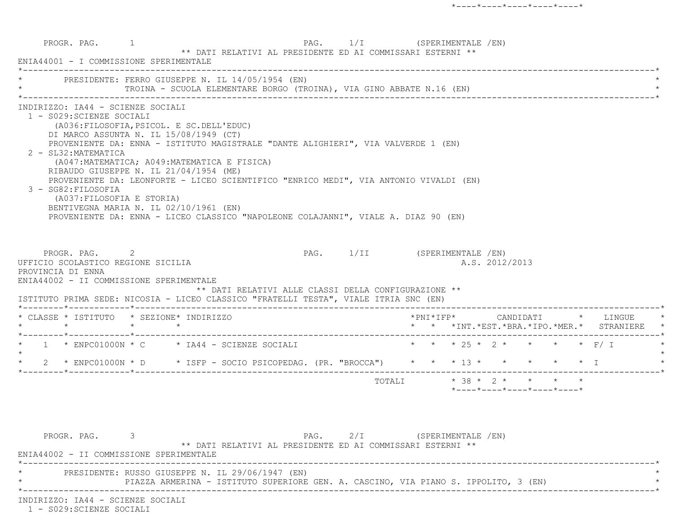PROGR. PAG. 1 PAG. 1/I (SPERIMENTALE /EN) \*\* DATI RELATIVI AL PRESIDENTE ED AI COMMISSARI ESTERNI \*\* ENIA44001 - I COMMISSIONE SPERIMENTALE \*----------------------------------------------------------------------------------------------------------------------------\*PRESIDENTE: FERRO GIUSEPPE N. IL 14/05/1954 (EN) TROINA - SCUOLA ELEMENTARE BORGO (TROINA), VIA GINO ABBATE N.16 (EN) \*----------------------------------------------------------------------------------------------------------------------------\* INDIRIZZO: IA44 - SCIENZE SOCIALI 1 - S029:SCIENZE SOCIALI (A036:FILOSOFIA,PSICOL. E SC.DELL'EDUC) DI MARCO ASSUNTA N. IL 15/08/1949 (CT) PROVENIENTE DA: ENNA - ISTITUTO MAGISTRALE "DANTE ALIGHIERI", VIA VALVERDE 1 (EN) 2 - SL32:MATEMATICA (A047:MATEMATICA; A049:MATEMATICA E FISICA) RIBAUDO GIUSEPPE N. IL 21/04/1954 (ME) PROVENIENTE DA: LEONFORTE - LICEO SCIENTIFICO "ENRICO MEDI", VIA ANTONIO VIVALDI (EN) 3 - SG82:FILOSOFIA (A037:FILOSOFIA E STORIA) BENTIVEGNA MARIA N. IL 02/10/1961 (EN) PROVENIENTE DA: ENNA - LICEO CLASSICO "NAPOLEONE COLAJANNI", VIALE A. DIAZ 90 (EN) PROGR. PAG. 2 2 PAG. 1/II (SPERIMENTALE /EN) UFFICIO SCOLASTICO REGIONE SICILIA AND ALS. 2012/2013 PROVINCIA DI ENNA ENIA44002 - II COMMISSIONE SPERIMENTALE \*\* DATI RELATIVI ALLE CLASSI DELLA CONFIGURAZIONE \*\* ISTITUTO PRIMA SEDE: NICOSIA - LICEO CLASSICO "FRATELLI TESTA", VIALE ITRIA SNC (EN) \*--------\*------------\*-------------------------------------------------------------------------------------------------------\* \* CLASSE \* ISTITUTO \* SEZIONE\* INDIRIZZO \*PNI\*IFP\* CANDIDATI \* LINGUE \* \* \* \* \* \* \* \*INT.\*EST.\*BRA.\*IPO.\*MER.\* STRANIERE \* \*--------\*------------\*-------------------------------------------------------------------------------------------------------\*1 \* ENPC01000N \* C \* IA44 - SCIENZE SOCIALI \* \* \* \* 25 \* 2 \* \* \* \* \* F/ I  $\star$ 2 \* ENPC01000N \* D \* ISFP - SOCIO PSICOPEDAG. (PR. "BROCCA") \* \* \* 13 \* \* \* \* \* \* \* I \*--------\*------------\*-------------------------------------------------------------------------------------------------------\*TOTALI  $* 38 * 2 * * * * * * *$  \*----\*----\*----\*----\*----\*PROGR. PAG. 3 3 2/I (SPERIMENTALE /EN) \*\* DATI RELATIVI AL PRESIDENTE ED AI COMMISSARI ESTERNI \*\* ENIA44002 - II COMMISSIONE SPERIMENTALE\*----------------------------------------------------------------------------------------------------------------------------\*

\* PRESIDENTE: RUSSO GIUSEPPE N. IL 29/06/1947 (EN) \*

PIAZZA ARMERINA - ISTITUTO SUPERIORE GEN. A. CASCINO, VIA PIANO S. IPPOLITO, 3 (EN) \*----------------------------------------------------------------------------------------------------------------------------\*

INDIRIZZO: IA44 - SCIENZE SOCIALI

1 - S029:SCIENZE SOCIALI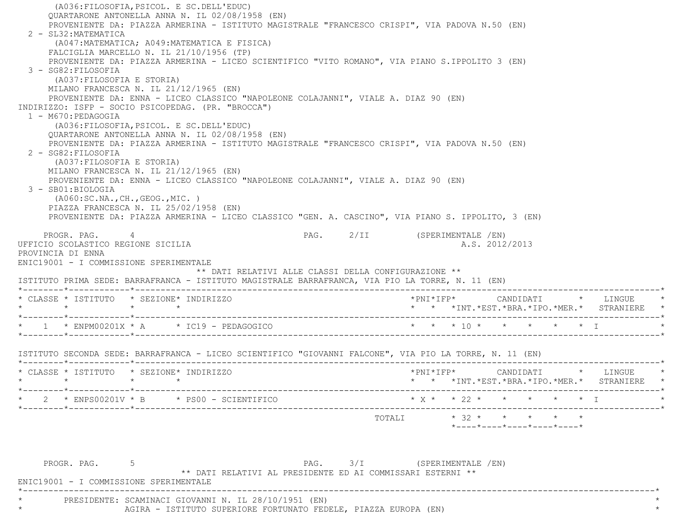(A036:FILOSOFIA,PSICOL. E SC.DELL'EDUC) QUARTARONE ANTONELLA ANNA N. IL 02/08/1958 (EN) PROVENIENTE DA: PIAZZA ARMERINA - ISTITUTO MAGISTRALE "FRANCESCO CRISPI", VIA PADOVA N.50 (EN) 2 - SL32:MATEMATICA (A047:MATEMATICA; A049:MATEMATICA E FISICA) FALCIGLIA MARCELLO N. IL 21/10/1956 (TP) PROVENIENTE DA: PIAZZA ARMERINA - LICEO SCIENTIFICO "VITO ROMANO", VIA PIANO S.IPPOLITO 3 (EN) 3 - SG82:FILOSOFIA (A037:FILOSOFIA E STORIA) MILANO FRANCESCA N. IL 21/12/1965 (EN) PROVENIENTE DA: ENNA - LICEO CLASSICO "NAPOLEONE COLAJANNI", VIALE A. DIAZ 90 (EN) INDIRIZZO: ISFP - SOCIO PSICOPEDAG. (PR. "BROCCA") 1 - M670:PEDAGOGIA (A036:FILOSOFIA,PSICOL. E SC.DELL'EDUC) QUARTARONE ANTONELLA ANNA N. IL 02/08/1958 (EN) PROVENIENTE DA: PIAZZA ARMERINA - ISTITUTO MAGISTRALE "FRANCESCO CRISPI", VIA PADOVA N.50 (EN) 2 - SG82:FILOSOFIA (A037:FILOSOFIA E STORIA) MILANO FRANCESCA N. IL 21/12/1965 (EN) PROVENIENTE DA: ENNA - LICEO CLASSICO "NAPOLEONE COLAJANNI", VIALE A. DIAZ 90 (EN) 3 - SB01:BIOLOGIA (A060:SC.NA.,CH.,GEOG.,MIC. ) PIAZZA FRANCESCA N. IL 25/02/1958 (EN) PROVENIENTE DA: PIAZZA ARMERINA - LICEO CLASSICO "GEN. A. CASCINO", VIA PIANO S. IPPOLITO, 3 (EN) PROGR. PAG. 4 4 PAG. 2/II (SPERIMENTALE /EN) UFFICIO SCOLASTICO REGIONE SICILIA A.S. 2012/2013 PROVINCIA DI ENNA ENIC19001 - I COMMISSIONE SPERIMENTALE \*\* DATI RELATIVI ALLE CLASSI DELLA CONFIGURAZIONE \*\* ISTITUTO PRIMA SEDE: BARRAFRANCA - ISTITUTO MAGISTRALE BARRAFRANCA, VIA PIO LA TORRE, N. 11 (EN) \*--------\*------------\*-------------------------------------------------------------------------------------------------------\* \* CLASSE \* ISTITUTO \* SEZIONE\* INDIRIZZO \*PNI\*IFP\* CANDIDATI \* LINGUE \* \* \* \* \* \* \* \*INT.\*EST.\*BRA.\*IPO.\*MER.\* STRANIERE \* \*--------\*------------\*-------------------------------------------------------------------------------------------------------\*\* 1 \*ENPM00201X \* A \* IC19 - PEDAGOGICO \* \* \* \* \* 10 \* \* \* \* \* \* \* I \* \* \* \* I \*--------\*------------\*-------------------------------------------------------------------------------------------------------\* ISTITUTO SECONDA SEDE: BARRAFRANCA - LICEO SCIENTIFICO "GIOVANNI FALCONE", VIA PIO LA TORRE, N. 11 (EN) \*--------\*------------\*-------------------------------------------------------------------------------------------------------\* \* CLASSE \* ISTITUTO \* SEZIONE\* INDIRIZZO \*PNI\*IFP\* CANDIDATI \* LINGUE \* \* \* \* \* \* \* \*INT.\*EST.\*BRA.\*IPO.\*MER.\* STRANIERE \* \*--------\*------------\*-------------------------------------------------------------------------------------------------------\*\* 2 \* ENPS00201V \* B \* PS00 - SCIENTIFICO \* \* \* \* \* 22 \* \* \* \* \* \* \* T \*--------\*------------\*-------------------------------------------------------------------------------------------------------\*TOTALI  $\star$  32  $\star$   $\star$   $\star$   $\star$   $\star$  \*----\*----\*----\*----\*----\*PROGR. PAG. 5 5 PAG. 3/I (SPERIMENTALE /EN) \*\* DATI RELATIVI AL PRESIDENTE ED AI COMMISSARI ESTERNI \*\* ENIC19001 - I COMMISSIONE SPERIMENTALE \*----------------------------------------------------------------------------------------------------------------------------\*PRESIDENTE: SCAMINACI GIOVANNI N. IL 28/10/1951 (EN)

AGIRA - ISTITUTO SUPERIORE FORTUNATO FEDELE, PIAZZA EUROPA (EN)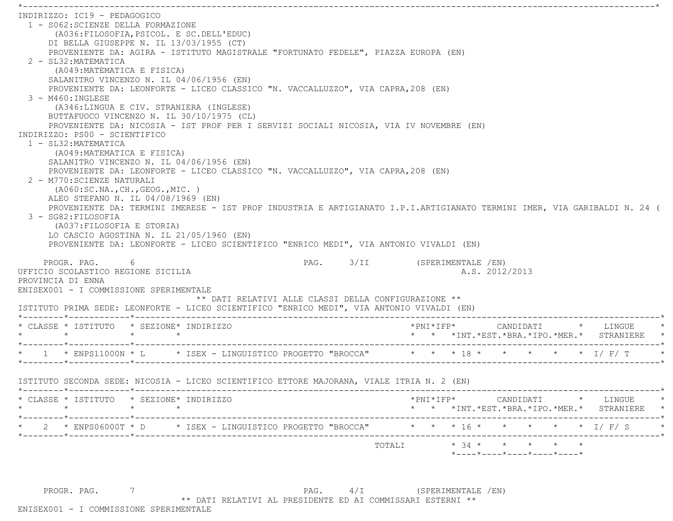\*----------------------------------------------------------------------------------------------------------------------------\* INDIRIZZO: IC19 - PEDAGOGICO 1 - S062:SCIENZE DELLA FORMAZIONE (A036:FILOSOFIA,PSICOL. E SC.DELL'EDUC) DI BELLA GIUSEPPE N. IL 13/03/1955 (CT) PROVENIENTE DA: AGIRA - ISTITUTO MAGISTRALE "FORTUNATO FEDELE", PIAZZA EUROPA (EN) 2 - SL32:MATEMATICA (A049:MATEMATICA E FISICA) SALANITRO VINCENZO N. IL 04/06/1956 (EN) PROVENIENTE DA: LEONFORTE - LICEO CLASSICO "N. VACCALLUZZO", VIA CAPRA,208 (EN) 3 - M460:INGLESE (A346:LINGUA E CIV. STRANIERA (INGLESE) BUTTAFUOCO VINCENZO N. IL 30/10/1975 (CL) PROVENIENTE DA: NICOSIA - IST PROF PER I SERVIZI SOCIALI NICOSIA, VIA IV NOVEMBRE (EN) INDIRIZZO: PS00 - SCIENTIFICO 1 - SL32:MATEMATICA (A049:MATEMATICA E FISICA) SALANITRO VINCENZO N. IL 04/06/1956 (EN) PROVENIENTE DA: LEONFORTE - LICEO CLASSICO "N. VACCALLUZZO", VIA CAPRA,208 (EN) 2 - M770:SCIENZE NATURALI (A060:SC.NA.,CH.,GEOG.,MIC. ) ALEO STEFANO N. IL 04/08/1969 (EN) PROVENIENTE DA: TERMINI IMERESE - IST PROF INDUSTRIA E ARTIGIANATO I.P.I.ARTIGIANATO TERMINI IMER, VIA GARIBALDI N. 24 ( 3 - SG82:FILOSOFIA (A037:FILOSOFIA E STORIA) LO CASCIO AGOSTINA N. IL 21/05/1960 (EN) PROVENIENTE DA: LEONFORTE - LICEO SCIENTIFICO "ENRICO MEDI", VIA ANTONIO VIVALDI (EN) PROGR. PAG. 6 PAG. 3/II (SPERIMENTALE /EN) UFFICIO SCOLASTICO REGIONE SICILIA A.S. 2012/2013 PROVINCIA DI ENNA ENISEX001 - I COMMISSIONE SPERIMENTALE \*\* DATI RELATIVI ALLE CLASSI DELLA CONFIGURAZIONE \*\* ISTITUTO PRIMA SEDE: LEONFORTE - LICEO SCIENTIFICO "ENRICO MEDI", VIA ANTONIO VIVALDI (EN) \*--------\*------------\*-------------------------------------------------------------------------------------------------------\* \* CLASSE \* ISTITUTO \* SEZIONE\* INDIRIZZO \*PNI\*IFP\* CANDIDATI \* LINGUE \* \* \* \* \* \* \* \*INT.\*EST.\*BRA.\*IPO.\*MER.\* STRANIERE \* \*--------\*------------\*-------------------------------------------------------------------------------------------------------\*\* 1 \* ENPS11000N \* L \* ISEX - LINGUISTICO PROGETTO "BROCCA" \* \* \* 18 \* \* \* \* \* \* \* 1/ F/ T \*--------\*------------\*-------------------------------------------------------------------------------------------------------\* ISTITUTO SECONDA SEDE: NICOSIA - LICEO SCIENTIFICO ETTORE MAJORANA, VIALE ITRIA N. 2 (EN) \*--------\*------------\*-------------------------------------------------------------------------------------------------------\* \* CLASSE \* ISTITUTO \* SEZIONE\* INDIRIZZO \*PNI\*IFP\* CANDIDATI \* LINGUE \* \* \* \* \* \* \* \*INT.\*EST.\*BRA.\*IPO.\*MER.\* STRANIERE \* \*--------\*------------\*-------------------------------------------------------------------------------------------------------\*\* 2 \* ENPS06000T \* D \* ISEX - LINGUISTICO PROGETTO "BROCCA" \* \* \* 16 \* \* \* \* \* \* \* 1/ F/ S \*--------\*------------\*-------------------------------------------------------------------------------------------------------\* $\texttt{TOTAL} \qquad \qquad \star \quad 34 \; \star \qquad \star \qquad \star \qquad \star \qquad \star \qquad \star$ \*----\*----\*----\*----\*----\*

PROGR. PAG. 7 7 2000 7 PAG. 4/I (SPERIMENTALE /EN) \*\* DATI RELATIVI AL PRESIDENTE ED AI COMMISSARI ESTERNI \*\*

ENISEX001 - I COMMISSIONE SPERIMENTALE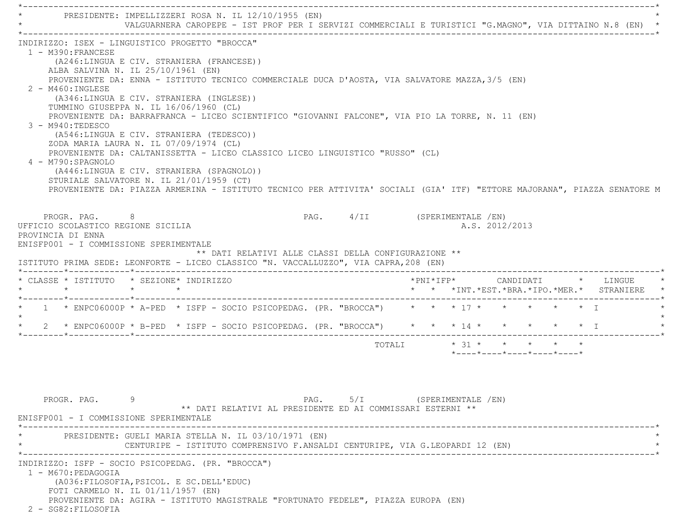\*----------------------------------------------------------------------------------------------------------------------------\*PRESIDENTE: IMPELLIZZERI ROSA N. IL 12/10/1955 (EN) \* VALGUARNERA CAROPEPE - IST PROF PER I SERVIZI COMMERCIALI E TURISTICI "G.MAGNO", VIA DITTAINO N.8 (EN) \* \*----------------------------------------------------------------------------------------------------------------------------\* INDIRIZZO: ISEX - LINGUISTICO PROGETTO "BROCCA" 1 - M390:FRANCESE (A246:LINGUA E CIV. STRANIERA (FRANCESE)) ALBA SALVINA N. IL 25/10/1961 (EN) PROVENIENTE DA: ENNA - ISTITUTO TECNICO COMMERCIALE DUCA D'AOSTA, VIA SALVATORE MAZZA,3/5 (EN) 2 - M460:INGLESE (A346:LINGUA E CIV. STRANIERA (INGLESE)) TUMMINO GIUSEPPA N. IL 16/06/1960 (CL) PROVENIENTE DA: BARRAFRANCA - LICEO SCIENTIFICO "GIOVANNI FALCONE", VIA PIO LA TORRE, N. 11 (EN) 3 - M940:TEDESCO (A546:LINGUA E CIV. STRANIERA (TEDESCO)) ZODA MARIA LAURA N. IL 07/09/1974 (CL) PROVENIENTE DA: CALTANISSETTA - LICEO CLASSICO LICEO LINGUISTICO "RUSSO" (CL) 4 - M790:SPAGNOLO (A446:LINGUA E CIV. STRANIERA (SPAGNOLO)) STURIALE SALVATORE N. IL 21/01/1959 (CT) PROVENIENTE DA: PIAZZA ARMERINA - ISTITUTO TECNICO PER ATTIVITA' SOCIALI (GIA' ITF) "ETTORE MAJORANA", PIAZZA SENATORE M PROGR. PAG. 8 8 8 8 8 8 8 8 9 8 8 9 8 8 9 8 8 9 8 9 8 9 8 9 8 8 9 8 9 8 9 8 9 8 9 8 9 8 9 8 9 8 9 8 9 8 9 8 9 8 9 8 9 8 9 8 9 8 9 8 9 8 9 8 9 8 9 8 9 8 9 8 9 8 9 8 9 8 9 8 9 8 9 8 9 8 9 8 9 8 9 8 9 8 9 8 9 8 9 8 9 8 9 8 9 UFFICIO SCOLASTICO REGIONE SICILIA A.S. 2012/2013 PROVINCIA DI ENNA ENISFP001 - I COMMISSIONE SPERIMENTALE \*\* DATI RELATIVI ALLE CLASSI DELLA CONFIGURAZIONE \*\* ISTITUTO PRIMA SEDE: LEONFORTE - LICEO CLASSICO "N. VACCALLUZZO", VIA CAPRA,208 (EN) \*--------\*------------\*-------------------------------------------------------------------------------------------------------\* \* CLASSE \* ISTITUTO \* SEZIONE\* INDIRIZZO \*PNI\*IFP\* CANDIDATI \* LINGUE \* \* \* \* \* \* \* \*INT.\*EST.\*BRA.\*IPO.\*MER.\* STRANIERE \* \*--------\*------------\*-------------------------------------------------------------------------------------------------------\* $1$  \* ENPC06000P \* A-PED \* ISFP - SOCIO PSICOPEDAG. (PR. "BROCCA") \* \* \* 17 \* \* \* \* \* \* \* T  $\star$ 2 \* ENPC06000P \* B-PED \* ISFP - SOCIO PSICOPEDAG. (PR. "BROCCA") \* \* \* 14 \* \* \* \* \* \* \* \* I \*--------\*------------\*-------------------------------------------------------------------------------------------------------\*TOTALI  $* 31 * * * * * * * *$  \*----\*----\*----\*----\*----\* PROGR. PAG. 9 PAG. 5/I (SPERIMENTALE /EN) \*\* DATI RELATIVI AL PRESIDENTE ED AI COMMISSARI ESTERNI \*\* ENISFP001 - I COMMISSIONE SPERIMENTALE \*----------------------------------------------------------------------------------------------------------------------------\*PRESIDENTE: GUELI MARIA STELLA N. IL 03/10/1971 (EN) CENTURIPE - ISTITUTO COMPRENSIVO F.ANSALDI CENTURIPE, VIA G.LEOPARDI 12 (EN) \*----------------------------------------------------------------------------------------------------------------------------\* INDIRIZZO: ISFP - SOCIO PSICOPEDAG. (PR. "BROCCA") 1 - M670:PEDAGOGIA (A036:FILOSOFIA,PSICOL. E SC.DELL'EDUC) FOTI CARMELO N. IL 01/11/1957 (EN) PROVENIENTE DA: AGIRA - ISTITUTO MAGISTRALE "FORTUNATO FEDELE", PIAZZA EUROPA (EN) 2 - SG82:FILOSOFIA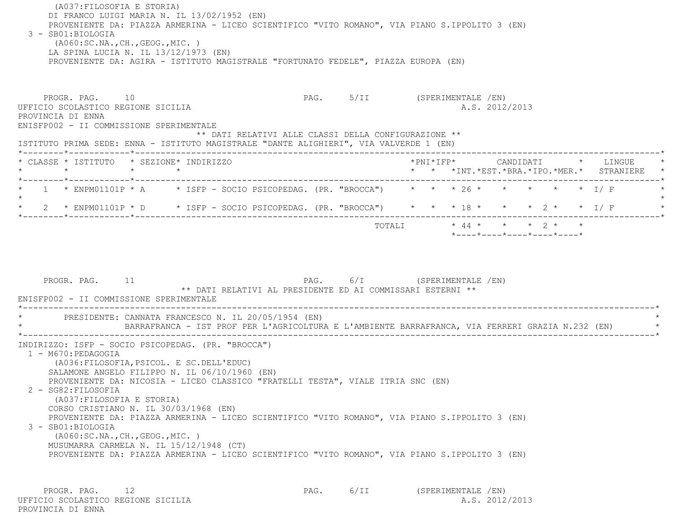(A037:FILOSOFIA E STORIA) DI FRANCO LUIGI MARIA N. IL 13/02/1952 (EN) PROVENIENTE DA: PIAZZA ARMERINA - LICEO SCIENTIFICO "VITO ROMANO", VIA PIANO S.IPPOLITO 3 (EN) 3 - SB01:BIOLOGIA (A060:SC.NA.,CH.,GEOG.,MIC. ) LA SPINA LUCIA N. IL 13/12/1973 (EN) PROVENIENTE DA: AGIRA - ISTITUTO MAGISTRALE "FORTUNATO FEDELE", PIAZZA EUROPA (EN) PROGR. PAG. 10 **PAG.** PAG. 5/II (SPERIMENTALE /EN) UFFICIO SCOLASTICO REGIONE SICILIA A.S. 2012/2013 PROVINCIA DI ENNA ENISFP002 - II COMMISSIONE SPERIMENTALE \*\* DATI RELATIVI ALLE CLASSI DELLA CONFIGURAZIONE \*\* ISTITUTO PRIMA SEDE: ENNA - ISTITUTO MAGISTRALE "DANTE ALIGHIERI", VIA VALVERDE 1 (EN) \*--------\*------------\*-------------------------------------------------------------------------------------------------------\* \* CLASSE \* ISTITUTO \* SEZIONE\* INDIRIZZO \*PNI\*IFP\* CANDIDATI \* LINGUE \* \* \* \* \* \* \* \*INT.\*EST.\*BRA.\*IPO.\*MER.\* STRANIERE \* \*--------\*------------\*-------------------------------------------------------------------------------------------------------\*1 \* ENPM01101P \* A \* ISFP - SOCIO PSICOPEDAG. (PR. "BROCCA") \* \* \* 26 \* \* \* \* \* \* \* I/ F  $\star$ \* 2 \* ENPM01101P \* D \* ISFP - SOCIO PSICOPEDAG. (PR. "BROCCA") \* \* \* 18 \* \* \* 2 \* \* I/ F \*--------\*------------\*-------------------------------------------------------------------------------------------------------\*TOTALI  $* 44 * * * * ? * * * *$  \*----\*----\*----\*----\*----\*PROGR. PAG. 11 1 PAG. 6/I (SPERIMENTALE /EN) \*\* DATI RELATIVI AL PRESIDENTE ED AI COMMISSARI ESTERNI \*\* ENISFP002 - II COMMISSIONE SPERIMENTALE \*----------------------------------------------------------------------------------------------------------------------------\*PRESIDENTE: CANNATA FRANCESCO N. IL 20/05/1954 (EN) \* BARRAFRANCA - IST PROF PER L'AGRICOLTURA E L'AMBIENTE BARRAFRANCA, VIA FERRERI GRAZIA N.232 (EN) \* \*----------------------------------------------------------------------------------------------------------------------------\* INDIRIZZO: ISFP - SOCIO PSICOPEDAG. (PR. "BROCCA") 1 - M670:PEDAGOGIA (A036:FILOSOFIA,PSICOL. E SC.DELL'EDUC) SALAMONE ANGELO FILIPPO N. IL 06/10/1960 (EN) PROVENIENTE DA: NICOSIA - LICEO CLASSICO "FRATELLI TESTA", VIALE ITRIA SNC (EN)

2 - SG82:FILOSOFIA

 (A037:FILOSOFIA E STORIA) CORSO CRISTIANO N. IL 30/03/1968 (EN)

PROVENIENTE DA: PIAZZA ARMERINA - LICEO SCIENTIFICO "VITO ROMANO", VIA PIANO S.IPPOLITO 3 (EN)

3 - SB01:BIOLOGIA

 (A060:SC.NA.,CH.,GEOG.,MIC. ) MUSUMARRA CARMELA N. IL 15/12/1948 (CT) PROVENIENTE DA: PIAZZA ARMERINA - LICEO SCIENTIFICO "VITO ROMANO", VIA PIANO S.IPPOLITO 3 (EN)

PROGR. PAG. 12 12 PAG. 6/II (SPERIMENTALE /EN) UFFICIO SCOLASTICO REGIONE SICILIA A.S. 2012/2013 PROVINCIA DI ENNA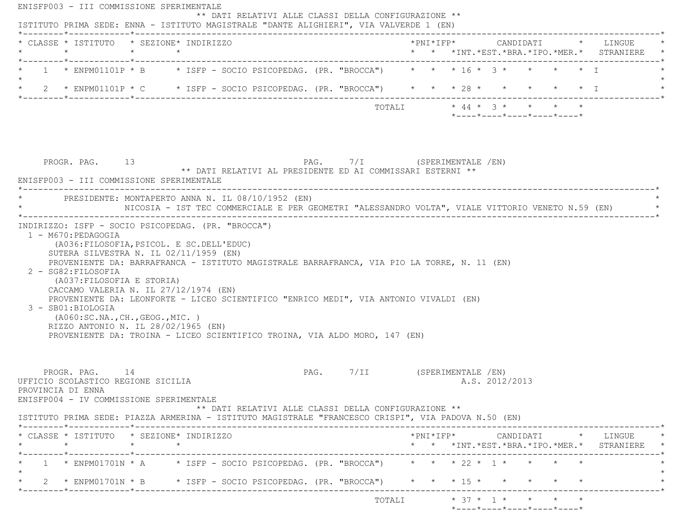| $\star$                                    | * CLASSE * ISTITUTO * SEZIONE* INDIRIZZO                                                                                                       | $\star$ $\star$ |                                                    |  |                                                                                                                                                                     |        |  |                |                                                                                |  | *PNI*IFP* CANDIDATI * LINGUE<br>* * *INT.*EST.*BRA.*IPO.*MER.* STRANIERE                                                                      |
|--------------------------------------------|------------------------------------------------------------------------------------------------------------------------------------------------|-----------------|----------------------------------------------------|--|---------------------------------------------------------------------------------------------------------------------------------------------------------------------|--------|--|----------------|--------------------------------------------------------------------------------|--|-----------------------------------------------------------------------------------------------------------------------------------------------|
|                                            |                                                                                                                                                |                 |                                                    |  | 1 * ENPM01101P * B * ISFP - SOCIO PSICOPEDAG. (PR. "BROCCA") * * * 16 * 3 * * * * * T                                                                               |        |  |                |                                                                                |  |                                                                                                                                               |
|                                            |                                                                                                                                                |                 |                                                    |  | * 2 * ENPM01101P * C * ISFP - SOCIO PSICOPEDAG. (PR. "BROCCA") * * * 28 * * * * * * * I                                                                             |        |  |                |                                                                                |  |                                                                                                                                               |
|                                            |                                                                                                                                                |                 |                                                    |  |                                                                                                                                                                     | TOTALI |  |                | $* 44 * 3 * * * * * * * *$<br>$*$ ---- $*$ ---- $*$ ---- $*$ ---- $*$ ---- $*$ |  |                                                                                                                                               |
|                                            | PROGR. PAG. 13<br>ENISFP003 - III COMMISSIONE SPERIMENTALE                                                                                     |                 |                                                    |  | PAG. 7/I (SPERIMENTALE /EN)<br>** DATI RELATIVI AL PRESIDENTE ED AI COMMISSARI ESTERNI **                                                                           |        |  |                |                                                                                |  |                                                                                                                                               |
|                                            | PRESIDENTE: MONTAPERTO ANNA N. IL 08/10/1952 (EN)                                                                                              |                 |                                                    |  | NICOSIA - IST TEC COMMERCIALE E PER GEOMETRI "ALESSANDRO VOLTA", VIALE VITTORIO VENETO N.59 (EN)                                                                    |        |  |                |                                                                                |  |                                                                                                                                               |
| 1 - M670: PEDAGOGIA<br>2 - SG82: FILOSOFIA | (A036: FILOSOFIA, PSICOL. E SC. DELL'EDUC)<br>SUTERA SILVESTRA N. IL 02/11/1959 (EN)                                                           |                 | INDIRIZZO: ISFP - SOCIO PSICOPEDAG. (PR. "BROCCA") |  | PROVENIENTE DA: BARRAFRANCA - ISTITUTO MAGISTRALE BARRAFRANCA, VIA PIO LA TORRE, N. 11 (EN)                                                                         |        |  |                |                                                                                |  |                                                                                                                                               |
| 3 - SB01:BIOLOGIA                          | (A037:FILOSOFIA E STORIA)<br>CACCAMO VALERIA N. IL 27/12/1974 (EN)<br>( A060:SC.NA., CH., GEOG., MIC. )<br>RIZZO ANTONIO N. IL 28/02/1965 (EN) |                 |                                                    |  | PROVENIENTE DA: LEONFORTE - LICEO SCIENTIFICO "ENRICO MEDI", VIA ANTONIO VIVALDI (EN)<br>PROVENIENTE DA: TROINA - LICEO SCIENTIFICO TROINA, VIA ALDO MORO, 147 (EN) |        |  |                |                                                                                |  |                                                                                                                                               |
| PROVINCIA DI ENNA                          | PROGR. PAG. 14<br>UFFICIO SCOLASTICO REGIONE SICILIA<br>ENISFP004 - IV COMMISSIONE SPERIMENTALE                                                |                 |                                                    |  | PAG. 7/II (SPERIMENTALE /EN)                                                                                                                                        |        |  | A.S. 2012/2013 |                                                                                |  |                                                                                                                                               |
|                                            |                                                                                                                                                |                 |                                                    |  | ** DATI RELATIVI ALLE CLASSI DELLA CONFIGURAZIONE **<br>ISTITUTO PRIMA SEDE: PIAZZA ARMERINA - ISTITUTO MAGISTRALE "FRANCESCO CRISPI", VIA PADOVA N.50 (EN)         |        |  |                |                                                                                |  |                                                                                                                                               |
| $\star$                                    | * CLASSE * ISTITUTO * SEZIONE* INDIRIZZO                                                                                                       | $\star$ $\star$ |                                                    |  |                                                                                                                                                                     |        |  |                |                                                                                |  | $*PNI*IFP* \qquad \qquad \text{CANDIDATI} \qquad \qquad * \qquad \text{LINGUE} \qquad \qquad *$<br>* * *INT.*EST.*BRA.*IPO.*MER.* STRANIERE * |
|                                            |                                                                                                                                                |                 |                                                    |  | 1 * ENPM01701N * A $\rightarrow$ ISFP - SOCIO PSICOPEDAG. (PR. "BROCCA") * * * 22 * 1 * * * * *                                                                     |        |  |                |                                                                                |  |                                                                                                                                               |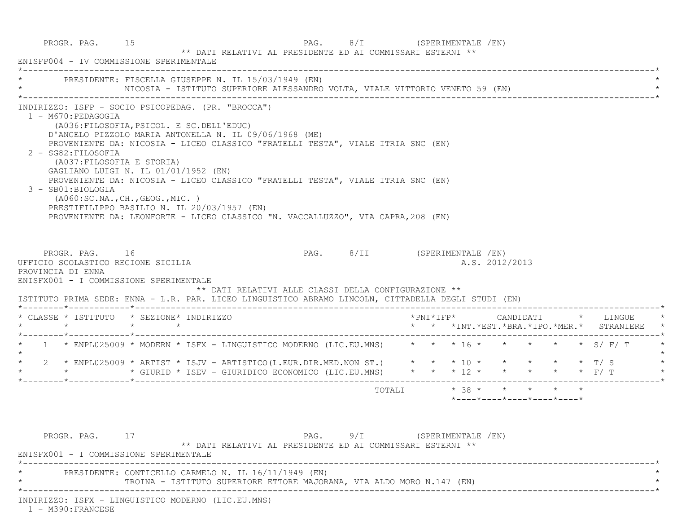PROGR. PAG. 15 200 15 PAG. 8/I (SPERIMENTALE /EN) \*\* DATI RELATIVI AL PRESIDENTE ED AI COMMISSARI ESTERNI \*\* ENISFP004 - IV COMMISSIONE SPERIMENTALE \*----------------------------------------------------------------------------------------------------------------------------\*PRESIDENTE: FISCELLA GIUSEPPE N. IL 15/03/1949 (EN) NICOSIA - ISTITUTO SUPERIORE ALESSANDRO VOLTA, VIALE VITTORIO VENETO 59 (EN) \*----------------------------------------------------------------------------------------------------------------------------\* INDIRIZZO: ISFP - SOCIO PSICOPEDAG. (PR. "BROCCA") 1 - M670:PEDAGOGIA (A036:FILOSOFIA,PSICOL. E SC.DELL'EDUC) D'ANGELO PIZZOLO MARIA ANTONELLA N. IL 09/06/1968 (ME) PROVENIENTE DA: NICOSIA - LICEO CLASSICO "FRATELLI TESTA", VIALE ITRIA SNC (EN) 2 - SG82:FILOSOFIA (A037:FILOSOFIA E STORIA) GAGLIANO LUIGI N. IL 01/01/1952 (EN) PROVENIENTE DA: NICOSIA - LICEO CLASSICO "FRATELLI TESTA", VIALE ITRIA SNC (EN) 3 - SB01:BIOLOGIA (A060:SC.NA.,CH.,GEOG.,MIC. ) PRESTIFILIPPO BASILIO N. IL 20/03/1957 (EN) PROVENIENTE DA: LEONFORTE - LICEO CLASSICO "N. VACCALLUZZO", VIA CAPRA,208 (EN) PROGR. PAG. 16 16 PAG. 8/II (SPERIMENTALE /EN) UFFICIO SCOLASTICO REGIONE SICILIA AND ALS. 2012/2013 PROVINCIA DI ENNA ENISFX001 - I COMMISSIONE SPERIMENTALE \*\* DATI RELATIVI ALLE CLASSI DELLA CONFIGURAZIONE \*\* ISTITUTO PRIMA SEDE: ENNA - L.R. PAR. LICEO LINGUISTICO ABRAMO LINCOLN, CITTADELLA DEGLI STUDI (EN) \*--------\*------------\*-------------------------------------------------------------------------------------------------------\* \* CLASSE \* ISTITUTO \* SEZIONE\* INDIRIZZO \*PNI\*IFP\* CANDIDATI \* LINGUE \* \* \* \* \* \* \* \*INT.\*EST.\*BRA.\*IPO.\*MER.\* STRANIERE \* \*--------\*------------\*-------------------------------------------------------------------------------------------------------\*1 \* ENPL025009 \* MODERN \* ISFX - LINGUISTICO MODERNO (LIC.EU.MNS) \* \* \* 16 \* \* \* \* \* \* \* \* S/ F/ T  $\star$  \* 2 \* ENPL025009 \* ARTIST \* ISJV - ARTISTICO(L.EUR.DIR.MED.NON ST.) \* \* \* 10 \* \* \* \* \* T/ S \* \* \* \* GIURID \* ISEV - GIURIDICO ECONOMICO (LIC.EU.MNS) \* \* \* 12 \* \* \* \* \* F/ T \* \*--------\*------------\*-------------------------------------------------------------------------------------------------------\*TOTALI  $* 38 * * * * * * * * *$  \*----\*----\*----\*----\*----\*PROGR. PAG. 17 17 PAG. 9/I (SPERIMENTALE /EN) \*\* DATI RELATIVI AL PRESIDENTE ED AI COMMISSARI ESTERNI \*\* ENISFX001 - I COMMISSIONE SPERIMENTALE \*----------------------------------------------------------------------------------------------------------------------------\*PRESIDENTE: CONTICELLO CARMELO N. IL 16/11/1949 (EN) \* TROINA - ISTITUTO SUPERIORE ETTORE MAJORANA, VIA ALDO MORO N.147 (EN) \*

\*----------------------------------------------------------------------------------------------------------------------------\*

INDIRIZZO: ISFX - LINGUISTICO MODERNO (LIC.EU.MNS)

1 - M390:FRANCESE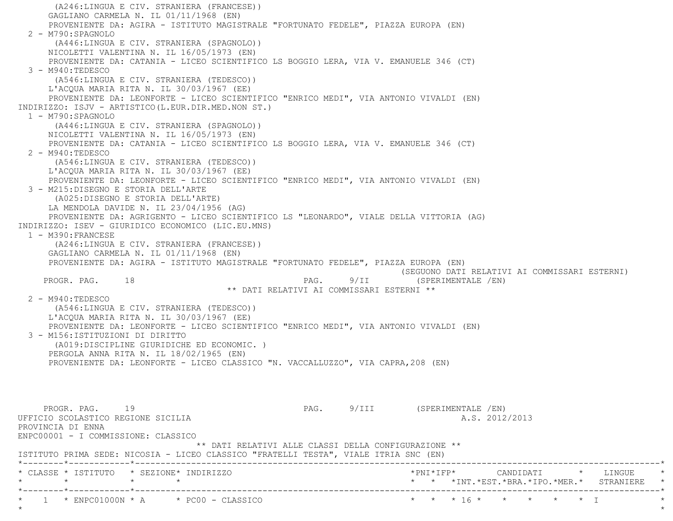(A246:LINGUA E CIV. STRANIERA (FRANCESE)) GAGLIANO CARMELA N. IL 01/11/1968 (EN) PROVENIENTE DA: AGIRA - ISTITUTO MAGISTRALE "FORTUNATO FEDELE", PIAZZA EUROPA (EN) 2 - M790:SPAGNOLO (A446:LINGUA E CIV. STRANIERA (SPAGNOLO)) NICOLETTI VALENTINA N. IL 16/05/1973 (EN) PROVENIENTE DA: CATANIA - LICEO SCIENTIFICO LS BOGGIO LERA, VIA V. EMANUELE 346 (CT) 3 - M940:TEDESCO (A546:LINGUA E CIV. STRANIERA (TEDESCO)) L'ACQUA MARIA RITA N. IL 30/03/1967 (EE) PROVENIENTE DA: LEONFORTE - LICEO SCIENTIFICO "ENRICO MEDI", VIA ANTONIO VIVALDI (EN) INDIRIZZO: ISJV - ARTISTICO(L.EUR.DIR.MED.NON ST.) 1 - M790:SPAGNOLO (A446:LINGUA E CIV. STRANIERA (SPAGNOLO)) NICOLETTI VALENTINA N. IL 16/05/1973 (EN) PROVENIENTE DA: CATANIA - LICEO SCIENTIFICO LS BOGGIO LERA, VIA V. EMANUELE 346 (CT) 2 - M940:TEDESCO (A546:LINGUA E CIV. STRANIERA (TEDESCO)) L'ACQUA MARIA RITA N. IL 30/03/1967 (EE) PROVENIENTE DA: LEONFORTE - LICEO SCIENTIFICO "ENRICO MEDI", VIA ANTONIO VIVALDI (EN) 3 - M215:DISEGNO E STORIA DELL'ARTE (A025:DISEGNO E STORIA DELL'ARTE) LA MENDOLA DAVIDE N. IL 23/04/1956 (AG) PROVENIENTE DA: AGRIGENTO - LICEO SCIENTIFICO LS "LEONARDO", VIALE DELLA VITTORIA (AG) INDIRIZZO: ISEV - GIURIDICO ECONOMICO (LIC.EU.MNS) 1 - M390:FRANCESE (A246:LINGUA E CIV. STRANIERA (FRANCESE)) GAGLIANO CARMELA N. IL 01/11/1968 (EN) PROVENIENTE DA: AGIRA - ISTITUTO MAGISTRALE "FORTUNATO FEDELE", PIAZZA EUROPA (EN) (SEGUONO DATI RELATIVI AI COMMISSARI ESTERNI) PROGR. PAG. 18 18 PAG. 9/II (SPERIMENTALE /EN) \*\* DATI RELATIVI AI COMMISSARI ESTERNI \*\* 2 - M940:TEDESCO (A546:LINGUA E CIV. STRANIERA (TEDESCO)) L'ACQUA MARIA RITA N. IL 30/03/1967 (EE) PROVENIENTE DA: LEONFORTE - LICEO SCIENTIFICO "ENRICO MEDI", VIA ANTONIO VIVALDI (EN) 3 - M156:ISTITUZIONI DI DIRITTO (A019:DISCIPLINE GIURIDICHE ED ECONOMIC. ) PERGOLA ANNA RITA N. IL 18/02/1965 (EN) PROVENIENTE DA: LEONFORTE - LICEO CLASSICO "N. VACCALLUZZO", VIA CAPRA,208 (EN) PROGR. PAG. 19 19 2001 19 PAG. 9/III (SPERIMENTALE /EN) UFFICIO SCOLASTICO REGIONE SICILIA A.S. 2012/2013 PROVINCIA DI ENNA ENPC00001 - I COMMISSIONE: CLASSICO \*\* DATI RELATIVI ALLE CLASSI DELLA CONFIGURAZIONE \*\* ISTITUTO PRIMA SEDE: NICOSIA - LICEO CLASSICO "FRATELLI TESTA", VIALE ITRIA SNC (EN) \*--------\*------------\*-------------------------------------------------------------------------------------------------------\* \* CLASSE \* ISTITUTO \* SEZIONE\* INDIRIZZO \*PNI\*IFP\* CANDIDATI \* LINGUE \* \* \* \* \* \* \* \*INT.\*EST.\*BRA.\*IPO.\*MER.\* STRANIERE \* \*--------\*------------\*-------------------------------------------------------------------------------------------------------\*\* 1 \* ENPC01000N \* A \* PC00 - CLASSICO \* \* \* \* 16 \* \* \* \* \* \* \* \* I  $\star$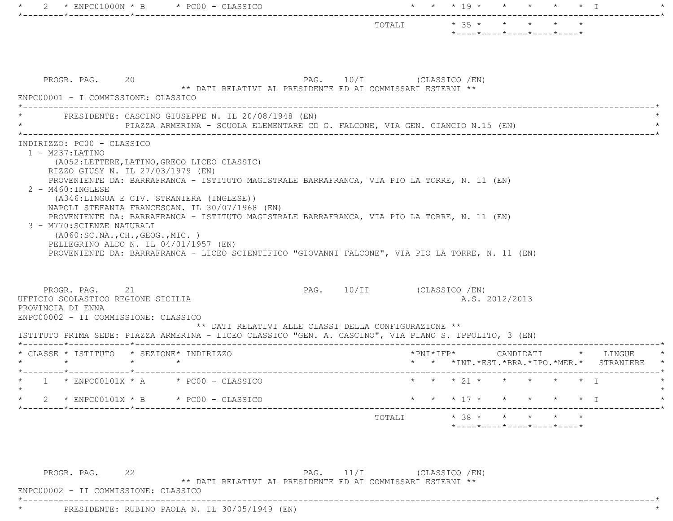|         |                                                                                                                                                                                                                                                                                                                                                                                                                                   |                 |                                                                                        |                           |  |  |                |  | *----*----*----*----*----*                                             |                                                                                          |  |
|---------|-----------------------------------------------------------------------------------------------------------------------------------------------------------------------------------------------------------------------------------------------------------------------------------------------------------------------------------------------------------------------------------------------------------------------------------|-----------------|----------------------------------------------------------------------------------------|---------------------------|--|--|----------------|--|------------------------------------------------------------------------|------------------------------------------------------------------------------------------|--|
|         | PROGR. PAG. 20<br>ENPC00001 - I COMMISSIONE: CLASSICO                                                                                                                                                                                                                                                                                                                                                                             |                 | PAG. 10/I (CLASSICO /EN)<br>** DATI RELATIVI AL PRESIDENTE ED AI COMMISSARI ESTERNI ** |                           |  |  |                |  |                                                                        |                                                                                          |  |
|         | PRESIDENTE: CASCINO GIUSEPPE N. IL 20/08/1948 (EN)                                                                                                                                                                                                                                                                                                                                                                                |                 | PIAZZA ARMERINA - SCUOLA ELEMENTARE CD G. FALCONE, VIA GEN. CIANCIO N.15 (EN)          |                           |  |  |                |  |                                                                        |                                                                                          |  |
|         | $2 - M460$ : INGLESE<br>(A346:LINGUA E CIV. STRANIERA (INGLESE))<br>NAPOLI STEFANIA FRANCESCAN. IL 30/07/1968 (EN)<br>PROVENIENTE DA: BARRAFRANCA - ISTITUTO MAGISTRALE BARRAFRANCA, VIA PIO LA TORRE, N. 11 (EN)<br>3 - M770: SCIENZE NATURALI<br>( A060:SC.NA., CH., GEOG., MIC. )<br>PELLEGRINO ALDO N. IL 04/01/1957 (EN)<br>PROVENIENTE DA: BARRAFRANCA - LICEO SCIENTIFICO "GIOVANNI FALCONE", VIA PIO LA TORRE, N. 11 (EN) |                 |                                                                                        |                           |  |  |                |  |                                                                        |                                                                                          |  |
|         |                                                                                                                                                                                                                                                                                                                                                                                                                                   |                 |                                                                                        |                           |  |  |                |  |                                                                        |                                                                                          |  |
|         | PROGR. PAG. 21<br>UFFICIO SCOLASTICO REGIONE SICILIA<br>PROVINCIA DI ENNA<br>ENPC00002 - II COMMISSIONE: CLASSICO                                                                                                                                                                                                                                                                                                                 |                 |                                                                                        | PAG. 10/II (CLASSICO /EN) |  |  | A.S. 2012/2013 |  |                                                                        |                                                                                          |  |
|         | ISTITUTO PRIMA SEDE: PIAZZA ARMERINA - LICEO CLASSICO "GEN. A. CASCINO", VIA PIANO S. IPPOLITO, 3 (EN)                                                                                                                                                                                                                                                                                                                            |                 | ** DATI RELATIVI ALLE CLASSI DELLA CONFIGURAZIONE **                                   |                           |  |  |                |  |                                                                        |                                                                                          |  |
|         | * CLASSE * ISTITUTO * SEZIONE* INDIRIZZO<br>$\star$ $\star$                                                                                                                                                                                                                                                                                                                                                                       | $\star$ $\star$ |                                                                                        |                           |  |  |                |  |                                                                        | *PNI*IFP*      CANDIDATI     *   LINGUE<br>* * *INT. *EST. *BRA. *IPO. *MER. * STRANIERE |  |
|         | * $1$ * ENPC00101X * A * PC00 - CLASSICO                                                                                                                                                                                                                                                                                                                                                                                          |                 |                                                                                        |                           |  |  |                |  | * * * 21 * * * * * * I                                                 |                                                                                          |  |
|         | 2 * ENPC00101X * B * PC00 - CLASSICO                                                                                                                                                                                                                                                                                                                                                                                              |                 |                                                                                        |                           |  |  |                |  | * * * 17 * * * * * * T                                                 |                                                                                          |  |
| $\star$ |                                                                                                                                                                                                                                                                                                                                                                                                                                   |                 |                                                                                        | TOTALI                    |  |  |                |  | $*$ 38 * * * * * *<br>$*$ ---- $*$ ---- $*$ ---- $*$ ---- $*$ ---- $*$ |                                                                                          |  |
|         |                                                                                                                                                                                                                                                                                                                                                                                                                                   |                 |                                                                                        |                           |  |  |                |  |                                                                        |                                                                                          |  |

\*\* DATI RELATIVI AL PRESIDENTE ED AI COMMISSARI ESTERNI \*\*

\*----------------------------------------------------------------------------------------------------------------------------\*

ENPC00002 - II COMMISSIONE: CLASSICO

\* PRESIDENTE: RUBINO PAOLA N. IL 30/05/1949 (EN) \*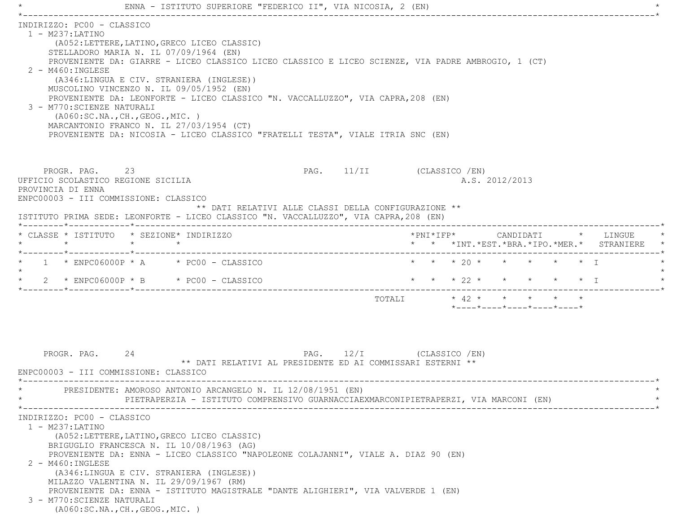|                                            |                                                                                                                                          | ENNA - ISTITUTO SUPERIORE "FEDERICO II", VIA NICOSIA, 2 (EN)                                                                                                                                                                                                                                                                                                                                                                                                 |                           |                                                                                          |                |  |                                                                               |
|--------------------------------------------|------------------------------------------------------------------------------------------------------------------------------------------|--------------------------------------------------------------------------------------------------------------------------------------------------------------------------------------------------------------------------------------------------------------------------------------------------------------------------------------------------------------------------------------------------------------------------------------------------------------|---------------------------|------------------------------------------------------------------------------------------|----------------|--|-------------------------------------------------------------------------------|
| $1 - M237: LATINO$<br>2 - M460: INGLESE    | INDIRIZZO: PC00 - CLASSICO<br>STELLADORO MARIA N. IL 07/09/1964 (EN)<br>3 - M770: SCIENZE NATURALI<br>( A060:SC.NA., CH., GEOG., MIC. )  | (A052:LETTERE, LATINO, GRECO LICEO CLASSIC)<br>PROVENIENTE DA: GIARRE - LICEO CLASSICO LICEO CLASSICO E LICEO SCIENZE, VIA PADRE AMBROGIO, 1 (CT)<br>(A346:LINGUA E CIV. STRANIERA (INGLESE))<br>MUSCOLINO VINCENZO N. IL 09/05/1952 (EN)<br>PROVENIENTE DA: LEONFORTE - LICEO CLASSICO "N. VACCALLUZZO", VIA CAPRA, 208 (EN)<br>MARCANTONIO FRANCO N. IL 27/03/1954 (CT)<br>PROVENIENTE DA: NICOSIA - LICEO CLASSICO "FRATELLI TESTA", VIALE ITRIA SNC (EN) |                           |                                                                                          |                |  |                                                                               |
| PROVINCIA DI ENNA                          | PROGR. PAG. 23<br>UFFICIO SCOLASTICO REGIONE SICILIA<br>ENPC00003 - III COMMISSIONE: CLASSICO                                            | ** DATI RELATIVI ALLE CLASSI DELLA CONFIGURAZIONE **<br>ISTITUTO PRIMA SEDE: LEONFORTE - LICEO CLASSICO "N. VACCALLUZZO", VIA CAPRA, 208 (EN)                                                                                                                                                                                                                                                                                                                | PAG. 11/II (CLASSICO /EN) |                                                                                          | A.S. 2012/2013 |  |                                                                               |
| $\star$                                    | * CLASSE * ISTITUTO * SEZIONE* INDIRIZZO<br>$\star$                                                                                      | $\star$                                                                                                                                                                                                                                                                                                                                                                                                                                                      |                           |                                                                                          |                |  | *PNI*IFP* CANDIDATI * LINGUE<br>* * *INT. *EST. *BRA. *IPO. *MER. * STRANIERE |
|                                            | *--------*------------*-------------                                                                                                     | $1 *$ ENPC06000P $*$ A $*$ PC00 - CLASSICO<br>$2 *$ ENPC06000P * B * PC00 - CLASSICO                                                                                                                                                                                                                                                                                                                                                                         |                           | * * * 20 * * * * * * T<br>* * * 22 * * * * * * I                                         |                |  |                                                                               |
|                                            | 24<br>PROGR. PAG.                                                                                                                        | ** DATI RELATIVI AL PRESIDENTE ED AI COMMISSARI ESTERNI **                                                                                                                                                                                                                                                                                                                                                                                                   | PAG. 12/I (CLASSICO /EN)  | TOTALI * 42 * * * * *<br>$*$ - - - - $*$ - - - - $*$ - - - - $*$ - - - - $*$ - - - - $*$ |                |  |                                                                               |
|                                            | ENPC00003 - III COMMISSIONE: CLASSICO                                                                                                    | PRESIDENTE: AMOROSO ANTONIO ARCANGELO N. IL 12/08/1951 (EN)<br>PIETRAPERZIA - ISTITUTO COMPRENSIVO GUARNACCIAEXMARCONIPIETRAPERZI, VIA MARCONI (EN)                                                                                                                                                                                                                                                                                                          |                           |                                                                                          |                |  |                                                                               |
| $1 - M237: LATINO$<br>$2 - M460$ : INGLESE | INDIRIZZO: PC00 - CLASSICO<br>MILAZZO VALENTINA N. IL 29/09/1967 (RM)<br>3 - M770: SCIENZE NATURALI<br>( A060:SC.NA., CH., GEOG., MIC. ) | (A052:LETTERE, LATINO, GRECO LICEO CLASSIC)<br>BRIGUGLIO FRANCESCA N. IL 10/08/1963 (AG)<br>PROVENIENTE DA: ENNA - LICEO CLASSICO "NAPOLEONE COLAJANNI", VIALE A. DIAZ 90 (EN)<br>(A346:LINGUA E CIV. STRANIERA (INGLESE))<br>PROVENIENTE DA: ENNA - ISTITUTO MAGISTRALE "DANTE ALIGHIERI", VIA VALVERDE 1 (EN)                                                                                                                                              |                           |                                                                                          |                |  |                                                                               |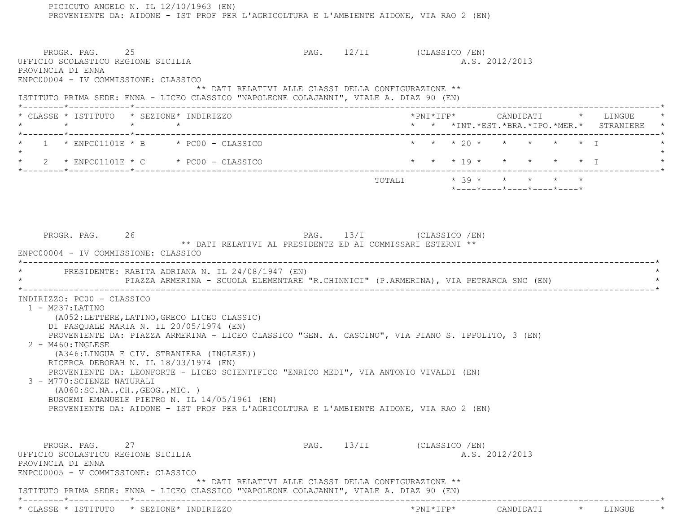PICICUTO ANGELO N. IL 12/10/1963 (EN) PROVENIENTE DA: AIDONE - IST PROF PER L'AGRICOLTURA E L'AMBIENTE AIDONE, VIA RAO 2 (EN) PROGR. PAG. 25 25 PAG. 12/II (CLASSICO /EN) UFFICIO SCOLASTICO REGIONE SICILIA AND ALS. 2012/2013 PROVINCIA DI ENNA ENPC00004 - IV COMMISSIONE: CLASSICO \*\* DATI RELATIVI ALLE CLASSI DELLA CONFIGURAZIONE \*\* ISTITUTO PRIMA SEDE: ENNA - LICEO CLASSICO "NAPOLEONE COLAJANNI", VIALE A. DIAZ 90 (EN) \*--------\*------------\*-------------------------------------------------------------------------------------------------------\* \* CLASSE \* ISTITUTO \* SEZIONE\* INDIRIZZO \*PNI\*IFP\* CANDIDATI \* LINGUE \* \* \* \* \* \* \* \*INT.\*EST.\*BRA.\*IPO.\*MER.\* STRANIERE \* \*--------\*------------\*-------------------------------------------------------------------------------------------------------\*1 \* ENPC01101E \* B \* PC00 - CLASSICO  $\star \star \star \times 20 \star \star \star \star \star \star \star \pm 1$  $\star$  \* 2 \* ENPC01101E \* C \* PC00 - CLASSICO \* \* \* 19 \* \* \* \* \* I \* \*--------\*------------\*-------------------------------------------------------------------------------------------------------\* $\texttt{TOTALI} \qquad \qquad \star \quad \texttt{39} \; \star \qquad \star \qquad \star \qquad \star \qquad \star \qquad \star \qquad \star$  \*----\*----\*----\*----\*----\*PROGR. PAG. 26 26 PAG. 13/I (CLASSICO /EN) \*\* DATI RELATIVI AL PRESIDENTE ED AI COMMISSARI ESTERNI \*\* ENPC00004 - IV COMMISSIONE: CLASSICO \*----------------------------------------------------------------------------------------------------------------------------\*PRESIDENTE: RABITA ADRIANA N. IL 24/08/1947 (EN) PIAZZA ARMERINA - SCUOLA ELEMENTARE "R.CHINNICI" (P.ARMERINA), VIA PETRARCA SNC (EN)  $\star$  INDIRIZZO: PC00 - CLASSICO 1 - M237:LATINO (A052:LETTERE,LATINO,GRECO LICEO CLASSIC) DI PASQUALE MARIA N. IL 20/05/1974 (EN) PROVENIENTE DA: PIAZZA ARMERINA - LICEO CLASSICO "GEN. A. CASCINO", VIA PIANO S. IPPOLITO, 3 (EN) 2 - M460:INGLESE (A346:LINGUA E CIV. STRANIERA (INGLESE)) RICERCA DEBORAH N. IL 18/03/1974 (EN) PROVENIENTE DA: LEONFORTE - LICEO SCIENTIFICO "ENRICO MEDI", VIA ANTONIO VIVALDI (EN) 3 - M770:SCIENZE NATURALI (A060:SC.NA.,CH.,GEOG.,MIC. ) BUSCEMI EMANUELE PIETRO N. IL 14/05/1961 (EN) PROVENIENTE DA: AIDONE - IST PROF PER L'AGRICOLTURA E L'AMBIENTE AIDONE, VIA RAO 2 (EN) PROGR. PAG. 27 27 PAG. 13/II (CLASSICO /EN) UFFICIO SCOLASTICO REGIONE SICILIA A.S. 2012/2013 PROVINCIA DI ENNA ENPC00005 - V COMMISSIONE: CLASSICO \*\* DATI RELATIVI ALLE CLASSI DELLA CONFIGURAZIONE \*\* ISTITUTO PRIMA SEDE: ENNA - LICEO CLASSICO "NAPOLEONE COLAJANNI", VIALE A. DIAZ 90 (EN) \*--------\*------------\*-------------------------------------------------------------------------------------------------------\*\* CLASSE \* ISTITUTO \* SEZIONE\* INDIRIZZO \*PNI\*IFP\* CANDIDATI \* LINGUE \*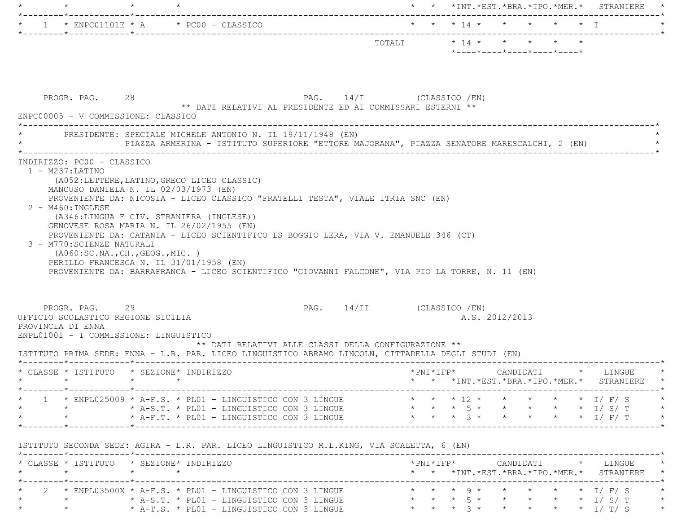|                                                                                                                                                                      |                                                                                                                                                                                                                                                                                                                                                                   |                               |  |                            |  | * * *INT.*EST.*BRA.*IPO.*MER.* STRANIERE                                          |
|----------------------------------------------------------------------------------------------------------------------------------------------------------------------|-------------------------------------------------------------------------------------------------------------------------------------------------------------------------------------------------------------------------------------------------------------------------------------------------------------------------------------------------------------------|-------------------------------|--|----------------------------|--|-----------------------------------------------------------------------------------|
|                                                                                                                                                                      | 1 * ENPC01101E * A * PC00 - CLASSICO                                                                                                                                                                                                                                                                                                                              |                               |  | * * * 14 * * * * * * I     |  |                                                                                   |
|                                                                                                                                                                      |                                                                                                                                                                                                                                                                                                                                                                   |                               |  | *----*----*----*----*----* |  |                                                                                   |
| PROGR. PAG. 28                                                                                                                                                       | $\texttt{PAG.}$ 14/I (CLASSICO /EN)<br>** DATI RELATIVI AL PRESIDENTE ED AI COMMISSARI ESTERNI **<br>ENPC00005 - V COMMISSIONE: CLASSICO                                                                                                                                                                                                                          |                               |  |                            |  |                                                                                   |
|                                                                                                                                                                      | PRESIDENTE: SPECIALE MICHELE ANTONIO N. IL 19/11/1948 (EN)<br>PIAZZA ARMERINA - ISTITUTO SUPERIORE "ETTORE MAJORANA", PIAZZA SENATORE MARESCALCHI, 2 (EN)                                                                                                                                                                                                         |                               |  |                            |  |                                                                                   |
| 3 - M770: SCIENZE NATURALI                                                                                                                                           | (A346:LINGUA E CIV. STRANIERA (INGLESE))<br>GENOVESE ROSA MARIA N. IL 26/02/1955 (EN)<br>PROVENIENTE DA: CATANIA - LICEO SCIENTIFICO LS BOGGIO LERA, VIA V. EMANUELE 346 (CT)<br>( A060:SC.NA., CH., GEOG., MIC. )<br>PERILLO FRANCESCA N. IL 31/01/1958 (EN)<br>PROVENIENTE DA: BARRAFRANCA - LICEO SCIENTIFICO "GIOVANNI FALCONE", VIA PIO LA TORRE, N. 11 (EN) |                               |  |                            |  |                                                                                   |
| PROGR. PAG. 29                                                                                                                                                       | ENPL01001 - I COMMISSIONE: LINGUISTICO                                                                                                                                                                                                                                                                                                                            | PAG. 14/II (CLASSICO / EN)    |  | A.S. 2012/2013             |  |                                                                                   |
|                                                                                                                                                                      | ** DATI RELATIVI ALLE CLASSI DELLA CONFIGURAZIONE **<br>ISTITUTO PRIMA SEDE: ENNA - L.R. PAR. LICEO LINGUISTICO ABRAMO LINCOLN, CITTADELLA DEGLI STUDI (EN)                                                                                                                                                                                                       |                               |  |                            |  |                                                                                   |
|                                                                                                                                                                      | * CLASSE * ISTITUTO * SEZIONE* INDIRIZZO                                                                                                                                                                                                                                                                                                                          |                               |  |                            |  | * * *INT. *EST. *BRA. *IPO. *MER. * STRANIERE                                     |
| $\star$                                                                                                                                                              | $1 *$ ENPL025009 * A-F.S. * PL01 - LINGUISTICO CON 3 LINGUE<br>* A-F.T. * PL01 - LINGUISTICO CON 3 LINGUE                                                                                                                                                                                                                                                         | * * * 3 * * * * * * I/ F/ T * |  |                            |  |                                                                                   |
|                                                                                                                                                                      |                                                                                                                                                                                                                                                                                                                                                                   |                               |  |                            |  |                                                                                   |
| UFFICIO SCOLASTICO REGIONE SICILIA<br>PROVINCIA DI ENNA<br>$\star \qquad \qquad \star \qquad \qquad \star \qquad \qquad \star$<br>$\star$ $\star$<br>$\star$ $\star$ | ISTITUTO SECONDA SEDE: AGIRA - L.R. PAR. LICEO LINGUISTICO M.L.KING, VIA SCALETTA, 6 (EN)<br>* CLASSE * ISTITUTO * SEZIONE* INDIRIZZO<br>$\star$                                                                                                                                                                                                                  |                               |  |                            |  | * * * 12 * * * * * * I/ F/ S *<br>* * *INT. *EST. *BRA. *IPO. *MER. * STRANIERE * |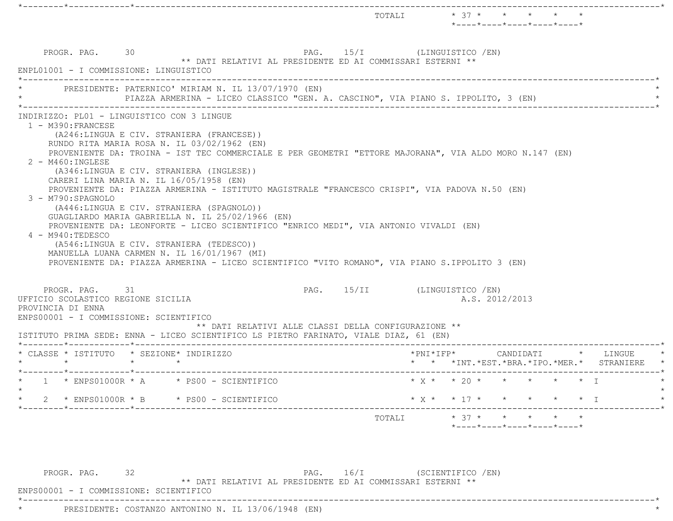|                                                                                                                                                                                                                                                                                                                                                                                                                                                                                                                                                                                                                                                                                                                                                                                                                                                                                            |                              | TOTALI $* 37 * * * * * *$                                                     | $*$ ---- $*$ ---- $*$ ---- $*$ ---- $*$                                      |  |
|--------------------------------------------------------------------------------------------------------------------------------------------------------------------------------------------------------------------------------------------------------------------------------------------------------------------------------------------------------------------------------------------------------------------------------------------------------------------------------------------------------------------------------------------------------------------------------------------------------------------------------------------------------------------------------------------------------------------------------------------------------------------------------------------------------------------------------------------------------------------------------------------|------------------------------|-------------------------------------------------------------------------------|------------------------------------------------------------------------------|--|
| PROGR. PAG. 30<br>PAG. 15/I (LINGUISTICO / EN)<br>** DATI RELATIVI AL PRESIDENTE ED AI COMMISSARI ESTERNI **<br>ENPL01001 - I COMMISSIONE: LINGUISTICO                                                                                                                                                                                                                                                                                                                                                                                                                                                                                                                                                                                                                                                                                                                                     |                              |                                                                               |                                                                              |  |
| PRESIDENTE: PATERNICO' MIRIAM N. IL 13/07/1970 (EN)<br>PIAZZA ARMERINA - LICEO CLASSICO "GEN. A. CASCINO", VIA PIANO S. IPPOLITO, 3 (EN)                                                                                                                                                                                                                                                                                                                                                                                                                                                                                                                                                                                                                                                                                                                                                   |                              |                                                                               |                                                                              |  |
| 1 - M390: FRANCESE<br>(A246:LINGUA E CIV. STRANIERA (FRANCESE))<br>RUNDO RITA MARIA ROSA N. IL 03/02/1962 (EN)<br>PROVENIENTE DA: TROINA - IST TEC COMMERCIALE E PER GEOMETRI "ETTORE MAJORANA", VIA ALDO MORO N.147 (EN)<br>2 - M460: INGLESE<br>(A346:LINGUA E CIV. STRANIERA (INGLESE))<br>CARERI LINA MARIA N. IL 16/05/1958 (EN)<br>PROVENIENTE DA: PIAZZA ARMERINA - ISTITUTO MAGISTRALE "FRANCESCO CRISPI", VIA PADOVA N.50 (EN)<br>3 - M790: SPAGNOLO<br>(A446:LINGUA E CIV. STRANIERA (SPAGNOLO))<br>GUAGLIARDO MARIA GABRIELLA N. IL 25/02/1966 (EN)<br>PROVENIENTE DA: LEONFORTE - LICEO SCIENTIFICO "ENRICO MEDI", VIA ANTONIO VIVALDI (EN)<br>4 - M940:TEDESCO<br>(A546:LINGUA E CIV. STRANIERA (TEDESCO))<br>MANUELLA LUANA CARMEN N. IL 16/01/1967 (MI)<br>PROVENIENTE DA: PIAZZA ARMERINA - LICEO SCIENTIFICO "VITO ROMANO", VIA PIANO S.IPPOLITO 3 (EN)<br>PROGR. PAG. 31 | PAG. 15/II (LINGUISTICO /EN) |                                                                               |                                                                              |  |
| UFFICIO SCOLASTICO REGIONE SICILIA<br>PROVINCIA DI ENNA<br>ENPS00001 - I COMMISSIONE: SCIENTIFICO<br>** DATI RELATIVI ALLE CLASSI DELLA CONFIGURAZIONE **<br>ISTITUTO PRIMA SEDE: ENNA - LICEO SCIENTIFICO LS PIETRO FARINATO, VIALE DIAZ, 61 (EN)                                                                                                                                                                                                                                                                                                                                                                                                                                                                                                                                                                                                                                         |                              |                                                                               | A.S. 2012/2013                                                               |  |
| * CLASSE * ISTITUTO * SEZIONE* INDIRIZZO<br>$\star$<br>$\star$ $\star$                                                                                                                                                                                                                                                                                                                                                                                                                                                                                                                                                                                                                                                                                                                                                                                                                     |                              | *PNI*IFP* CANDIDATI * LINGUE<br>* * *INT. *EST. *BRA. *IPO. *MER. * STRANIERE |                                                                              |  |
| $\star$ 1 $\star$ ENPS01000R $\star$ A $\star$ PS00 - SCIENTIFICO                                                                                                                                                                                                                                                                                                                                                                                                                                                                                                                                                                                                                                                                                                                                                                                                                          | * $X$ * * 20 * * * * * * I   |                                                                               |                                                                              |  |
| $2 \times$ ENPS01000R $*$ B $*$ PS00 - SCIENTIFICO                                                                                                                                                                                                                                                                                                                                                                                                                                                                                                                                                                                                                                                                                                                                                                                                                                         |                              |                                                                               |                                                                              |  |
|                                                                                                                                                                                                                                                                                                                                                                                                                                                                                                                                                                                                                                                                                                                                                                                                                                                                                            |                              |                                                                               |                                                                              |  |
|                                                                                                                                                                                                                                                                                                                                                                                                                                                                                                                                                                                                                                                                                                                                                                                                                                                                                            | TOTALI                       |                                                                               | $* 37 * * * * * * * * *$<br>$*$ ---- $*$ ---- $*$ ---- $*$ ---- $*$ ---- $*$ |  |

\*\* DATI RELATIVI AL PRESIDENTE ED AI COMMISSARI ESTERNI \*\*

 ENPS00001 - I COMMISSIONE: SCIENTIFICO \*----------------------------------------------------------------------------------------------------------------------------\*

\* PRESIDENTE: COSTANZO ANTONINO N. IL 13/06/1948 (EN) \*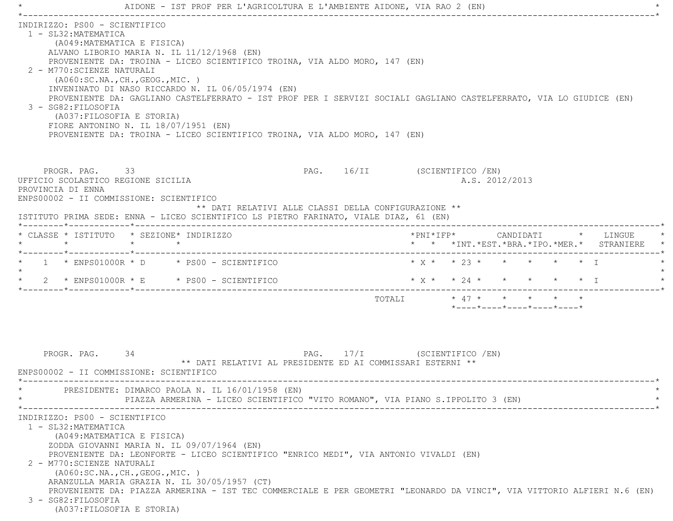|                                             |                                                                                                                                                                                                       | AIDONE - IST PROF PER L'AGRICOLTURA E L'AMBIENTE AIDONE, VIA RAO 2 (EN)                                                                                                                                                                                                                                                                                                            |                              |        |                                                                                                               |                |  |                                                                               |  |
|---------------------------------------------|-------------------------------------------------------------------------------------------------------------------------------------------------------------------------------------------------------|------------------------------------------------------------------------------------------------------------------------------------------------------------------------------------------------------------------------------------------------------------------------------------------------------------------------------------------------------------------------------------|------------------------------|--------|---------------------------------------------------------------------------------------------------------------|----------------|--|-------------------------------------------------------------------------------|--|
| 1 - SL32: MATEMATICA<br>3 - SG82: FILOSOFIA | INDIRIZZO: PS00 - SCIENTIFICO<br>(A049: MATEMATICA E FISICA)<br>2 - M770: SCIENZE NATURALI<br>( A060:SC.NA., CH., GEOG., MIC. )<br>(A037: FILOSOFIA E STORIA)<br>FIORE ANTONINO N. IL 18/07/1951 (EN) | ALVANO LIBORIO MARIA N. IL 11/12/1968 (EN)<br>PROVENIENTE DA: TROINA - LICEO SCIENTIFICO TROINA, VIA ALDO MORO, 147 (EN)<br>INVENINATO DI NASO RICCARDO N. IL 06/05/1974 (EN)<br>PROVENIENTE DA: GAGLIANO CASTELFERRATO - IST PROF PER I SERVIZI SOCIALI GAGLIANO CASTELFERRATO, VIA LO GIUDICE (EN)<br>PROVENIENTE DA: TROINA - LICEO SCIENTIFICO TROINA, VIA ALDO MORO, 147 (EN) |                              |        |                                                                                                               |                |  |                                                                               |  |
| PROVINCIA DI ENNA                           | PROGR. PAG. 33<br>UFFICIO SCOLASTICO REGIONE SICILIA<br>ENPS00002 - II COMMISSIONE: SCIENTIFICO                                                                                                       | ** DATI RELATIVI ALLE CLASSI DELLA CONFIGURAZIONE **<br>ISTITUTO PRIMA SEDE: ENNA - LICEO SCIENTIFICO LS PIETRO FARINATO, VIALE DIAZ, 61 (EN)                                                                                                                                                                                                                                      | PAG. 16/II (SCIENTIFICO /EN) |        |                                                                                                               | A.S. 2012/2013 |  |                                                                               |  |
| $\star$                                     | * CLASSE * ISTITUTO * SEZIONE* INDIRIZZO<br>$\star$                                                                                                                                                   | $\star$                                                                                                                                                                                                                                                                                                                                                                            |                              |        |                                                                                                               |                |  | *PNI*IFP* CANDIDATI * LINGUE<br>* * *INT. *EST. *BRA. *IPO. *MER. * STRANIERE |  |
|                                             | *--------*------------*--------------                                                                                                                                                                 | $1 *$ ENPS01000R * D * PS00 - SCIENTIFICO                                                                                                                                                                                                                                                                                                                                          |                              |        | $* x * * 23 * * * * * * * T$                                                                                  |                |  |                                                                               |  |
|                                             |                                                                                                                                                                                                       | 2 * ENPS01000R * E * PS00 - SCIENTIFICO                                                                                                                                                                                                                                                                                                                                            |                              |        | * $X$ * * 24 * * * * * * I                                                                                    |                |  |                                                                               |  |
|                                             |                                                                                                                                                                                                       |                                                                                                                                                                                                                                                                                                                                                                                    |                              | TOTALI | $\star$ 47 $\star$ $\star$ $\star$ $\star$<br>$*$ - - - - $*$ - - - - $*$ - - - - $*$ - - - - $*$ - - - - $*$ |                |  |                                                                               |  |
|                                             | 34<br>PROGR. PAG.<br>ENPS00002 - II COMMISSIONE: SCIENTIFICO                                                                                                                                          | ** DATI RELATIVI AL PRESIDENTE ED AI COMMISSARI ESTERNI **<br>PRESIDENTE: DIMARCO PAOLA N. IL 16/01/1958 (EN)<br>PIAZZA ARMERINA - LICEO SCIENTIFICO "VITO ROMANO", VIA PIANO S.IPPOLITO 3 (EN)                                                                                                                                                                                    | PAG. 17/I (SCIENTIFICO /EN)  |        |                                                                                                               |                |  |                                                                               |  |
| 1 - SL32: MATEMATICA<br>3 - SG82: FILOSOFIA | INDIRIZZO: PS00 - SCIENTIFICO<br>(A049: MATEMATICA E FISICA)<br>2 - M770: SCIENZE NATURALI<br>( A060:SC.NA., CH., GEOG., MIC. )<br>(A037: FILOSOFIA E STORIA)                                         | ZODDA GIOVANNI MARIA N. IL 09/07/1964 (EN)<br>PROVENIENTE DA: LEONFORTE - LICEO SCIENTIFICO "ENRICO MEDI", VIA ANTONIO VIVALDI (EN)<br>ARANZULLA MARIA GRAZIA N. IL 30/05/1957 (CT)<br>PROVENIENTE DA: PIAZZA ARMERINA - IST TEC COMMERCIALE E PER GEOMETRI "LEONARDO DA VINCI", VIA VITTORIO ALFIERI N.6 (EN)                                                                     |                              |        |                                                                                                               |                |  |                                                                               |  |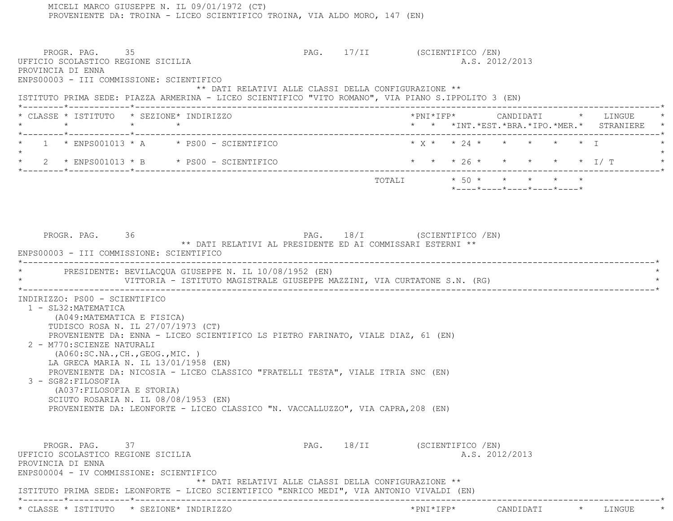MICELI MARCO GIUSEPPE N. IL 09/01/1972 (CT) PROVENIENTE DA: TROINA - LICEO SCIENTIFICO TROINA, VIA ALDO MORO, 147 (EN) PROGR. PAG. 35 35 PAG. 17/II (SCIENTIFICO /EN) UFFICIO SCOLASTICO REGIONE SICILIA A.S. 2012/2013 PROVINCIA DI ENNA ENPS00003 - III COMMISSIONE: SCIENTIFICO \*\* DATI RELATIVI ALLE CLASSI DELLA CONFIGURAZIONE \*\* ISTITUTO PRIMA SEDE: PIAZZA ARMERINA - LICEO SCIENTIFICO "VITO ROMANO", VIA PIANO S.IPPOLITO 3 (EN) \*--------\*------------\*-------------------------------------------------------------------------------------------------------\* \* CLASSE \* ISTITUTO \* SEZIONE\* INDIRIZZO \*PNI\*IFP\* CANDIDATI \* LINGUE \* \* \* \* \* \* \* \*INT.\*EST.\*BRA.\*IPO.\*MER.\* STRANIERE \* \*--------\*------------\*-------------------------------------------------------------------------------------------------------\* $1 \times$  ENPS001013 \* A  $\rightarrow$  PS00 - SCIENTIFICO  $\rightarrow$  X \*  $\rightarrow$  24 \* \* \* \* \* \* I  $\star$  \* 2 \* ENPS001013 \* B \* PS00 - SCIENTIFICO \* \* \* 26 \* \* \* \* \* I/ T \* \*--------\*------------\*-------------------------------------------------------------------------------------------------------\*TOTALI  $* 50 * * * * * * * *$  \*----\*----\*----\*----\*----\*PROGR. PAG. 36 36 PAG. 18/I (SCIENTIFICO /EN) \*\* DATI RELATIVI AL PRESIDENTE ED AI COMMISSARI ESTERNI \*\* ENPS00003 - III COMMISSIONE: SCIENTIFICO \*----------------------------------------------------------------------------------------------------------------------------\*PRESIDENTE: BEVILACQUA GIUSEPPE N. IL 10/08/1952 (EN) VITTORIA - ISTITUTO MAGISTRALE GIUSEPPE MAZZINI, VIA CURTATONE S.N. (RG) \*----------------------------------------------------------------------------------------------------------------------------\* INDIRIZZO: PS00 - SCIENTIFICO 1 - SL32:MATEMATICA (A049:MATEMATICA E FISICA) TUDISCO ROSA N. IL 27/07/1973 (CT) PROVENIENTE DA: ENNA - LICEO SCIENTIFICO LS PIETRO FARINATO, VIALE DIAZ, 61 (EN) 2 - M770:SCIENZE NATURALI (A060:SC.NA.,CH.,GEOG.,MIC. ) LA GRECA MARIA N. IL 13/01/1958 (EN) PROVENIENTE DA: NICOSIA - LICEO CLASSICO "FRATELLI TESTA", VIALE ITRIA SNC (EN) 3 - SG82:FILOSOFIA (A037:FILOSOFIA E STORIA) SCIUTO ROSARIA N. IL 08/08/1953 (EN) PROVENIENTE DA: LEONFORTE - LICEO CLASSICO "N. VACCALLUZZO", VIA CAPRA,208 (EN) PROGR. PAG. 37 37 PAG. 18/II (SCIENTIFICO /EN) UFFICIO SCOLASTICO REGIONE SICILIA A.S. 2012/2013 PROVINCIA DI ENNA ENPS00004 - IV COMMISSIONE: SCIENTIFICO \*\* DATI RELATIVI ALLE CLASSI DELLA CONFIGURAZIONE \*\* ISTITUTO PRIMA SEDE: LEONFORTE - LICEO SCIENTIFICO "ENRICO MEDI", VIA ANTONIO VIVALDI (EN) \*--------\*------------\*-------------------------------------------------------------------------------------------------------\*

\* CLASSE \* ISTITUTO \* SEZIONE\* INDIRIZZO \*PNI\*IFP\* CANDIDATI \* LINGUE \*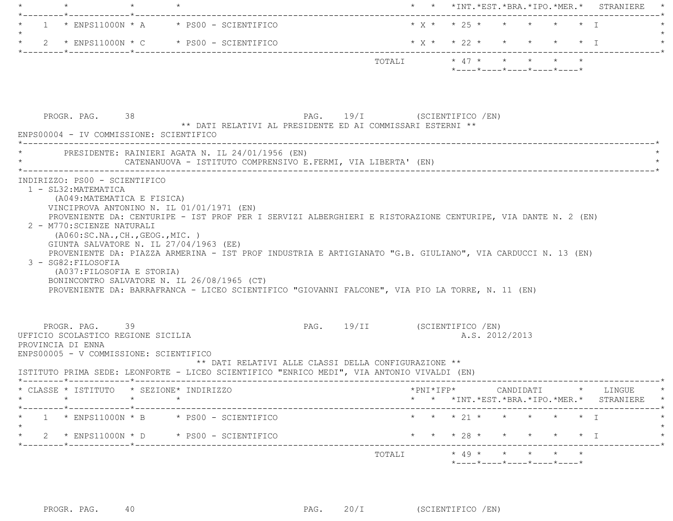| $\star$                                                                                                              |                                                                                                                                                                                                                                                                                                                                                                                                                          |                                                                                       |                              |                                                                 |  |                           | * * *INT.*EST.*BRA.*IPO.*MER.* STRANIERE                                                                                                                              |
|----------------------------------------------------------------------------------------------------------------------|--------------------------------------------------------------------------------------------------------------------------------------------------------------------------------------------------------------------------------------------------------------------------------------------------------------------------------------------------------------------------------------------------------------------------|---------------------------------------------------------------------------------------|------------------------------|-----------------------------------------------------------------|--|---------------------------|-----------------------------------------------------------------------------------------------------------------------------------------------------------------------|
|                                                                                                                      | $1 *$ ENPS11000N * A $*$ PS00 - SCIENTIFICO                                                                                                                                                                                                                                                                                                                                                                              |                                                                                       | $* x * * 25 * * * * * * * T$ |                                                                 |  |                           |                                                                                                                                                                       |
| $\mathbf{2}$                                                                                                         | $*$ ENPS11000N $*$ C $*$ PS00 - SCIENTIFICO                                                                                                                                                                                                                                                                                                                                                                              |                                                                                       | $*$ X $*$ $*$ 22 $*$         |                                                                 |  | $\star$ $\star$ $\star$ T |                                                                                                                                                                       |
|                                                                                                                      |                                                                                                                                                                                                                                                                                                                                                                                                                          |                                                                                       | TOTALI * 47 * * * * * *      | $*$ - - - - $*$ - - - - $*$ - - - - $*$ - - - - $*$ - - - - $*$ |  |                           |                                                                                                                                                                       |
| PROGR. PAG. 38<br>ENPS00004 - IV COMMISSIONE: SCIENTIFICO                                                            | PAG. 19/I (SCIENTIFICO /EN)<br>** DATI RELATIVI AL PRESIDENTE ED AI COMMISSARI ESTERNI **                                                                                                                                                                                                                                                                                                                                |                                                                                       |                              |                                                                 |  |                           |                                                                                                                                                                       |
|                                                                                                                      | * PRESIDENTE: RAINIERI AGATA N. IL 24/01/1956 (EN)<br>CATENANUOVA - ISTITUTO COMPRENSIVO E.FERMI, VIA LIBERTA' (EN)                                                                                                                                                                                                                                                                                                      |                                                                                       |                              |                                                                 |  |                           |                                                                                                                                                                       |
| 2 - M770: SCIENZE NATURALI<br>( A060:SC.NA., CH., GEOG., MIC. )<br>3 - SG82: FILOSOFIA<br>(A037: FILOSOFIA E STORIA) | PROVENIENTE DA: CENTURIPE - IST PROF PER I SERVIZI ALBERGHIERI E RISTORAZIONE CENTURIPE, VIA DANTE N. 2 (EN)<br>GIUNTA SALVATORE N. IL 27/04/1963 (EE)<br>PROVENIENTE DA: PIAZZA ARMERINA - IST PROF INDUSTRIA E ARTIGIANATO "G.B. GIULIANO", VIA CARDUCCI N. 13 (EN)<br>BONINCONTRO SALVATORE N. IL 26/08/1965 (CT)<br>PROVENIENTE DA: BARRAFRANCA - LICEO SCIENTIFICO "GIOVANNI FALCONE", VIA PIO LA TORRE, N. 11 (EN) |                                                                                       |                              |                                                                 |  |                           |                                                                                                                                                                       |
| PROGR. PAG. 39<br>UFFICIO SCOLASTICO REGIONE SICILIA<br>PROVINCIA DI ENNA<br>ENPS00005 - V COMMISSIONE: SCIENTIFICO  | ISTITUTO PRIMA SEDE: LEONFORTE - LICEO SCIENTIFICO "ENRICO MEDI", VIA ANTONIO VIVALDI (EN)                                                                                                                                                                                                                                                                                                                               | PAG. 19/II (SCIENTIFICO / EN)<br>** DATI RELATIVI ALLE CLASSI DELLA CONFIGURAZIONE ** |                              | A.S. 2012/2013                                                  |  |                           |                                                                                                                                                                       |
| * CLASSE * ISTITUTO * SEZIONE* INDIRIZZO                                                                             |                                                                                                                                                                                                                                                                                                                                                                                                                          |                                                                                       |                              |                                                                 |  |                           |                                                                                                                                                                       |
|                                                                                                                      |                                                                                                                                                                                                                                                                                                                                                                                                                          |                                                                                       |                              |                                                                 |  |                           |                                                                                                                                                                       |
|                                                                                                                      | $1 *$ ENPS11000N $*$ B $*$ PS00 - SCIENTIFICO                                                                                                                                                                                                                                                                                                                                                                            |                                                                                       |                              | * * * 21 * * * * * * I                                          |  |                           | $\text{\tt *PNI*IFP*} \qquad \qquad \text{CANDIDATI} \qquad \text{\tt *} \qquad \text{LINGUE} \qquad \text{\tt *}$<br>* * *INT. *EST. *BRA. *IPO. *MER. * STRANIERE * |
|                                                                                                                      | 2 * ENPS11000N * D * PS00 - SCIENTIFICO                                                                                                                                                                                                                                                                                                                                                                                  |                                                                                       |                              | * * * 28 * * * * * * I                                          |  |                           |                                                                                                                                                                       |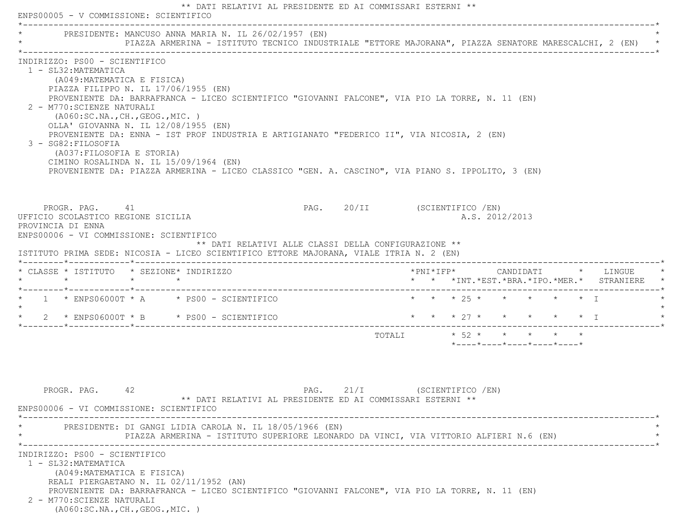\*\* DATI RELATIVI AL PRESIDENTE ED AI COMMISSARI ESTERNI \*\* ENPS00005 - V COMMISSIONE: SCIENTIFICO \*----------------------------------------------------------------------------------------------------------------------------\*PRESIDENTE: MANCUSO ANNA MARIA N. IL 26/02/1957 (EN) \* PIAZZA ARMERINA - ISTITUTO TECNICO INDUSTRIALE "ETTORE MAJORANA", PIAZZA SENATORE MARESCALCHI, 2 (EN) \* \*----------------------------------------------------------------------------------------------------------------------------\* INDIRIZZO: PS00 - SCIENTIFICO 1 - SL32:MATEMATICA (A049:MATEMATICA E FISICA) PIAZZA FILIPPO N. IL 17/06/1955 (EN) PROVENIENTE DA: BARRAFRANCA - LICEO SCIENTIFICO "GIOVANNI FALCONE", VIA PIO LA TORRE, N. 11 (EN) 2 - M770:SCIENZE NATURALI (A060:SC.NA.,CH.,GEOG.,MIC. ) OLLA' GIOVANNA N. IL 12/08/1955 (EN) PROVENIENTE DA: ENNA - IST PROF INDUSTRIA E ARTIGIANATO "FEDERICO II", VIA NICOSIA, 2 (EN) 3 - SG82:FILOSOFIA (A037:FILOSOFIA E STORIA) CIMINO ROSALINDA N. IL 15/09/1964 (EN) PROVENIENTE DA: PIAZZA ARMERINA - LICEO CLASSICO "GEN. A. CASCINO", VIA PIANO S. IPPOLITO, 3 (EN) PROGR. PAG. 41 All and PAG. 20/II (SCIENTIFICO /EN) UFFICIO SCOLASTICO REGIONE SICILIA A.S. 2012/2013 PROVINCIA DI ENNA ENPS00006 - VI COMMISSIONE: SCIENTIFICO \*\* DATI RELATIVI ALLE CLASSI DELLA CONFIGURAZIONE \*\* ISTITUTO PRIMA SEDE: NICOSIA - LICEO SCIENTIFICO ETTORE MAJORANA, VIALE ITRIA N. 2 (EN) \*--------\*------------\*-------------------------------------------------------------------------------------------------------\* \* CLASSE \* ISTITUTO \* SEZIONE\* INDIRIZZO \*PNI\*IFP\* CANDIDATI \* LINGUE \* \* \* \* \* \* \* \*INT.\*EST.\*BRA.\*IPO.\*MER.\* STRANIERE \* \*--------\*------------\*-------------------------------------------------------------------------------------------------------\*1 \* ENPS06000T \* A \* PS00 - SCIENTIFICO \* \* \* \* 25 \* \* \* \* \* \* \* T  $\star$  \* 2 \* ENPS06000T \* B \* PS00 - SCIENTIFICO \* \* \* 27 \* \* \* \* \* I \* \*--------\*------------\*-------------------------------------------------------------------------------------------------------\*TOTALI  $\star$  52  $\star$   $\star$   $\star$   $\star$   $\star$  \*----\*----\*----\*----\*----\*PROGR. PAG. 42 21/I (SCIENTIFICO /EN) \*\* DATI RELATIVI AL PRESIDENTE ED AI COMMISSARI ESTERNI \*\* ENPS00006 - VI COMMISSIONE: SCIENTIFICO \*----------------------------------------------------------------------------------------------------------------------------\* \* PRESIDENTE: DI GANGI LIDIA CAROLA N. IL 18/05/1966 (EN) \* PIAZZA ARMERINA - ISTITUTO SUPERIORE LEONARDO DA VINCI, VIA VITTORIO ALFIERI N.6 (EN) \*----------------------------------------------------------------------------------------------------------------------------\* INDIRIZZO: PS00 - SCIENTIFICO 1 - SL32:MATEMATICA (A049:MATEMATICA E FISICA) REALI PIERGAETANO N. IL 02/11/1952 (AN) PROVENIENTE DA: BARRAFRANCA - LICEO SCIENTIFICO "GIOVANNI FALCONE", VIA PIO LA TORRE, N. 11 (EN) 2 - M770:SCIENZE NATURALI (A060:SC.NA.,CH.,GEOG.,MIC. )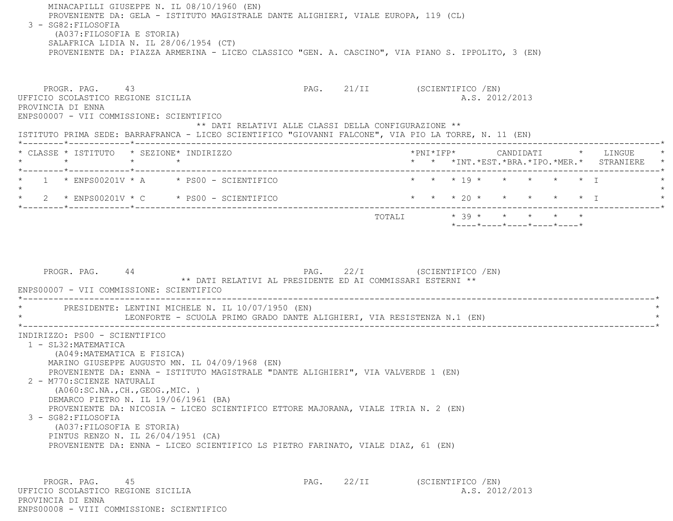MINACAPILLI GIUSEPPE N. IL 08/10/1960 (EN) PROVENIENTE DA: GELA - ISTITUTO MAGISTRALE DANTE ALIGHIERI, VIALE EUROPA, 119 (CL) 3 - SG82:FILOSOFIA (A037:FILOSOFIA E STORIA) SALAFRICA LIDIA N. IL 28/06/1954 (CT) PROVENIENTE DA: PIAZZA ARMERINA - LICEO CLASSICO "GEN. A. CASCINO", VIA PIANO S. IPPOLITO, 3 (EN) PROGR. PAG. 43 ARC 21/II (SCIENTIFICO /EN) UFFICIO SCOLASTICO REGIONE SICILIA A.S. 2012/2013 PROVINCIA DI ENNA ENPS00007 - VII COMMISSIONE: SCIENTIFICO \*\* DATI RELATIVI ALLE CLASSI DELLA CONFIGURAZIONE \*\* ISTITUTO PRIMA SEDE: BARRAFRANCA - LICEO SCIENTIFICO "GIOVANNI FALCONE", VIA PIO LA TORRE, N. 11 (EN) \*--------\*------------\*-------------------------------------------------------------------------------------------------------\* \* CLASSE \* ISTITUTO \* SEZIONE\* INDIRIZZO \*PNI\*IFP\* CANDIDATI \* LINGUE \* \* \* \* \* \* \* \*INT.\*EST.\*BRA.\*IPO.\*MER.\* STRANIERE \* \*--------\*------------\*-------------------------------------------------------------------------------------------------------\*1 \* ENPS00201V \* A \* PS00 - SCIENTIFICO \* \* \* \* 19 \* \* \* \* \* \* \* \* I  $\star$ \* 2 \* ENPS00201V \* C \* PS00 - SCIENTIFICO \* \* \* \* \* 20 \* \* \* \* \* \* \* I \*--------\*------------\*-------------------------------------------------------------------------------------------------------\*TOTALI  $* 39 * * * * * * * * * *$  \*----\*----\*----\*----\*----\*PROGR. PAG. 44 PAG. 22/I (SCIENTIFICO /EN) \*\* DATI RELATIVI AL PRESIDENTE ED AI COMMISSARI ESTERNI \*\* ENPS00007 - VII COMMISSIONE: SCIENTIFICO \*----------------------------------------------------------------------------------------------------------------------------\*PRESIDENTE: LENTINI MICHELE N. IL 10/07/1950 (EN) LEONFORTE - SCUOLA PRIMO GRADO DANTE ALIGHIERI, VIA RESISTENZA N.1 (EN) \*----------------------------------------------------------------------------------------------------------------------------\* INDIRIZZO: PS00 - SCIENTIFICO 1 - SL32:MATEMATICA (A049:MATEMATICA E FISICA) MARINO GIUSEPPE AUGUSTO MN. IL 04/09/1968 (EN) PROVENIENTE DA: ENNA - ISTITUTO MAGISTRALE "DANTE ALIGHIERI", VIA VALVERDE 1 (EN) 2 - M770:SCIENZE NATURALI (A060:SC.NA.,CH.,GEOG.,MIC. ) DEMARCO PIETRO N. IL 19/06/1961 (BA) PROVENIENTE DA: NICOSIA - LICEO SCIENTIFICO ETTORE MAJORANA, VIALE ITRIA N. 2 (EN) 3 - SG82:FILOSOFIA (A037:FILOSOFIA E STORIA) PINTUS RENZO N. IL 26/04/1951 (CA) PROVENIENTE DA: ENNA - LICEO SCIENTIFICO LS PIETRO FARINATO, VIALE DIAZ, 61 (EN) PROGR. PAG. 45 45 PAG. 22/II (SCIENTIFICO /EN) UFFICIO SCOLASTICO REGIONE SICILIA A.S. 2012/2013 PROVINCIA DI ENNA

ENPS00008 - VIII COMMISSIONE: SCIENTIFICO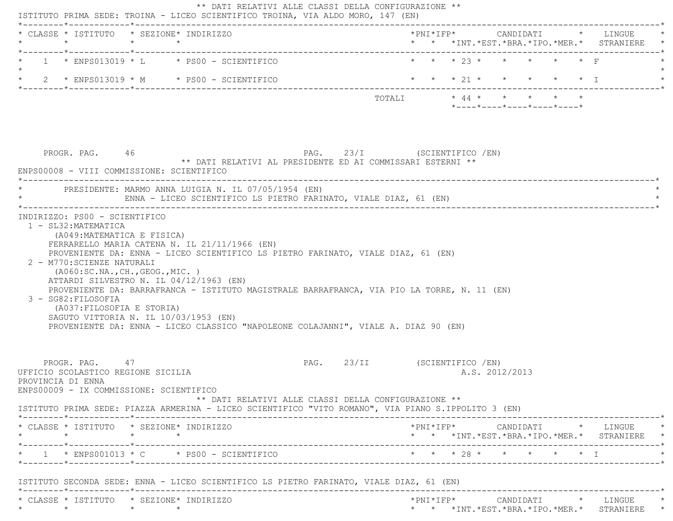|         | * CLASSE * ISTITUTO * SEZIONE* INDIRIZZO<br>$\star$                                                                                                                                                                                                                                                                        | $\star$                    | $\star$ |  |                                                                  |                               |                        |  |  |                |                                                  |  | * * *INT.*EST.*BRA.*IPO.*MER.* STRANIERE *                                                                                                         |
|---------|----------------------------------------------------------------------------------------------------------------------------------------------------------------------------------------------------------------------------------------------------------------------------------------------------------------------------|----------------------------|---------|--|------------------------------------------------------------------|-------------------------------|------------------------|--|--|----------------|--------------------------------------------------|--|----------------------------------------------------------------------------------------------------------------------------------------------------|
|         | $1 *$ ENPS013019 * L * PS00 - SCIENTIFICO                                                                                                                                                                                                                                                                                  |                            |         |  |                                                                  |                               |                        |  |  |                | * * * 23 * * *                                   |  |                                                                                                                                                    |
|         | * $2$ * ENPS013019 * M * PS00 - SCIENTIFICO                                                                                                                                                                                                                                                                                |                            |         |  |                                                                  |                               |                        |  |  |                | * * * 21 * * * * * * T                           |  |                                                                                                                                                    |
|         |                                                                                                                                                                                                                                                                                                                            |                            |         |  |                                                                  |                               |                        |  |  |                | $*$ ---- $*$ ---- $*$ ---- $*$ ---- $*$ ---- $*$ |  |                                                                                                                                                    |
|         | PROGR. PAG. 46                                                                                                                                                                                                                                                                                                             |                            |         |  | ** DATI RELATIVI AL PRESIDENTE ED AI COMMISSARI ESTERNI **       | PAG. 23/I (SCIENTIFICO /EN)   |                        |  |  |                |                                                  |  |                                                                                                                                                    |
|         | ENPS00008 - VIII COMMISSIONE: SCIENTIFICO                                                                                                                                                                                                                                                                                  |                            |         |  |                                                                  |                               |                        |  |  |                |                                                  |  |                                                                                                                                                    |
|         | PRESIDENTE: MARMO ANNA LUIGIA N. IL 07/05/1954 (EN)                                                                                                                                                                                                                                                                        |                            |         |  | ENNA - LICEO SCIENTIFICO LS PIETRO FARINATO, VIALE DIAZ, 61 (EN) |                               |                        |  |  |                |                                                  |  |                                                                                                                                                    |
|         | INDIRIZZO: PS00 - SCIENTIFICO                                                                                                                                                                                                                                                                                              |                            |         |  |                                                                  |                               |                        |  |  |                |                                                  |  |                                                                                                                                                    |
|         | FERRARELLO MARIA CATENA N. IL 21/11/1966 (EN)<br>PROVENIENTE DA: ENNA - LICEO SCIENTIFICO LS PIETRO FARINATO, VIALE DIAZ, 61 (EN)<br>2 - M770: SCIENZE NATURALI<br>( A060:SC.NA., CH., GEOG., MIC. )                                                                                                                       | (A049:MATEMATICA E FISICA) |         |  |                                                                  |                               |                        |  |  |                |                                                  |  |                                                                                                                                                    |
|         | ATTARDI SILVESTRO N. IL 04/12/1963 (EN)<br>PROVENIENTE DA: BARRAFRANCA - ISTITUTO MAGISTRALE BARRAFRANCA, VIA PIO LA TORRE, N. 11 (EN)<br>3 - SG82: FILOSOFIA<br>(A037: FILOSOFIA E STORIA)<br>SAGUTO VITTORIA N. IL 10/03/1953 (EN)<br>PROVENIENTE DA: ENNA - LICEO CLASSICO "NAPOLEONE COLAJANNI", VIALE A. DIAZ 90 (EN) |                            |         |  |                                                                  |                               |                        |  |  |                |                                                  |  |                                                                                                                                                    |
|         | PROGR, PAG, 47<br>UFFICIO SCOLASTICO REGIONE SICILIA<br>PROVINCIA DI ENNA<br>ENPS00009 - IX COMMISSIONE: SCIENTIFICO                                                                                                                                                                                                       |                            |         |  | ** DATI RELATIVI ALLE CLASSI DELLA CONFIGURAZIONE **             | PAG. 23/II (SCIENTIFICO / EN) |                        |  |  | A.S. 2012/2013 |                                                  |  |                                                                                                                                                    |
|         | ISTITUTO PRIMA SEDE: PIAZZA ARMERINA - LICEO SCIENTIFICO "VITO ROMANO", VIA PIANO S.IPPOLITO 3 (EN)                                                                                                                                                                                                                        |                            |         |  |                                                                  |                               |                        |  |  |                |                                                  |  |                                                                                                                                                    |
| $\star$ | * CLASSE * ISTITUTO * SEZIONE* INDIRIZZO                                                                                                                                                                                                                                                                                   | $\star$ $\star$            |         |  |                                                                  |                               |                        |  |  |                |                                                  |  | $*PNI*IFP* \qquad \qquad \text{CANDIDATI} \qquad \qquad * \qquad \text{LINGUE} \qquad \qquad *$<br>* * *INT. *EST. *BRA. *IPO. *MER. * STRANIERE * |
|         | $\star$ 1 $\star$ ENPS001013 $\star$ C $\star$ PS00 - SCIENTIFICO                                                                                                                                                                                                                                                          |                            |         |  | ----------------------------------                               |                               | * * * 28 * * * * * * I |  |  |                |                                                  |  |                                                                                                                                                    |
|         | ISTITUTO SECONDA SEDE: ENNA - LICEO SCIENTIFICO LS PIETRO FARINATO, VIALE DIAZ, 61 (EN)                                                                                                                                                                                                                                    |                            |         |  |                                                                  |                               |                        |  |  |                |                                                  |  |                                                                                                                                                    |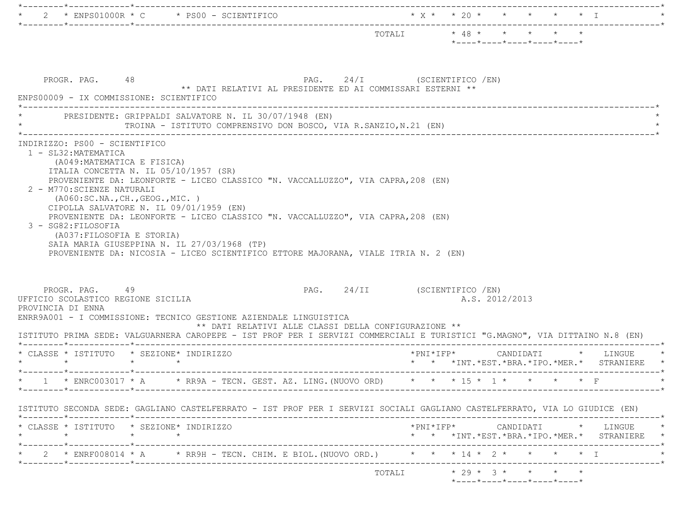| *----*----*----*----*----*<br>PAG. 24/I (SCIENTIFICO /EN)<br>PROGR. PAG. 48<br>** DATI RELATIVI AL PRESIDENTE ED AI COMMISSARI ESTERNI **<br>ENPS00009 - IX COMMISSIONE: SCIENTIFICO<br>* PRESIDENTE: GRIPPALDI SALVATORE N. IL 30/07/1948 (EN)<br>TROINA - ISTITUTO COMPRENSIVO DON BOSCO, VIA R.SANZIO, N.21 (EN)<br>INDIRIZZO: PS00 - SCIENTIFICO<br>1 - SL32: MATEMATICA<br>(A049: MATEMATICA E FISICA)<br>ITALIA CONCETTA N. IL 05/10/1957 (SR)<br>PROVENIENTE DA: LEONFORTE - LICEO CLASSICO "N. VACCALLUZZO", VIA CAPRA, 208 (EN)<br>2 - M770: SCIENZE NATURALI<br>( A060:SC.NA., CH., GEOG., MIC. )<br>CIPOLLA SALVATORE N. IL 09/01/1959 (EN)<br>PROVENIENTE DA: LEONFORTE - LICEO CLASSICO "N. VACCALLUZZO", VIA CAPRA, 208 (EN)<br>3 - SG82: FILOSOFIA<br>(A037: FILOSOFIA E STORIA)<br>SAIA MARIA GIUSEPPINA N. IL 27/03/1968 (TP)<br>PROVENIENTE DA: NICOSIA - LICEO SCIENTIFICO ETTORE MAJORANA, VIALE ITRIA N. 2 (EN)<br>PAG. 24/II (SCIENTIFICO /EN)<br>PROGR. PAG. 49<br>UFFICIO SCOLASTICO REGIONE SICILIA<br>A.S. 2012/2013<br>PROVINCIA DI ENNA<br>ENRR9A001 - I COMMISSIONE: TECNICO GESTIONE AZIENDALE LINGUISTICA<br>** DATI RELATIVI ALLE CLASSI DELLA CONFIGURAZIONE **<br>ISTITUTO PRIMA SEDE: VALGUARNERA CAROPEPE - IST PROF PER I SERVIZI COMMERCIALI E TURISTICI "G.MAGNO", VIA DITTAINO N.8 (EN)<br>______*____________*_________<br>* CLASSE * ISTITUTO * SEZIONE* INDIRIZZO<br>*PNI*IFP*<br>* LINGUE<br>CANDIDATI<br>$\star$ $\star$<br>$\star$<br>* * *INT. *EST. *BRA. *IPO. *MER. * STRANIERE | $*$ ENPS01000R $*$ C $*$ PS00 - SCIENTIFICO                                                                                                                                                                                                                                                        |  |  |  |                                                                                                                                                    |
|-----------------------------------------------------------------------------------------------------------------------------------------------------------------------------------------------------------------------------------------------------------------------------------------------------------------------------------------------------------------------------------------------------------------------------------------------------------------------------------------------------------------------------------------------------------------------------------------------------------------------------------------------------------------------------------------------------------------------------------------------------------------------------------------------------------------------------------------------------------------------------------------------------------------------------------------------------------------------------------------------------------------------------------------------------------------------------------------------------------------------------------------------------------------------------------------------------------------------------------------------------------------------------------------------------------------------------------------------------------------------------------------------------------------------------------------------------------------------------------------------------------------------------------|----------------------------------------------------------------------------------------------------------------------------------------------------------------------------------------------------------------------------------------------------------------------------------------------------|--|--|--|----------------------------------------------------------------------------------------------------------------------------------------------------|
|                                                                                                                                                                                                                                                                                                                                                                                                                                                                                                                                                                                                                                                                                                                                                                                                                                                                                                                                                                                                                                                                                                                                                                                                                                                                                                                                                                                                                                                                                                                                   |                                                                                                                                                                                                                                                                                                    |  |  |  |                                                                                                                                                    |
|                                                                                                                                                                                                                                                                                                                                                                                                                                                                                                                                                                                                                                                                                                                                                                                                                                                                                                                                                                                                                                                                                                                                                                                                                                                                                                                                                                                                                                                                                                                                   |                                                                                                                                                                                                                                                                                                    |  |  |  |                                                                                                                                                    |
|                                                                                                                                                                                                                                                                                                                                                                                                                                                                                                                                                                                                                                                                                                                                                                                                                                                                                                                                                                                                                                                                                                                                                                                                                                                                                                                                                                                                                                                                                                                                   |                                                                                                                                                                                                                                                                                                    |  |  |  |                                                                                                                                                    |
|                                                                                                                                                                                                                                                                                                                                                                                                                                                                                                                                                                                                                                                                                                                                                                                                                                                                                                                                                                                                                                                                                                                                                                                                                                                                                                                                                                                                                                                                                                                                   |                                                                                                                                                                                                                                                                                                    |  |  |  |                                                                                                                                                    |
|                                                                                                                                                                                                                                                                                                                                                                                                                                                                                                                                                                                                                                                                                                                                                                                                                                                                                                                                                                                                                                                                                                                                                                                                                                                                                                                                                                                                                                                                                                                                   |                                                                                                                                                                                                                                                                                                    |  |  |  |                                                                                                                                                    |
|                                                                                                                                                                                                                                                                                                                                                                                                                                                                                                                                                                                                                                                                                                                                                                                                                                                                                                                                                                                                                                                                                                                                                                                                                                                                                                                                                                                                                                                                                                                                   |                                                                                                                                                                                                                                                                                                    |  |  |  |                                                                                                                                                    |
| * 1 * ENRC003017 * A * RR9A - TECN. GEST. AZ. LING. (NUOVO ORD) * * * 15 * 1 * * * * * * F                                                                                                                                                                                                                                                                                                                                                                                                                                                                                                                                                                                                                                                                                                                                                                                                                                                                                                                                                                                                                                                                                                                                                                                                                                                                                                                                                                                                                                        |                                                                                                                                                                                                                                                                                                    |  |  |  |                                                                                                                                                    |
|                                                                                                                                                                                                                                                                                                                                                                                                                                                                                                                                                                                                                                                                                                                                                                                                                                                                                                                                                                                                                                                                                                                                                                                                                                                                                                                                                                                                                                                                                                                                   | ISTITUTO SECONDA SEDE: GAGLIANO CASTELFERRATO - IST PROF PER I SERVIZI SOCIALI GAGLIANO CASTELFERRATO, VIA LO GIUDICE (EN)<br>* CLASSE * ISTITUTO * SEZIONE* INDIRIZZO<br>$\star$<br>$\star$<br>$\star$<br>2 * ENRF008014 * A * RR9H - TECN. CHIM. E BIOL. (NUOVO ORD.) * * * 14 * 2 * * * * * * I |  |  |  | $*PNI*IFP* \qquad \qquad \text{CANDIDATI} \qquad \qquad * \qquad \text{LINGUE} \qquad \qquad *$<br>* * *INT. *EST. *BRA. *IPO. *MER. * STRANIERE * |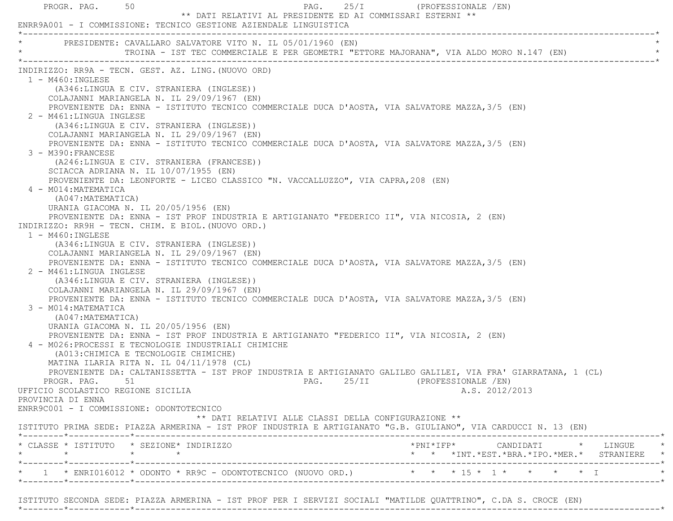| PROGR. PAG. 50                                                                                                                                                                                                                                                                 | PAG. $25/I$<br>** DATI RELATIVI AL PRESIDENTE ED AI COMMISSARI ESTERNI **<br>ENRR9A001 - I COMMISSIONE: TECNICO GESTIONE AZIENDALE LINGUISTICA                                                                                                                                                                                                                                                                                                                                                                                                                                                                                                                                                                                                                                                                                                                                                                                                                                                                                                                                                                                                                                                                                                                                                                                                                                                                                                                                                                                                                                                                                                                                                                    | (PROFESSIONALE /EN)                                                                                                                           |
|--------------------------------------------------------------------------------------------------------------------------------------------------------------------------------------------------------------------------------------------------------------------------------|-------------------------------------------------------------------------------------------------------------------------------------------------------------------------------------------------------------------------------------------------------------------------------------------------------------------------------------------------------------------------------------------------------------------------------------------------------------------------------------------------------------------------------------------------------------------------------------------------------------------------------------------------------------------------------------------------------------------------------------------------------------------------------------------------------------------------------------------------------------------------------------------------------------------------------------------------------------------------------------------------------------------------------------------------------------------------------------------------------------------------------------------------------------------------------------------------------------------------------------------------------------------------------------------------------------------------------------------------------------------------------------------------------------------------------------------------------------------------------------------------------------------------------------------------------------------------------------------------------------------------------------------------------------------------------------------------------------------|-----------------------------------------------------------------------------------------------------------------------------------------------|
|                                                                                                                                                                                                                                                                                | * PRESIDENTE: CAVALLARO SALVATORE VITO N. IL 05/01/1960 (EN)<br>TROINA - IST TEC COMMERCIALE E PER GEOMETRI "ETTORE MAJORANA", VIA ALDO MORO N.147 (EN)                                                                                                                                                                                                                                                                                                                                                                                                                                                                                                                                                                                                                                                                                                                                                                                                                                                                                                                                                                                                                                                                                                                                                                                                                                                                                                                                                                                                                                                                                                                                                           |                                                                                                                                               |
| $1 - M460$ : INGLESE<br>2 - M461:LINGUA INGLESE<br>3 - M390: FRANCESE<br>4 - M014: MATEMATICA<br>(A047: MATEMATICA)<br>$1 - M460$ : INGLESE<br>2 - M461:LINGUA INGLESE<br>3 - M014: MATEMATICA<br>(A047:MATEMATICA)<br>UFFICIO SCOLASTICO REGIONE SICILIA<br>PROVINCIA DI ENNA | INDIRIZZO: RR9A - TECN. GEST. AZ. LING. (NUOVO ORD)<br>(A346:LINGUA E CIV. STRANIERA (INGLESE))<br>COLAJANNI MARIANGELA N. IL 29/09/1967 (EN)<br>PROVENIENTE DA: ENNA - ISTITUTO TECNICO COMMERCIALE DUCA D'AOSTA, VIA SALVATORE MAZZA, 3/5 (EN)<br>(A346:LINGUA E CIV. STRANIERA (INGLESE))<br>COLAJANNI MARIANGELA N. IL 29/09/1967 (EN)<br>PROVENIENTE DA: ENNA - ISTITUTO TECNICO COMMERCIALE DUCA D'AOSTA, VIA SALVATORE MAZZA, 3/5 (EN)<br>(A246:LINGUA E CIV. STRANIERA (FRANCESE))<br>SCIACCA ADRIANA N. IL 10/07/1955 (EN)<br>PROVENIENTE DA: LEONFORTE - LICEO CLASSICO "N. VACCALLUZZO", VIA CAPRA, 208 (EN)<br>URANIA GIACOMA N. IL 20/05/1956 (EN)<br>PROVENIENTE DA: ENNA - IST PROF INDUSTRIA E ARTIGIANATO "FEDERICO II", VIA NICOSIA, 2 (EN)<br>INDIRIZZO: RR9H - TECN. CHIM. E BIOL. (NUOVO ORD.)<br>(A346:LINGUA E CIV. STRANIERA (INGLESE))<br>COLAJANNI MARIANGELA N. IL 29/09/1967 (EN)<br>PROVENIENTE DA: ENNA - ISTITUTO TECNICO COMMERCIALE DUCA D'AOSTA, VIA SALVATORE MAZZA, 3/5 (EN)<br>(A346:LINGUA E CIV. STRANIERA (INGLESE))<br>COLAJANNI MARIANGELA N. IL 29/09/1967 (EN)<br>PROVENIENTE DA: ENNA - ISTITUTO TECNICO COMMERCIALE DUCA D'AOSTA, VIA SALVATORE MAZZA, 3/5 (EN)<br>URANIA GIACOMA N. IL 20/05/1956 (EN)<br>PROVENIENTE DA: ENNA - IST PROF INDUSTRIA E ARTIGIANATO "FEDERICO II", VIA NICOSIA, 2 (EN)<br>4 - M026: PROCESSI E TECNOLOGIE INDUSTRIALI CHIMICHE<br>(A013: CHIMICA E TECNOLOGIE CHIMICHE)<br>MATINA ILARIA RITA N. IL 04/11/1978 (CL)<br>PROVENIENTE DA: CALTANISSETTA - IST PROF INDUSTRIA E ARTIGIANATO GALILEO GALILEI, VIA FRA' GIARRATANA, 1 (CL)<br>PROGR. PAG. 51 51 DAG. 25/II (PROFESSIONALE /EN)<br>ENRR9C001 - I COMMISSIONE: ODONTOTECNICO | A.S. 2012/2013                                                                                                                                |
|                                                                                                                                                                                                                                                                                | ** DATI RELATIVI ALLE CLASSI DELLA CONFIGURAZIONE **<br>ISTITUTO PRIMA SEDE: PIAZZA ARMERINA - IST PROF INDUSTRIA E ARTIGIANATO "G.B. GIULIANO", VIA CARDUCCI N. 13 (EN)                                                                                                                                                                                                                                                                                                                                                                                                                                                                                                                                                                                                                                                                                                                                                                                                                                                                                                                                                                                                                                                                                                                                                                                                                                                                                                                                                                                                                                                                                                                                          |                                                                                                                                               |
|                                                                                                                                                                                                                                                                                | * CLASSE * ISTITUTO * SEZIONE* INDIRIZZO                                                                                                                                                                                                                                                                                                                                                                                                                                                                                                                                                                                                                                                                                                                                                                                                                                                                                                                                                                                                                                                                                                                                                                                                                                                                                                                                                                                                                                                                                                                                                                                                                                                                          | $*PNI*IFP* \qquad \qquad \text{CANDIDATI} \qquad \qquad * \qquad \text{LINGUE} \qquad \qquad *$<br>* * *INT.*EST.*BRA.*IPO.*MER.* STRANIERE * |
|                                                                                                                                                                                                                                                                                |                                                                                                                                                                                                                                                                                                                                                                                                                                                                                                                                                                                                                                                                                                                                                                                                                                                                                                                                                                                                                                                                                                                                                                                                                                                                                                                                                                                                                                                                                                                                                                                                                                                                                                                   | * 1 * ENRI016012 * ODONTO * RR9C - ODONTOTECNICO (NUOVO ORD.) * * * * 15 * 1 * * * * * * I                                                    |

ISTITUTO SECONDA SEDE: PIAZZA ARMERINA - IST PROF PER I SERVIZI SOCIALI "MATILDE QUATTRINO", C.DA S. CROCE (EN)

\*--------\*------------\*-------------------------------------------------------------------------------------------------------\*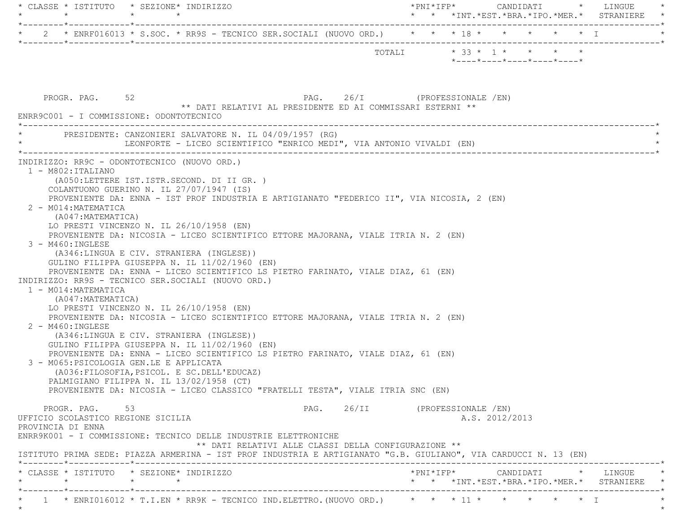| * CLASSE * ISTITUTO * SEZIONE* INDIRIZZO<br>$\star$ $\star$                                                                                                                                                                                                                                                                                                                                                                                                                                                                                                                                                                                                                                                                                                                                                                                                                                                                                                                                                                                                                                                                                                                                                                                                               | * * *INT.*EST.*BRA.*IPO.*MER.* STRANIERE *       |
|---------------------------------------------------------------------------------------------------------------------------------------------------------------------------------------------------------------------------------------------------------------------------------------------------------------------------------------------------------------------------------------------------------------------------------------------------------------------------------------------------------------------------------------------------------------------------------------------------------------------------------------------------------------------------------------------------------------------------------------------------------------------------------------------------------------------------------------------------------------------------------------------------------------------------------------------------------------------------------------------------------------------------------------------------------------------------------------------------------------------------------------------------------------------------------------------------------------------------------------------------------------------------|--------------------------------------------------|
| * 2 * ENRF016013 * S.SOC. * RR9S - TECNICO SER.SOCIALI (NUOVO ORD.) * * * 18 * * * * * * * * I                                                                                                                                                                                                                                                                                                                                                                                                                                                                                                                                                                                                                                                                                                                                                                                                                                                                                                                                                                                                                                                                                                                                                                            |                                                  |
|                                                                                                                                                                                                                                                                                                                                                                                                                                                                                                                                                                                                                                                                                                                                                                                                                                                                                                                                                                                                                                                                                                                                                                                                                                                                           | *----*----*----*----*----*                       |
| PROGR. PAG. 52<br>PAG. 26/I (PROFESSIONALE /EN)<br>** DATI RELATIVI AL PRESIDENTE ED AI COMMISSARI ESTERNI **<br>ENRR9C001 - I COMMISSIONE: ODONTOTECNICO                                                                                                                                                                                                                                                                                                                                                                                                                                                                                                                                                                                                                                                                                                                                                                                                                                                                                                                                                                                                                                                                                                                 |                                                  |
| PRESIDENTE: CANZONIERI SALVATORE N. IL 04/09/1957 (RG)<br>LEONFORTE - LICEO SCIENTIFICO "ENRICO MEDI", VIA ANTONIO VIVALDI (EN)                                                                                                                                                                                                                                                                                                                                                                                                                                                                                                                                                                                                                                                                                                                                                                                                                                                                                                                                                                                                                                                                                                                                           |                                                  |
| $1 - M802 : ITALIANO$<br>(A050:LETTERE IST.ISTR.SECOND. DI II GR. )<br>COLANTUONO GUERINO N. IL 27/07/1947 (IS)<br>PROVENIENTE DA: ENNA - IST PROF INDUSTRIA E ARTIGIANATO "FEDERICO II", VIA NICOSIA, 2 (EN)<br>2 - M014: MATEMATICA<br>(A047: MATEMATICA)<br>LO PRESTI VINCENZO N. IL 26/10/1958 (EN)<br>PROVENIENTE DA: NICOSIA - LICEO SCIENTIFICO ETTORE MAJORANA, VIALE ITRIA N. 2 (EN)<br>3 - M460: INGLESE<br>(A346:LINGUA E CIV. STRANIERA (INGLESE))<br>GULINO FILIPPA GIUSEPPA N. IL 11/02/1960 (EN)<br>PROVENIENTE DA: ENNA - LICEO SCIENTIFICO LS PIETRO FARINATO, VIALE DIAZ, 61 (EN)<br>INDIRIZZO: RR9S - TECNICO SER.SOCIALI (NUOVO ORD.)<br>1 - M014: MATEMATICA<br>(A047: MATEMATICA)<br>LO PRESTI VINCENZO N. IL 26/10/1958 (EN)<br>PROVENIENTE DA: NICOSIA - LICEO SCIENTIFICO ETTORE MAJORANA, VIALE ITRIA N. 2 (EN)<br>2 - M460: INGLESE<br>(A346:LINGUA E CIV. STRANIERA (INGLESE))<br>GULINO FILIPPA GIUSEPPA N. IL 11/02/1960 (EN)<br>PROVENIENTE DA: ENNA - LICEO SCIENTIFICO LS PIETRO FARINATO, VIALE DIAZ, 61 (EN)<br>3 - M065: PSICOLOGIA GEN.LE E APPLICATA<br>(A036: FILOSOFIA, PSICOL. E SC. DELL'EDUCAZ)<br>PALMIGIANO FILIPPA N. IL 13/02/1958 (CT)<br>PROVENIENTE DA: NICOSIA - LICEO CLASSICO "FRATELLI TESTA", VIALE ITRIA SNC (EN) |                                                  |
| PROGR. PAG.<br>53<br>UFFICIO SCOLASTICO REGIONE SICILIA<br>PROVINCIA DI ENNA<br>ENRR9K001 - I COMMISSIONE: TECNICO DELLE INDUSTRIE ELETTRONICHE<br>** DATI RELATIVI ALLE CLASSI DELLA CONFIGURAZIONE **                                                                                                                                                                                                                                                                                                                                                                                                                                                                                                                                                                                                                                                                                                                                                                                                                                                                                                                                                                                                                                                                   | PAG. 26/II (PROFESSIONALE /EN)<br>A.S. 2012/2013 |
| ISTITUTO PRIMA SEDE: PIAZZA ARMERINA - IST PROF INDUSTRIA E ARTIGIANATO "G.B. GIULIANO", VIA CARDUCCI N. 13 (EN)<br>* CLASSE * ISTITUTO * SEZIONE* INDIRIZZO<br>$\star$<br>$\star$ $\star$                                                                                                                                                                                                                                                                                                                                                                                                                                                                                                                                                                                                                                                                                                                                                                                                                                                                                                                                                                                                                                                                                | * * *INT. *EST. *BRA. *IPO. *MER. * STRANIERE *  |
| * 1 * ENRI016012 * T.I.EN * RR9K - TECNICO IND.ELETTRO.(NUOVO ORD.) * * * 11 * * * * * * * * I                                                                                                                                                                                                                                                                                                                                                                                                                                                                                                                                                                                                                                                                                                                                                                                                                                                                                                                                                                                                                                                                                                                                                                            |                                                  |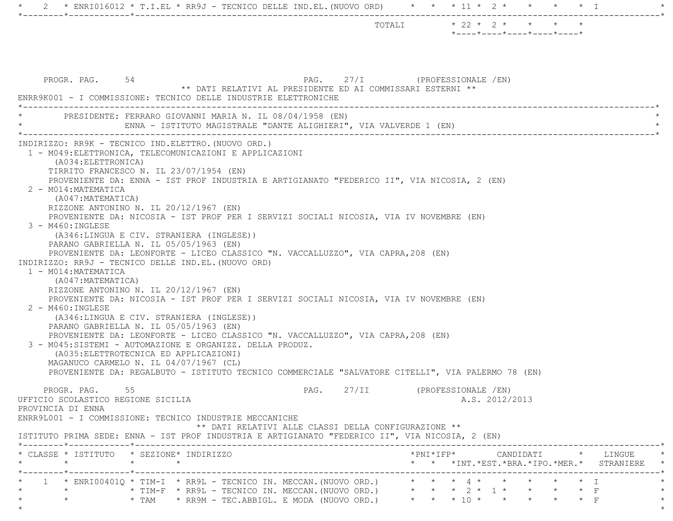|                                                                                                                                                                                                                                                                                                                                                                                                                                                                                                                                                                                                                                                                                                                                                                                                                                                                                                                                                                                                                                                                                                                                                                                                                                                                                                          | TOTALI * 22 * 2 * * * *<br>$*$ - - - - $*$ - - - - $*$ - - - - $*$ - - - - $*$ - - - - $*$                                                                                   |
|----------------------------------------------------------------------------------------------------------------------------------------------------------------------------------------------------------------------------------------------------------------------------------------------------------------------------------------------------------------------------------------------------------------------------------------------------------------------------------------------------------------------------------------------------------------------------------------------------------------------------------------------------------------------------------------------------------------------------------------------------------------------------------------------------------------------------------------------------------------------------------------------------------------------------------------------------------------------------------------------------------------------------------------------------------------------------------------------------------------------------------------------------------------------------------------------------------------------------------------------------------------------------------------------------------|------------------------------------------------------------------------------------------------------------------------------------------------------------------------------|
| PROGR. PAG. 54<br>** DATI RELATIVI AL PRESIDENTE ED AI COMMISSARI ESTERNI **<br>ENRR9K001 - I COMMISSIONE: TECNICO DELLE INDUSTRIE ELETTRONICHE                                                                                                                                                                                                                                                                                                                                                                                                                                                                                                                                                                                                                                                                                                                                                                                                                                                                                                                                                                                                                                                                                                                                                          | PAG. 27/I (PROFESSIONALE /EN)                                                                                                                                                |
| PRESIDENTE: FERRARO GIOVANNI MARIA N. IL 08/04/1958 (EN)<br>ENNA - ISTITUTO MAGISTRALE "DANTE ALIGHIERI", VIA VALVERDE 1 (EN)                                                                                                                                                                                                                                                                                                                                                                                                                                                                                                                                                                                                                                                                                                                                                                                                                                                                                                                                                                                                                                                                                                                                                                            |                                                                                                                                                                              |
| 1 - M049: ELETTRONICA, TELECOMUNICAZIONI E APPLICAZIONI<br>(A034: ELETTRONICA)<br>TIRRITO FRANCESCO N. IL 23/07/1954 (EN)<br>PROVENIENTE DA: ENNA - IST PROF INDUSTRIA E ARTIGIANATO "FEDERICO II", VIA NICOSIA, 2 (EN)<br>2 - M014: MATEMATICA<br>(A047: MATEMATICA)<br>RIZZONE ANTONINO N. IL 20/12/1967 (EN)<br>PROVENIENTE DA: NICOSIA - IST PROF PER I SERVIZI SOCIALI NICOSIA, VIA IV NOVEMBRE (EN)<br>$3 - M460$ : INGLESE<br>(A346:LINGUA E CIV. STRANIERA (INGLESE))<br>PARANO GABRIELLA N. IL 05/05/1963 (EN)<br>PROVENIENTE DA: LEONFORTE - LICEO CLASSICO "N. VACCALLUZZO", VIA CAPRA, 208 (EN)<br>INDIRIZZO: RR9J - TECNICO DELLE IND.EL. (NUOVO ORD)<br>1 - M014: MATEMATICA<br>(A047: MATEMATICA)<br>RIZZONE ANTONINO N. IL 20/12/1967 (EN)<br>PROVENIENTE DA: NICOSIA - IST PROF PER I SERVIZI SOCIALI NICOSIA, VIA IV NOVEMBRE (EN)<br>2 - M460: INGLESE<br>(A346:LINGUA E CIV. STRANIERA (INGLESE))<br>PARANO GABRIELLA N. IL 05/05/1963 (EN)<br>PROVENIENTE DA: LEONFORTE - LICEO CLASSICO "N. VACCALLUZZO", VIA CAPRA, 208 (EN)<br>3 - M045:SISTEMI - AUTOMAZIONE E ORGANIZZ. DELLA PRODUZ.<br>(A035: ELETTROTECNICA ED APPLICAZIONI)<br>MAGANUCO CARMELO N. IL 04/07/1967 (CL)<br>PROVENIENTE DA: REGALBUTO - ISTITUTO TECNICO COMMERCIALE "SALVATORE CITELLI", VIA PALERMO 78 (EN) |                                                                                                                                                                              |
| PROGR. PAG.<br>55<br>UFFICIO SCOLASTICO REGIONE SICILIA<br>PROVINCIA DI ENNA<br>ENRR9L001 - I COMMISSIONE: TECNICO INDUSTRIE MECCANICHE<br>** DATI RELATIVI ALLE CLASSI DELLA CONFIGURAZIONE **<br>ISTITUTO PRIMA SEDE: ENNA - IST PROF INDUSTRIA E ARTIGIANATO "FEDERICO II", VIA NICOSIA, 2 (EN)                                                                                                                                                                                                                                                                                                                                                                                                                                                                                                                                                                                                                                                                                                                                                                                                                                                                                                                                                                                                       | PAG. 27/II (PROFESSIONALE /EN)<br>A.S. 2012/2013                                                                                                                             |
| * CLASSE * ISTITUTO * SEZIONE* INDIRIZZO<br>$\star$ $\star$                                                                                                                                                                                                                                                                                                                                                                                                                                                                                                                                                                                                                                                                                                                                                                                                                                                                                                                                                                                                                                                                                                                                                                                                                                              | $\text{\tt *PNI*IFP*} \qquad \qquad \text{CANDIDATI} \qquad \text{\tt *} \qquad \text{LINGUE} \qquad \text{\tt *}$<br>* * *INT. *EST. *BRA. *IPO. *MER. * STRANIERE *        |
| 1 * ENRI00401Q * TIM-I * RR9L - TECNICO IN. MECCAN. (NUOVO ORD.) * * * * 4 * * * * * * * * I<br>$\star$<br>$\star$                                                                                                                                                                                                                                                                                                                                                                                                                                                                                                                                                                                                                                                                                                                                                                                                                                                                                                                                                                                                                                                                                                                                                                                       | * TIM-F * RR9L - TECNICO IN. MECCAN. (NUOVO ORD.) $* * * 2 * 1 * * * * * F$<br>$\star$<br>* TAM * RR9M - TEC.ABBIGL. E MODA (NUOVO ORD.) * * * 10 * * * * * * * F<br>$\star$ |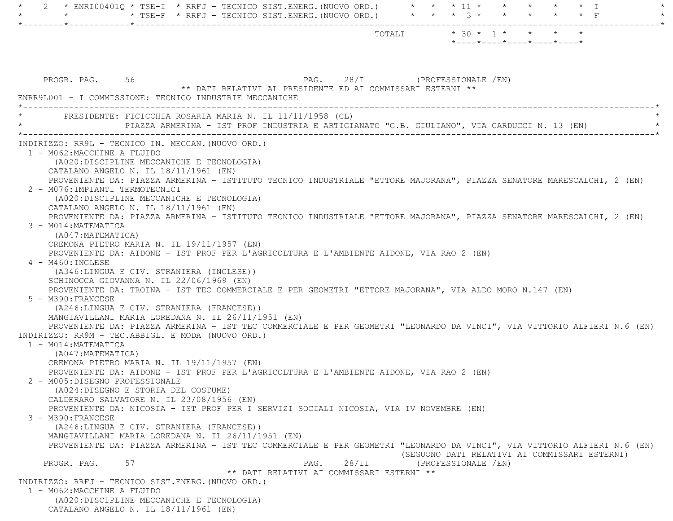| 2 * ENRI00401Q * TSE-I * RRFJ - TECNICO SIST.ENERG. (NUOVO ORD.) * * * 11 * * * * * * * *                                                                                     |                                                                                             |       |                                                  |                                               |
|-------------------------------------------------------------------------------------------------------------------------------------------------------------------------------|---------------------------------------------------------------------------------------------|-------|--------------------------------------------------|-----------------------------------------------|
|                                                                                                                                                                               |                                                                                             |       |                                                  |                                               |
|                                                                                                                                                                               |                                                                                             |       | $*$ ---- $*$ ---- $*$ ---- $*$ ---- $*$ ---- $*$ |                                               |
|                                                                                                                                                                               |                                                                                             |       |                                                  |                                               |
|                                                                                                                                                                               |                                                                                             |       |                                                  |                                               |
| PROGR. PAG. 56                                                                                                                                                                |                                                                                             |       | PAG. 28/I (PROFESSIONALE /EN)                    |                                               |
|                                                                                                                                                                               | ** DATI RELATIVI AL PRESIDENTE ED AI COMMISSARI ESTERNI **                                  |       |                                                  |                                               |
| ENRR9L001 - I COMMISSIONE: TECNICO INDUSTRIE MECCANICHE                                                                                                                       |                                                                                             |       |                                                  |                                               |
| PRESIDENTE: FICICCHIA ROSARIA MARIA N. IL 11/11/1958 (CL)                                                                                                                     |                                                                                             |       |                                                  |                                               |
|                                                                                                                                                                               | PIAZZA ARMERINA - IST PROF INDUSTRIA E ARTIGIANATO "G.B. GIULIANO", VIA CARDUCCI N. 13 (EN) |       |                                                  |                                               |
| INDIRIZZO: RR9L - TECNICO IN. MECCAN. (NUOVO ORD.)                                                                                                                            |                                                                                             |       |                                                  |                                               |
| 1 - M062:MACCHINE A FLUIDO                                                                                                                                                    |                                                                                             |       |                                                  |                                               |
| (A020:DISCIPLINE MECCANICHE E TECNOLOGIA)                                                                                                                                     |                                                                                             |       |                                                  |                                               |
| CATALANO ANGELO N. IL 18/11/1961 (EN)                                                                                                                                         |                                                                                             |       |                                                  |                                               |
| PROVENIENTE DA: PIAZZA ARMERINA - ISTITUTO TECNICO INDUSTRIALE "ETTORE MAJORANA", PIAZZA SENATORE MARESCALCHI, 2 (EN)<br>2 - M076: IMPIANTI TERMOTECNICI                      |                                                                                             |       |                                                  |                                               |
| (A020:DISCIPLINE MECCANICHE E TECNOLOGIA)                                                                                                                                     |                                                                                             |       |                                                  |                                               |
| CATALANO ANGELO N. IL $18/11/1961$ (EN)                                                                                                                                       |                                                                                             |       |                                                  |                                               |
| PROVENIENTE DA: PIAZZA ARMERINA - ISTITUTO TECNICO INDUSTRIALE "ETTORE MAJORANA", PIAZZA SENATORE MARESCALCHI, 2 (EN)                                                         |                                                                                             |       |                                                  |                                               |
| 3 - M014: MATEMATICA                                                                                                                                                          |                                                                                             |       |                                                  |                                               |
| (A047:MATEMATICA)                                                                                                                                                             |                                                                                             |       |                                                  |                                               |
| CREMONA PIETRO MARIA N. IL 19/11/1957 (EN)                                                                                                                                    |                                                                                             |       |                                                  |                                               |
| PROVENIENTE DA: AIDONE - IST PROF PER L'AGRICOLTURA E L'AMBIENTE AIDONE, VIA RAO 2 (EN)<br>4 - M460: INGLESE                                                                  |                                                                                             |       |                                                  |                                               |
| (A346:LINGUA E CIV. STRANIERA (INGLESE))                                                                                                                                      |                                                                                             |       |                                                  |                                               |
| SCHINOCCA GIOVANNA N. IL 22/06/1969 (EN)                                                                                                                                      |                                                                                             |       |                                                  |                                               |
| PROVENIENTE DA: TROINA - IST TEC COMMERCIALE E PER GEOMETRI "ETTORE MAJORANA", VIA ALDO MORO N.147 (EN)                                                                       |                                                                                             |       |                                                  |                                               |
| 5 - M390: FRANCESE                                                                                                                                                            |                                                                                             |       |                                                  |                                               |
| (A246:LINGUA E CIV. STRANIERA (FRANCESE))                                                                                                                                     |                                                                                             |       |                                                  |                                               |
| MANGIAVILLANI MARIA LOREDANA N. IL 26/11/1951 (EN)<br>PROVENIENTE DA: PIAZZA ARMERINA - IST TEC COMMERCIALE E PER GEOMETRI "LEONARDO DA VINCI", VIA VITTORIO ALFIERI N.6 (EN) |                                                                                             |       |                                                  |                                               |
| INDIRIZZO: RR9M - TEC.ABBIGL. E MODA (NUOVO ORD.)                                                                                                                             |                                                                                             |       |                                                  |                                               |
| 1 - M014: MATEMATICA                                                                                                                                                          |                                                                                             |       |                                                  |                                               |
| (A047: MATEMATICA)                                                                                                                                                            |                                                                                             |       |                                                  |                                               |
| CREMONA PIETRO MARIA N. IL 19/11/1957 (EN)                                                                                                                                    |                                                                                             |       |                                                  |                                               |
| PROVENIENTE DA: AIDONE - IST PROF PER L'AGRICOLTURA E L'AMBIENTE AIDONE, VIA RAO 2 (EN)                                                                                       |                                                                                             |       |                                                  |                                               |
| 2 - M005: DISEGNO PROFESSIONALE                                                                                                                                               |                                                                                             |       |                                                  |                                               |
| (A024:DISEGNO E STORIA DEL COSTUME)<br>CALDERARO SALVATORE N. IL 23/08/1956 (EN)                                                                                              |                                                                                             |       |                                                  |                                               |
| PROVENIENTE DA: NICOSIA - IST PROF PER I SERVIZI SOCIALI NICOSIA, VIA IV NOVEMBRE (EN)                                                                                        |                                                                                             |       |                                                  |                                               |
| 3 - M390: FRANCESE                                                                                                                                                            |                                                                                             |       |                                                  |                                               |
| (A246:LINGUA E CIV. STRANIERA (FRANCESE))                                                                                                                                     |                                                                                             |       |                                                  |                                               |
| MANGIAVILLANI MARIA LOREDANA N. IL 26/11/1951 (EN)                                                                                                                            |                                                                                             |       |                                                  |                                               |
| PROVENIENTE DA: PIAZZA ARMERINA - IST TEC COMMERCIALE E PER GEOMETRI "LEONARDO DA VINCI", VIA VITTORIO ALFIERI N.6 (EN)                                                       |                                                                                             |       |                                                  | (SEGUONO DATI RELATIVI AI COMMISSARI ESTERNI) |
| PROGR. PAG.<br>57                                                                                                                                                             | PAG.                                                                                        | 28/II | (PROFESSIONALE /EN)                              |                                               |
|                                                                                                                                                                               | ** DATI RELATIVI AI COMMISSARI ESTERNI **                                                   |       |                                                  |                                               |
| INDIRIZZO: RRFJ - TECNICO SIST.ENERG. (NUOVO ORD.)<br>1 - M062: MACCHINE A FLUIDO                                                                                             |                                                                                             |       |                                                  |                                               |
| (A020: DISCIPLINE MECCANICHE E TECNOLOGIA)                                                                                                                                    |                                                                                             |       |                                                  |                                               |
| CATALANO ANGELO N. IL 18/11/1961 (EN)                                                                                                                                         |                                                                                             |       |                                                  |                                               |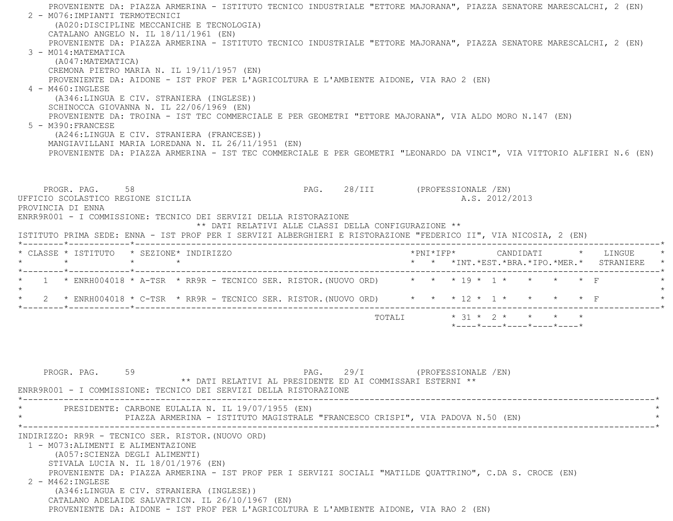PROVENIENTE DA: PIAZZA ARMERINA - ISTITUTO TECNICO INDUSTRIALE "ETTORE MAJORANA", PIAZZA SENATORE MARESCALCHI, 2 (EN) 2 - M076:IMPIANTI TERMOTECNICI (A020:DISCIPLINE MECCANICHE E TECNOLOGIA) CATALANO ANGELO N. IL 18/11/1961 (EN) PROVENIENTE DA: PIAZZA ARMERINA - ISTITUTO TECNICO INDUSTRIALE "ETTORE MAJORANA", PIAZZA SENATORE MARESCALCHI, 2 (EN) 3 - M014:MATEMATICA (A047:MATEMATICA) CREMONA PIETRO MARIA N. IL 19/11/1957 (EN) PROVENIENTE DA: AIDONE - IST PROF PER L'AGRICOLTURA E L'AMBIENTE AIDONE, VIA RAO 2 (EN)  $4 - M460 \cdot INGITER$  (A346:LINGUA E CIV. STRANIERA (INGLESE)) SCHINOCCA GIOVANNA N. IL 22/06/1969 (EN) PROVENIENTE DA: TROINA - IST TEC COMMERCIALE E PER GEOMETRI "ETTORE MAJORANA", VIA ALDO MORO N.147 (EN) 5 - M390:FRANCESE (A246:LINGUA E CIV. STRANIERA (FRANCESE)) MANGIAVILLANI MARIA LOREDANA N. IL 26/11/1951 (EN) PROVENIENTE DA: PIAZZA ARMERINA - IST TEC COMMERCIALE E PER GEOMETRI "LEONARDO DA VINCI", VIA VITTORIO ALFIERI N.6 (EN) PROGR. PAG. 58 58 PAG. 28/III (PROFESSIONALE /EN) UFFICIO SCOLASTICO REGIONE SICILIA A.S. 2012/2013 PROVINCIA DI ENNA ENRR9R001 - I COMMISSIONE: TECNICO DEI SERVIZI DELLA RISTORAZIONE \*\* DATI RELATIVI ALLE CLASSI DELLA CONFIGURAZIONE \*\* ISTITUTO PRIMA SEDE: ENNA - IST PROF PER I SERVIZI ALBERGHIERI E RISTORAZIONE "FEDERICO II", VIA NICOSIA, 2 (EN) \*--------\*------------\*-------------------------------------------------------------------------------------------------------\* \* CLASSE \* ISTITUTO \* SEZIONE\* INDIRIZZO \*PNI\*IFP\* CANDIDATI \* LINGUE \* \* \* \* \* \* \* \*INT.\*EST.\*BRA.\*IPO.\*MER.\* STRANIERE \* \*--------\*------------\*-------------------------------------------------------------------------------------------------------\*\* 1 \* ENRH004018 \* A-TSR \* RR9R - TECNICO SER. RISTOR.(NUOVO ORD) \* \* \* 19 \* 1 \* \* \* \* F \*

 $\star$  \* 2 \* ENRH004018 \* C-TSR \* RR9R - TECNICO SER. RISTOR.(NUOVO ORD) \* \* \* 12 \* 1 \* \* \* \* F \* \*--------\*------------\*-------------------------------------------------------------------------------------------------------\*TOTALI  $* 31 * 2 * * * * * * *$ 

\*----\*----\*----\*----\*----\*

PROGR. PAG. 59 59 PAG. 29/I (PROFESSIONALE /EN) \*\* DATI RELATIVI AL PRESIDENTE ED AI COMMISSARI ESTERNI \*\* ENRR9R001 - I COMMISSIONE: TECNICO DEI SERVIZI DELLA RISTORAZIONE \*----------------------------------------------------------------------------------------------------------------------------\*PRESIDENTE: CARBONE EULALIA N. IL 19/07/1955 (EN) PIAZZA ARMERINA - ISTITUTO MAGISTRALE "FRANCESCO CRISPI", VIA PADOVA N.50 (EN) \*----------------------------------------------------------------------------------------------------------------------------\* INDIRIZZO: RR9R - TECNICO SER. RISTOR.(NUOVO ORD) 1 - M073:ALIMENTI E ALIMENTAZIONE (A057:SCIENZA DEGLI ALIMENTI) STIVALA LUCIA N. IL 18/01/1976 (EN) PROVENIENTE DA: PIAZZA ARMERINA - IST PROF PER I SERVIZI SOCIALI "MATILDE QUATTRINO", C.DA S. CROCE (EN) 2 - M462:INGLESE (A346:LINGUA E CIV. STRANIERA (INGLESE)) CATALANO ADELAIDE SALVATRICN. IL 26/10/1967 (EN) PROVENIENTE DA: AIDONE - IST PROF PER L'AGRICOLTURA E L'AMBIENTE AIDONE, VIA RAO 2 (EN)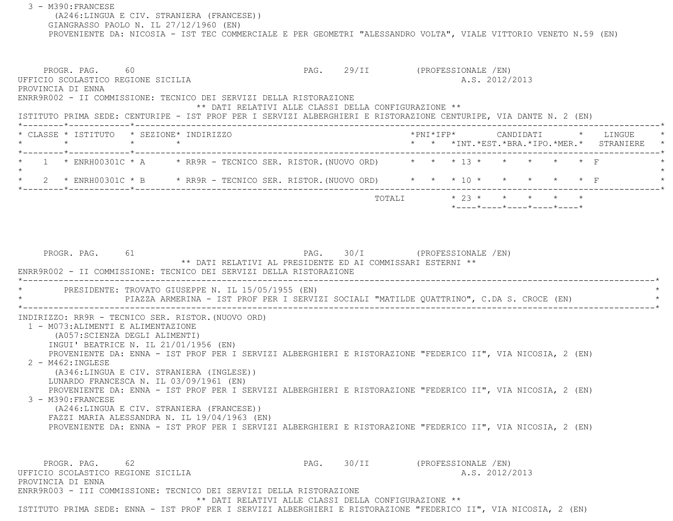3 - M390:FRANCESE (A246:LINGUA E CIV. STRANIERA (FRANCESE)) GIANGRASSO PAOLO N. IL 27/12/1960 (EN) PROVENIENTE DA: NICOSIA - IST TEC COMMERCIALE E PER GEOMETRI "ALESSANDRO VOLTA", VIALE VITTORIO VENETO N.59 (EN) PROGR. PAG. 60 60 PAG. 29/II (PROFESSIONALE /EN) UFFICIO SCOLASTICO REGIONE SICILIA A.S. 2012/2013 PROVINCIA DI ENNA ENRR9R002 - II COMMISSIONE: TECNICO DEI SERVIZI DELLA RISTORAZIONE \*\* DATI RELATIVI ALLE CLASSI DELLA CONFIGURAZIONE \*\* ISTITUTO PRIMA SEDE: CENTURIPE - IST PROF PER I SERVIZI ALBERGHIERI E RISTORAZIONE CENTURIPE, VIA DANTE N. 2 (EN) \*--------\*------------\*-------------------------------------------------------------------------------------------------------\* \* CLASSE \* ISTITUTO \* SEZIONE\* INDIRIZZO \*PNI\*IFP\* CANDIDATI \* LINGUE \* \* \* \* \* \* \* \*INT.\*EST.\*BRA.\*IPO.\*MER.\* STRANIERE \* \*--------\*------------\*-------------------------------------------------------------------------------------------------------\*1 \* ENRH00301C \* A  $\rightarrow$  RR9R - TECNICO SER. RISTOR. (NUOVO ORD) \* \* \* 13 \* \* \* \* \* \* \* F  $\star$ 2 \* ENRH00301C \* B \* RR9R - TECNICO SER. RISTOR. (NUOVO ORD) \* \* \* 10 \* \* \* \* \* \* \* F \*--------\*------------\*-------------------------------------------------------------------------------------------------------\* TOTALI \* 23 \* \* \* \* \* \*----\*----\*----\*----\*----\*PROGR. PAG. 61 61 PAG. 30/I (PROFESSIONALE /EN) \*\* DATI RELATIVI AL PRESIDENTE ED AI COMMISSARI ESTERNI \*\* ENRR9R002 - II COMMISSIONE: TECNICO DEI SERVIZI DELLA RISTORAZIONE \*----------------------------------------------------------------------------------------------------------------------------\*PRESIDENTE: TROVATO GIUSEPPE N. IL 15/05/1955 (EN) PIAZZA ARMERINA - IST PROF PER I SERVIZI SOCIALI "MATILDE QUATTRINO", C.DA S. CROCE (EN) \*----------------------------------------------------------------------------------------------------------------------------\* INDIRIZZO: RR9R - TECNICO SER. RISTOR.(NUOVO ORD) 1 - M073:ALIMENTI E ALIMENTAZIONE (A057:SCIENZA DEGLI ALIMENTI) INGUI' BEATRICE N. IL 21/01/1956 (EN) PROVENIENTE DA: ENNA - IST PROF PER I SERVIZI ALBERGHIERI E RISTORAZIONE "FEDERICO II", VIA NICOSIA, 2 (EN) 2 - M462:INGLESE (A346:LINGUA E CIV. STRANIERA (INGLESE)) LUNARDO FRANCESCA N. IL 03/09/1961 (EN) PROVENIENTE DA: ENNA - IST PROF PER I SERVIZI ALBERGHIERI E RISTORAZIONE "FEDERICO II", VIA NICOSIA, 2 (EN) 3 - M390:FRANCESE (A246:LINGUA E CIV. STRANIERA (FRANCESE)) FAZZI MARIA ALESSANDRA N. IL 19/04/1963 (EN) PROVENIENTE DA: ENNA - IST PROF PER I SERVIZI ALBERGHIERI E RISTORAZIONE "FEDERICO II", VIA NICOSIA, 2 (EN) PROGR. PAG. 62 62 PAG. 30/II (PROFESSIONALE /EN) UFFICIO SCOLASTICO REGIONE SICILIA A.S. 2012/2013 PROVINCIA DI ENNA ENRR9R003 - III COMMISSIONE: TECNICO DEI SERVIZI DELLA RISTORAZIONE\*\* DATI RELATIVI ALLE CLASSI DELLA CONFIGURAZIONE \*\*

ISTITUTO PRIMA SEDE: ENNA - IST PROF PER I SERVIZI ALBERGHIERI E RISTORAZIONE "FEDERICO II", VIA NICOSIA, 2 (EN)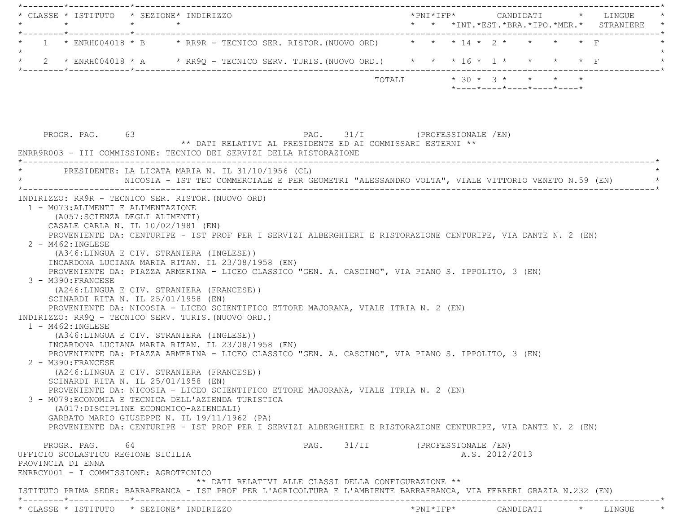|                                          | * CLASSE * ISTITUTO * SEZIONE* INDIRIZZO                                                                                                                                                                                                                                                                                                                                                                                               |  |                                                            |  |                                |                           |  |  |                                                  |  |  | *PNI*IFP*     CANDIDATI    *   LINGUE                                                              |
|------------------------------------------|----------------------------------------------------------------------------------------------------------------------------------------------------------------------------------------------------------------------------------------------------------------------------------------------------------------------------------------------------------------------------------------------------------------------------------------|--|------------------------------------------------------------|--|--------------------------------|---------------------------|--|--|--------------------------------------------------|--|--|----------------------------------------------------------------------------------------------------|
|                                          | 1 * ENRH004018 * B * RR9R - TECNICO SER. RISTOR. (NUOVO ORD) * * * 14 * 2 * * * * * F                                                                                                                                                                                                                                                                                                                                                  |  |                                                            |  |                                |                           |  |  |                                                  |  |  |                                                                                                    |
| $\star$                                  | 2 * ENRH004018 * A * RR9Q - TECNICO SERV. TURIS. (NUOVO ORD.) * * * 16 * 1 * * * * * * F                                                                                                                                                                                                                                                                                                                                               |  |                                                            |  |                                |                           |  |  |                                                  |  |  |                                                                                                    |
|                                          |                                                                                                                                                                                                                                                                                                                                                                                                                                        |  |                                                            |  |                                | TOTALI * 30 * 3 * * * * * |  |  | $*$ ---- $*$ ---- $*$ ---- $*$ ---- $*$ ---- $*$ |  |  |                                                                                                    |
|                                          | PROGR. PAG. 63<br>ENRR9R003 - III COMMISSIONE: TECNICO DEI SERVIZI DELLA RISTORAZIONE<br>* PRESIDENTE: LA LICATA MARIA N. IL 31/10/1956 (CL)                                                                                                                                                                                                                                                                                           |  | ** DATI RELATIVI AL PRESIDENTE ED AI COMMISSARI ESTERNI ** |  | PAG. 31/I (PROFESSIONALE /EN)  |                           |  |  |                                                  |  |  | NICOSIA - IST TEC COMMERCIALE E PER GEOMETRI "ALESSANDRO VOLTA", VIALE VITTORIO VENETO N.59 (EN) * |
|                                          | INDIRIZZO: RR9R - TECNICO SER. RISTOR. (NUOVO ORD)<br>1 - M073: ALIMENTI E ALIMENTAZIONE                                                                                                                                                                                                                                                                                                                                               |  |                                                            |  |                                |                           |  |  |                                                  |  |  |                                                                                                    |
| $2 - M462 : INGLESE$                     | (A057:SCIENZA DEGLI ALIMENTI)<br>CASALE CARLA N. IL 10/02/1981 (EN)<br>PROVENIENTE DA: CENTURIPE - IST PROF PER I SERVIZI ALBERGHIERI E RISTORAZIONE CENTURIPE, VIA DANTE N. 2 (EN)<br>(A346:LINGUA E CIV. STRANIERA (INGLESE))<br>INCARDONA LUCIANA MARIA RITAN. IL 23/08/1958 (EN)                                                                                                                                                   |  |                                                            |  |                                |                           |  |  |                                                  |  |  |                                                                                                    |
| 3 - M390: FRANCESE                       | PROVENIENTE DA: PIAZZA ARMERINA - LICEO CLASSICO "GEN. A. CASCINO", VIA PIANO S. IPPOLITO, 3 (EN)<br>(A246:LINGUA E CIV. STRANIERA (FRANCESE))<br>SCINARDI RITA N. IL 25/01/1958 (EN)<br>PROVENIENTE DA: NICOSIA - LICEO SCIENTIFICO ETTORE MAJORANA, VIALE ITRIA N. 2 (EN)                                                                                                                                                            |  |                                                            |  |                                |                           |  |  |                                                  |  |  |                                                                                                    |
| $1 - M462$ : INGLESE                     | INDIRIZZO: RR9Q - TECNICO SERV. TURIS. (NUOVO ORD.)<br>(A346:LINGUA E CIV. STRANIERA (INGLESE))<br>INCARDONA LUCIANA MARIA RITAN. IL 23/08/1958 (EN)<br>PROVENIENTE DA: PIAZZA ARMERINA - LICEO CLASSICO "GEN. A. CASCINO", VIA PIANO S. IPPOLITO, 3 (EN)                                                                                                                                                                              |  |                                                            |  |                                |                           |  |  |                                                  |  |  |                                                                                                    |
| 2 - M390: FRANCESE                       | (A246:LINGUA E CIV. STRANIERA (FRANCESE))<br>SCINARDI RITA N. IL 25/01/1958 (EN)<br>PROVENIENTE DA: NICOSIA - LICEO SCIENTIFICO ETTORE MAJORANA, VIALE ITRIA N. 2 (EN)<br>3 - M079: ECONOMIA E TECNICA DELL'AZIENDA TURISTICA<br>(A017:DISCIPLINE ECONOMICO-AZIENDALI)<br>GARBATO MARIO GIUSEPPE N. IL 19/11/1962 (PA)<br>PROVENIENTE DA: CENTURIPE - IST PROF PER I SERVIZI ALBERGHIERI E RISTORAZIONE CENTURIPE, VIA DANTE N. 2 (EN) |  |                                                            |  |                                |                           |  |  |                                                  |  |  |                                                                                                    |
| PROVINCIA DI ENNA                        | PROGR. PAG.<br>64<br>UFFICIO SCOLASTICO REGIONE SICILIA<br>ENRRCY001 - I COMMISSIONE: AGROTECNICO                                                                                                                                                                                                                                                                                                                                      |  |                                                            |  | PAG. 31/II (PROFESSIONALE /EN) |                           |  |  | A.S. 2012/2013                                   |  |  |                                                                                                    |
|                                          | ISTITUTO PRIMA SEDE: BARRAFRANCA - IST PROF PER L'AGRICOLTURA E L'AMBIENTE BARRAFRANCA, VIA FERRERI GRAZIA N.232 (EN)                                                                                                                                                                                                                                                                                                                  |  | ** DATI RELATIVI ALLE CLASSI DELLA CONFIGURAZIONE **       |  |                                |                           |  |  |                                                  |  |  |                                                                                                    |
| * CLASSE * ISTITUTO * SEZIONE* INDIRIZZO |                                                                                                                                                                                                                                                                                                                                                                                                                                        |  |                                                            |  |                                |                           |  |  |                                                  |  |  | *PNI*IFP* CANDIDATI * LINGUE                                                                       |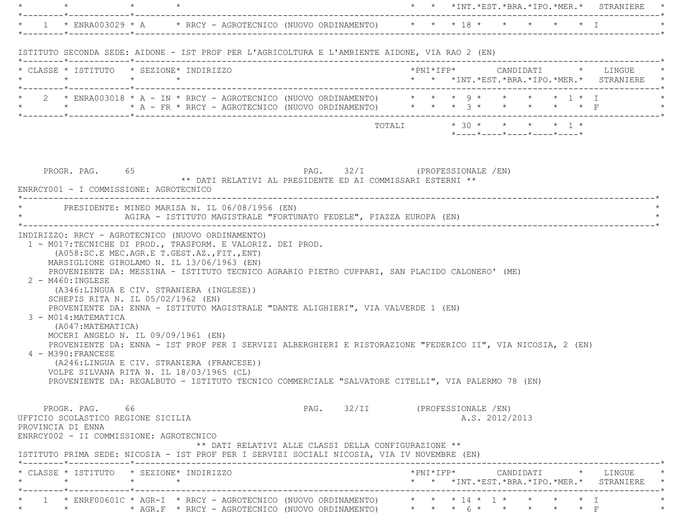|                                            |                                                                                                                                                                                                                                                                                                                                                                                                                                                                                                                                                                                                                                                                        |                                                            |                                                                          |                                |                           |  |                |                            |  | * * *INT.*EST.*BRA.*IPO.*MER.* STRANIERE *                                                                              |
|--------------------------------------------|------------------------------------------------------------------------------------------------------------------------------------------------------------------------------------------------------------------------------------------------------------------------------------------------------------------------------------------------------------------------------------------------------------------------------------------------------------------------------------------------------------------------------------------------------------------------------------------------------------------------------------------------------------------------|------------------------------------------------------------|--------------------------------------------------------------------------|--------------------------------|---------------------------|--|----------------|----------------------------|--|-------------------------------------------------------------------------------------------------------------------------|
|                                            | * 1 * ENRA003029 * A * RRCY - AGROTECNICO (NUOVO ORDINAMENTO) * * * * 18 * * * * * * * T                                                                                                                                                                                                                                                                                                                                                                                                                                                                                                                                                                               |                                                            |                                                                          |                                |                           |  |                |                            |  |                                                                                                                         |
|                                            | ISTITUTO SECONDA SEDE: AIDONE - IST PROF PER L'AGRICOLTURA E L'AMBIENTE AIDONE, VIA RAO 2 (EN)                                                                                                                                                                                                                                                                                                                                                                                                                                                                                                                                                                         |                                                            |                                                                          |                                |                           |  |                |                            |  |                                                                                                                         |
|                                            | * CLASSE * ISTITUTO * SEZIONE* INDIRIZZO                                                                                                                                                                                                                                                                                                                                                                                                                                                                                                                                                                                                                               |                                                            |                                                                          |                                |                           |  |                |                            |  | --------------------------*<br>*PNI*IFP*     CANDIDATI    *   LINGUE<br>* * *INT. *EST. *BRA. *IPO. *MER. * STRANIERE * |
|                                            | * 2 * ENRA003018 * A - IN * RRCY - AGROTECNICO (NUOVO ORDINAMENTO) * * * 9 * * * * * 1 * I * *<br>* * * * A - FR * RRCY - AGROTECNICO (NUOVO ORDINAMENTO) * * * 3 * * * * * * F                                                                                                                                                                                                                                                                                                                                                                                                                                                                                        |                                                            |                                                                          |                                |                           |  |                |                            |  |                                                                                                                         |
|                                            |                                                                                                                                                                                                                                                                                                                                                                                                                                                                                                                                                                                                                                                                        |                                                            |                                                                          |                                | TOTALI * 30 * * * * * 1 * |  |                | *----*----*----*----*----* |  |                                                                                                                         |
|                                            | PROGR. PAG. 65<br>ENRRCY001 - I COMMISSIONE: AGROTECNICO<br>* PRESIDENTE: MINEO MARISA N. IL 06/08/1956 (EN)                                                                                                                                                                                                                                                                                                                                                                                                                                                                                                                                                           | ** DATI RELATIVI AL PRESIDENTE ED AI COMMISSARI ESTERNI ** |                                                                          |                                |                           |  |                |                            |  |                                                                                                                         |
|                                            | AGIRA - ISTITUTO MAGISTRALE "FORTUNATO FEDELE", PIAZZA EUROPA (EN)                                                                                                                                                                                                                                                                                                                                                                                                                                                                                                                                                                                                     |                                                            |                                                                          |                                |                           |  |                |                            |  |                                                                                                                         |
| $2 - M460$ : INGLESE<br>4 - M390: FRANCESE | PROVENIENTE DA: MESSINA - ISTITUTO TECNICO AGRARIO PIETRO CUPPARI, SAN PLACIDO CALONERO' (ME)<br>(A346:LINGUA E CIV. STRANIERA (INGLESE))<br>SCHEPIS RITA N. IL 05/02/1962 (EN)<br>PROVENIENTE DA: ENNA - ISTITUTO MAGISTRALE "DANTE ALIGHIERI", VIA VALVERDE 1 (EN)<br>3 - M014: MATEMATICA<br>(A047: MATEMATICA)<br>MOCERI ANGELO N. IL 09/09/1961 (EN)<br>PROVENIENTE DA: ENNA - IST PROF PER I SERVIZI ALBERGHIERI E RISTORAZIONE "FEDERICO II", VIA NICOSIA, 2 (EN)<br>(A246:LINGUA E CIV. STRANIERA (FRANCESE))<br>VOLPE SILVANA RITA N. IL 18/03/1965 (CL)<br>PROVENIENTE DA: REGALBUTO - ISTITUTO TECNICO COMMERCIALE "SALVATORE CITELLI", VIA PALERMO 78 (EN) |                                                            |                                                                          |                                |                           |  |                |                            |  |                                                                                                                         |
| PROVINCIA DI ENNA                          | PROGR. PAG. 66<br>UFFICIO SCOLASTICO REGIONE SICILIA<br>ENRRCY002 - II COMMISSIONE: AGROTECNICO<br>ISTITUTO PRIMA SEDE: NICOSIA - IST PROF PER I SERVIZI SOCIALI NICOSIA, VIA IV NOVEMBRE (EN)                                                                                                                                                                                                                                                                                                                                                                                                                                                                         |                                                            | ** DATI RELATIVI ALLE CLASSI DELLA CONFIGURAZIONE **                     | PAG. 32/II (PROFESSIONALE /EN) |                           |  | A.S. 2012/2013 |                            |  |                                                                                                                         |
|                                            | * CLASSE * ISTITUTO * SEZIONE* INDIRIZZO                                                                                                                                                                                                                                                                                                                                                                                                                                                                                                                                                                                                                               |                                                            |                                                                          |                                |                           |  |                |                            |  | *PNI*IFP*     CANDIDATI    *   LINGUE<br>* * *INT. *EST. *BRA. *IPO. *MER. * STRANIERE                                  |
|                                            | 1 * ENRF00601C * AGR-I * RRCY - AGROTECNICO (NUOVO ORDINAMENTO) $\qquad$ * * * 14 * 1 * * * * * * I                                                                                                                                                                                                                                                                                                                                                                                                                                                                                                                                                                    |                                                            | * AGR.F * RRCY - AGROTECNICO (NUOVO ORDINAMENTO) * * * 6 * * * * * * * F |                                |                           |  |                |                            |  |                                                                                                                         |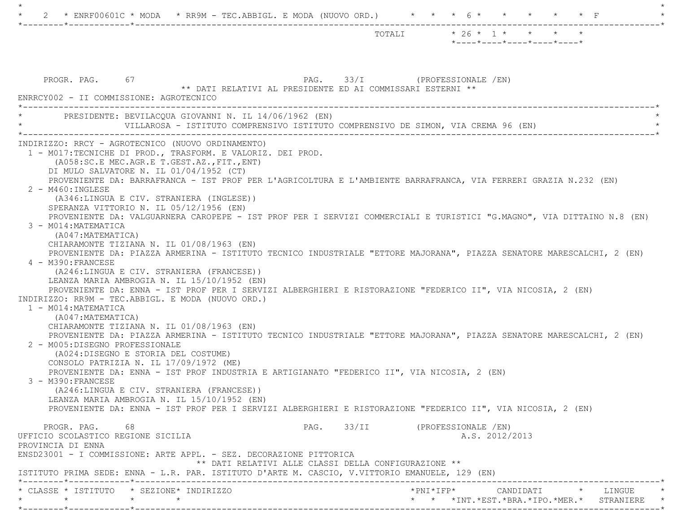|                                                                                                                                                                                                                                                                                                                                                                                                                                                                                                                                                                                                                                                                                                                                                                                                                                                                                                                                                                                                                                                                                                                                                                                                                                                                                                                                                                                                                                                                                                                                                                                                                                         | TOTALI * 26 * 1 * * * * *<br>$*$ ---- $*$ ---- $*$ ---- $*$ ---- $*$ ---- $*$ |
|-----------------------------------------------------------------------------------------------------------------------------------------------------------------------------------------------------------------------------------------------------------------------------------------------------------------------------------------------------------------------------------------------------------------------------------------------------------------------------------------------------------------------------------------------------------------------------------------------------------------------------------------------------------------------------------------------------------------------------------------------------------------------------------------------------------------------------------------------------------------------------------------------------------------------------------------------------------------------------------------------------------------------------------------------------------------------------------------------------------------------------------------------------------------------------------------------------------------------------------------------------------------------------------------------------------------------------------------------------------------------------------------------------------------------------------------------------------------------------------------------------------------------------------------------------------------------------------------------------------------------------------------|-------------------------------------------------------------------------------|
| PROGR. PAG. 67<br>** DATI RELATIVI AL PRESIDENTE ED AI COMMISSARI ESTERNI **                                                                                                                                                                                                                                                                                                                                                                                                                                                                                                                                                                                                                                                                                                                                                                                                                                                                                                                                                                                                                                                                                                                                                                                                                                                                                                                                                                                                                                                                                                                                                            | PAG. 33/I (PROFESSIONALE /EN)                                                 |
| ENRRCY002 - II COMMISSIONE: AGROTECNICO<br>PRESIDENTE: BEVILACOUA GIOVANNI N. IL 14/06/1962 (EN)<br>VILLAROSA - ISTITUTO COMPRENSIVO ISTITUTO COMPRENSIVO DE SIMON, VIA CREMA 96 (EN)                                                                                                                                                                                                                                                                                                                                                                                                                                                                                                                                                                                                                                                                                                                                                                                                                                                                                                                                                                                                                                                                                                                                                                                                                                                                                                                                                                                                                                                   |                                                                               |
| INDIRIZZO: RRCY - AGROTECNICO (NUOVO ORDINAMENTO)<br>1 - M017: TECNICHE DI PROD., TRASFORM. E VALORIZ. DEI PROD.<br>(A058:SC.E MEC.AGR.E T.GEST.AZ., FIT., ENT)<br>DI MULO SALVATORE N. IL 01/04/1952 (CT)<br>PROVENIENTE DA: BARRAFRANCA - IST PROF PER L'AGRICOLTURA E L'AMBIENTE BARRAFRANCA, VIA FERRERI GRAZIA N.232 (EN)<br>$2 - M460$ : INGLESE<br>(A346:LINGUA E CIV. STRANIERA (INGLESE))<br>SPERANZA VITTORIO N. IL 05/12/1956 (EN)<br>PROVENIENTE DA: VALGUARNERA CAROPEPE - IST PROF PER I SERVIZI COMMERCIALI E TURISTICI "G.MAGNO", VIA DITTAINO N.8 (EN)<br>3 - M014: MATEMATICA<br>(A047:MATEMATICA)<br>CHIARAMONTE TIZIANA N. IL 01/08/1963 (EN)<br>PROVENIENTE DA: PIAZZA ARMERINA - ISTITUTO TECNICO INDUSTRIALE "ETTORE MAJORANA", PIAZZA SENATORE MARESCALCHI, 2 (EN)<br>4 - M390: FRANCESE<br>(A246:LINGUA E CIV. STRANIERA (FRANCESE))<br>LEANZA MARIA AMBROGIA N. IL 15/10/1952 (EN)<br>PROVENIENTE DA: ENNA - IST PROF PER I SERVIZI ALBERGHIERI E RISTORAZIONE "FEDERICO II", VIA NICOSIA, 2 (EN)<br>INDIRIZZO: RR9M - TEC.ABBIGL. E MODA (NUOVO ORD.)<br>1 - M014: MATEMATICA<br>(A047: MATEMATICA)<br>CHIARAMONTE TIZIANA N. IL 01/08/1963 (EN)<br>PROVENIENTE DA: PIAZZA ARMERINA - ISTITUTO TECNICO INDUSTRIALE "ETTORE MAJORANA", PIAZZA SENATORE MARESCALCHI, 2 (EN)<br>2 - M005:DISEGNO PROFESSIONALE<br>(A024:DISEGNO E STORIA DEL COSTUME)<br>CONSOLO PATRIZIA N. IL 17/09/1972 (ME)<br>PROVENIENTE DA: ENNA - IST PROF INDUSTRIA E ARTIGIANATO "FEDERICO II", VIA NICOSIA, 2 (EN)<br>3 - M390: FRANCESE<br>(A246:LINGUA E CIV. STRANIERA (FRANCESE))<br>LEANZA MARIA AMBROGIA N. IL 15/10/1952 (EN) |                                                                               |
| PROVENIENTE DA: ENNA - IST PROF PER I SERVIZI ALBERGHIERI E RISTORAZIONE "FEDERICO II", VIA NICOSIA, 2 (EN)<br>PROGR. PAG. 68<br>UFFICIO SCOLASTICO REGIONE SICILIA<br>PROVINCIA DI ENNA                                                                                                                                                                                                                                                                                                                                                                                                                                                                                                                                                                                                                                                                                                                                                                                                                                                                                                                                                                                                                                                                                                                                                                                                                                                                                                                                                                                                                                                | PAG. 33/II (PROFESSIONALE /EN)<br>A.S. 2012/2013                              |
| ENSD23001 - I COMMISSIONE: ARTE APPL. - SEZ. DECORAZIONE PITTORICA<br>** DATI RELATIVI ALLE CLASSI DELLA CONFIGURAZIONE **<br>ISTITUTO PRIMA SEDE: ENNA - L.R. PAR. ISTITUTO D'ARTE M. CASCIO, V.VITTORIO EMANUELE, 129 (EN)                                                                                                                                                                                                                                                                                                                                                                                                                                                                                                                                                                                                                                                                                                                                                                                                                                                                                                                                                                                                                                                                                                                                                                                                                                                                                                                                                                                                            |                                                                               |
| * CLASSE * ISTITUTO * SEZIONE* INDIRIZZO<br>$\star$ $\star$<br>$\star$                                                                                                                                                                                                                                                                                                                                                                                                                                                                                                                                                                                                                                                                                                                                                                                                                                                                                                                                                                                                                                                                                                                                                                                                                                                                                                                                                                                                                                                                                                                                                                  | *PNI*IFP* CANDIDATI * LINGUE<br>* * *INT.*EST.*BRA.*IPO.*MER.* STRANIERE *    |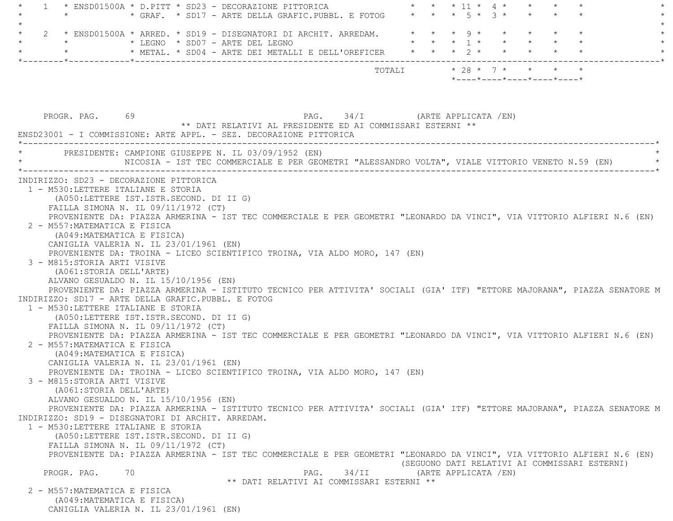$1 *$  ENSD01500A \* D.PITT \* SD23 - DECORAZIONE PITTORICA  $* * * * 11 * 4 *$ \* GRAF. \* SD17 - ARTE DELLA GRAFIC.PUBBL. E FOTOG  $\qquad$  \* \* \* 5 \* 3 \* \*  $\star$  $2 \times$  ENSD01500A \* ARRED. \* SD19 - DISEGNATORI DI ARCHIT. ARREDAM. \* \* \* \* 9 \* \* \* \* \* \* \* \* LEGNO \* SD07 - ARTE DEL LEGNO \* \* \* 1 \* \* \* \* \* \*\* METAL. \* SD04 - ARTE DEI METALLI E DELL'OREFICER  $* * * * 2 *$  \*--------\*------------\*-------------------------------------------------------------------------------------------------------\* TOTALI \* 28 \* 7 \* \* \* \* \*----\*----\*----\*----\*----\*PROGR. PAG. 69 69 PAG. PAG. 34/I (ARTE APPLICATA /EN) \*\* DATI RELATIVI AL PRESIDENTE ED AI COMMISSARI ESTERNI \*\* ENSD23001 - I COMMISSIONE: ARTE APPL. - SEZ. DECORAZIONE PITTORICA \*----------------------------------------------------------------------------------------------------------------------------\*PRESIDENTE: CAMPIONE GIUSEPPE N. IL 03/09/1952 (EN) NICOSIA - IST TEC COMMERCIALE E PER GEOMETRI "ALESSANDRO VOLTA", VIALE VITTORIO VENETO N.59 (EN) \*----------------------------------------------------------------------------------------------------------------------------\* INDIRIZZO: SD23 - DECORAZIONE PITTORICA 1 - M530:LETTERE ITALIANE E STORIA (A050:LETTERE IST.ISTR.SECOND. DI II G) FAILLA SIMONA N. IL 09/11/1972 (CT) PROVENIENTE DA: PIAZZA ARMERINA - IST TEC COMMERCIALE E PER GEOMETRI "LEONARDO DA VINCI", VIA VITTORIO ALFIERI N.6 (EN) 2 - M557:MATEMATICA E FISICA (A049:MATEMATICA E FISICA) CANIGLIA VALERIA N. IL 23/01/1961 (EN) PROVENIENTE DA: TROINA - LICEO SCIENTIFICO TROINA, VIA ALDO MORO, 147 (EN) 3 - M815:STORIA ARTI VISIVE (A061:STORIA DELL'ARTE) ALVANO GESUALDO N. IL 15/10/1956 (EN) PROVENIENTE DA: PIAZZA ARMERINA - ISTITUTO TECNICO PER ATTIVITA' SOCIALI (GIA' ITF) "ETTORE MAJORANA", PIAZZA SENATORE M INDIRIZZO: SD17 - ARTE DELLA GRAFIC.PUBBL. E FOTOG 1 - M530:LETTERE ITALIANE E STORIA (A050:LETTERE IST.ISTR.SECOND. DI II G) FAILLA SIMONA N. IL 09/11/1972 (CT) PROVENIENTE DA: PIAZZA ARMERINA - IST TEC COMMERCIALE E PER GEOMETRI "LEONARDO DA VINCI", VIA VITTORIO ALFIERI N.6 (EN) 2 - M557:MATEMATICA E FISICA (A049:MATEMATICA E FISICA) CANIGLIA VALERIA N. IL 23/01/1961 (EN) PROVENIENTE DA: TROINA - LICEO SCIENTIFICO TROINA, VIA ALDO MORO, 147 (EN) 3 - M815:STORIA ARTI VISIVE (A061:STORIA DELL'ARTE) ALVANO GESUALDO N. IL 15/10/1956 (EN) PROVENIENTE DA: PIAZZA ARMERINA - ISTITUTO TECNICO PER ATTIVITA' SOCIALI (GIA' ITF) "ETTORE MAJORANA", PIAZZA SENATORE M INDIRIZZO: SD19 - DISEGNATORI DI ARCHIT. ARREDAM. 1 - M530:LETTERE ITALIANE E STORIA (A050:LETTERE IST.ISTR.SECOND. DI II G) FAILLA SIMONA N. IL 09/11/1972 (CT) PROVENIENTE DA: PIAZZA ARMERINA - IST TEC COMMERCIALE E PER GEOMETRI "LEONARDO DA VINCI", VIA VITTORIO ALFIERI N.6 (EN) (SEGUONO DATI RELATIVI AI COMMISSARI ESTERNI) PROGR. PAG. 70 70 PAG. PAG. 34/II (ARTE APPLICATA /EN) \*\* DATI RELATIVI AI COMMISSARI ESTERNI \*\* 2 - M557:MATEMATICA E FISICA (A049:MATEMATICA E FISICA) CANIGLIA VALERIA N. IL 23/01/1961 (EN)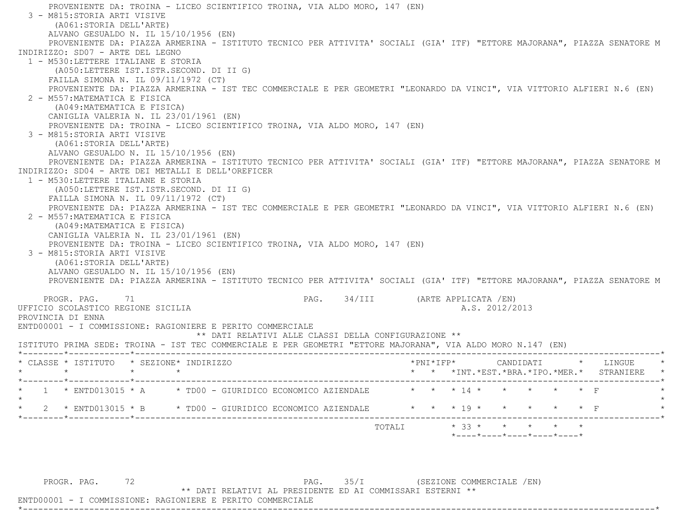PROVENIENTE DA: TROINA - LICEO SCIENTIFICO TROINA, VIA ALDO MORO, 147 (EN) 3 - M815:STORIA ARTI VISIVE (A061:STORIA DELL'ARTE) ALVANO GESUALDO N. IL 15/10/1956 (EN) PROVENIENTE DA: PIAZZA ARMERINA - ISTITUTO TECNICO PER ATTIVITA' SOCIALI (GIA' ITF) "ETTORE MAJORANA", PIAZZA SENATORE M INDIRIZZO: SD07 - ARTE DEL LEGNO 1 - M530:LETTERE ITALIANE E STORIA (A050:LETTERE IST.ISTR.SECOND. DI II G) FAILLA SIMONA N. IL 09/11/1972 (CT) PROVENIENTE DA: PIAZZA ARMERINA - IST TEC COMMERCIALE E PER GEOMETRI "LEONARDO DA VINCI", VIA VITTORIO ALFIERI N.6 (EN) 2 - M557:MATEMATICA E FISICA (A049:MATEMATICA E FISICA) CANIGLIA VALERIA N. IL 23/01/1961 (EN) PROVENIENTE DA: TROINA - LICEO SCIENTIFICO TROINA, VIA ALDO MORO, 147 (EN) 3 - M815:STORIA ARTI VISIVE (A061:STORIA DELL'ARTE) ALVANO GESUALDO N. IL 15/10/1956 (EN) PROVENIENTE DA: PIAZZA ARMERINA - ISTITUTO TECNICO PER ATTIVITA' SOCIALI (GIA' ITF) "ETTORE MAJORANA", PIAZZA SENATORE M INDIRIZZO: SD04 - ARTE DEI METALLI E DELL'OREFICER 1 - M530:LETTERE ITALIANE E STORIA (A050:LETTERE IST.ISTR.SECOND. DI II G) FAILLA SIMONA N. IL 09/11/1972 (CT) PROVENIENTE DA: PIAZZA ARMERINA - IST TEC COMMERCIALE E PER GEOMETRI "LEONARDO DA VINCI", VIA VITTORIO ALFIERI N.6 (EN) 2 - M557:MATEMATICA E FISICA (A049:MATEMATICA E FISICA) CANIGLIA VALERIA N. IL 23/01/1961 (EN) PROVENIENTE DA: TROINA - LICEO SCIENTIFICO TROINA, VIA ALDO MORO, 147 (EN) 3 - M815:STORIA ARTI VISIVE (A061:STORIA DELL'ARTE) ALVANO GESUALDO N. IL 15/10/1956 (EN) PROVENIENTE DA: PIAZZA ARMERINA - ISTITUTO TECNICO PER ATTIVITA' SOCIALI (GIA' ITF) "ETTORE MAJORANA", PIAZZA SENATORE M PROGR. PAG. 71 PAG. 34/III (ARTE APPLICATA /EN) UFFICIO SCOLASTICO REGIONE SICILIA A.S. 2012/2013 PROVINCIA DI ENNA ENTD00001 - I COMMISSIONE: RAGIONIERE E PERITO COMMERCIALE \*\* DATI RELATIVI ALLE CLASSI DELLA CONFIGURAZIONE \*\* ISTITUTO PRIMA SEDE: TROINA - IST TEC COMMERCIALE E PER GEOMETRI "ETTORE MAJORANA", VIA ALDO MORO N.147 (EN) \*--------\*------------\*-------------------------------------------------------------------------------------------------------\* \* CLASSE \* ISTITUTO \* SEZIONE\* INDIRIZZO \*PNI\*IFP\* CANDIDATI \* LINGUE \* \* \* \* \* \* \* \*INT.\*EST.\*BRA.\*IPO.\*MER.\* STRANIERE \* \*--------\*------------\*-------------------------------------------------------------------------------------------------------\* \* 1 \* ENTD013015 \* A \* TD00 - GIURIDICO ECONOMICO AZIENDALE \* \* \* 14 \* \* \* \* \* \* \* F  $\star$ \* 2 \* ENTD013015 \* B \* TD00 - GIURIDICO ECONOMICO AZIENDALE \* \* \* \* 19 \* \* \* \* \* \* \* F \*--------\*------------\*-------------------------------------------------------------------------------------------------------\*TOTALI  $* 33 * * * * * * * * * *$ \*----\*----\*----\*----\*----\*

PROGR. PAG. 72 72 PAG. 35/I (SEZIONE COMMERCIALE /EN)

\*\* DATI RELATIVI AL PRESIDENTE ED AI COMMISSARI ESTERNI \*\*

\*----------------------------------------------------------------------------------------------------------------------------\*

ENTD00001 - I COMMISSIONE: RAGIONIERE E PERITO COMMERCIALE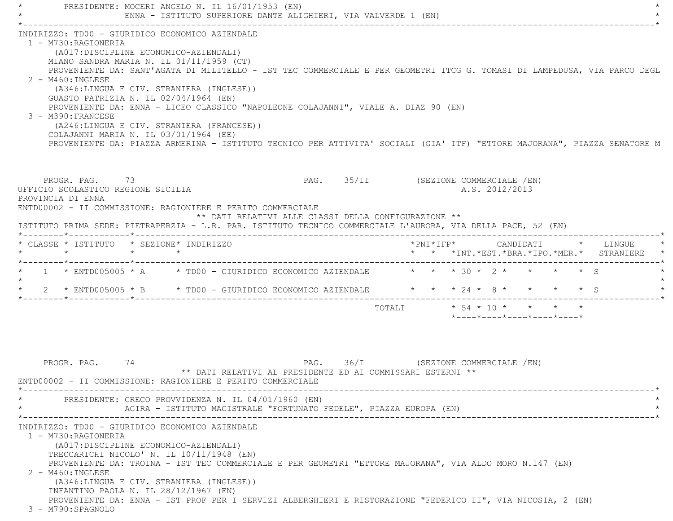PRESIDENTE: MOCERI ANGELO N. IL 16/01/1953 (EN) ENNA - ISTITUTO SUPERIORE DANTE ALIGHIERI, VIA VALVERDE 1 (EN) \*----------------------------------------------------------------------------------------------------------------------------\* INDIRIZZO: TD00 - GIURIDICO ECONOMICO AZIENDALE 1 - M730:RAGIONERIA (A017:DISCIPLINE ECONOMICO-AZIENDALI) MIANO SANDRA MARIA N. IL 01/11/1959 (CT) PROVENIENTE DA: SANT'AGATA DI MILITELLO - IST TEC COMMERCIALE E PER GEOMETRI ITCG G. TOMASI DI LAMPEDUSA, VIA PARCO DEGL 2 - M460:INGLESE (A346:LINGUA E CIV. STRANIERA (INGLESE)) GUASTO PATRIZIA N. IL 02/04/1964 (EN) PROVENIENTE DA: ENNA - LICEO CLASSICO "NAPOLEONE COLAJANNI", VIALE A. DIAZ 90 (EN) 3 - M390:FRANCESE (A246:LINGUA E CIV. STRANIERA (FRANCESE)) COLAJANNI MARIA N. IL 03/01/1964 (EE) PROVENIENTE DA: PIAZZA ARMERINA - ISTITUTO TECNICO PER ATTIVITA' SOCIALI (GIA' ITF) "ETTORE MAJORANA", PIAZZA SENATORE M PROGR. PAG. 73 THE PROGRAM PAGE 25/II (SEZIONE COMMERCIALE /EN) UFFICIO SCOLASTICO REGIONE SICILIA A.S. 2012/2013 PROVINCIA DI ENNA ENTD00002 - II COMMISSIONE: RAGIONIERE E PERITO COMMERCIALE \*\* DATI RELATIVI ALLE CLASSI DELLA CONFIGURAZIONE \*\* ISTITUTO PRIMA SEDE: PIETRAPERZIA - L.R. PAR. ISTITUTO TECNICO COMMERCIALE L'AURORA, VIA DELLA PACE, 52 (EN) \*--------\*------------\*-------------------------------------------------------------------------------------------------------\* \* CLASSE \* ISTITUTO \* SEZIONE\* INDIRIZZO \*PNI\*IFP\* CANDIDATI \* LINGUE \* \* \* \* \* \* \* \*INT.\*EST.\*BRA.\*IPO.\*MER.\* STRANIERE \* \*--------\*------------\*-------------------------------------------------------------------------------------------------------\*1 \* ENTD005005 \* A \* TD00 - GIURIDICO ECONOMICO AZIENDALE \* \* \* 30 \* 2 \* \* \* \* \* S  $\star$ \* 2 \* ENTD005005 \* B \* TD00 - GIURIDICO ECONOMICO AZIENDALE \* \* \* 24 \* 8 \* \* \* \* \* \* S \*--------\*------------\*-------------------------------------------------------------------------------------------------------\* TOTALI \* 54 \* 10 \* \* \* \* \*----\*----\*----\*----\*----\*PROGR. PAG. 74 2009 PAG. 36/I (SEZIONE COMMERCIALE /EN) \*\* DATI RELATIVI AL PRESIDENTE ED AI COMMISSARI ESTERNI \*\* ENTD00002 - II COMMISSIONE: RAGIONIERE E PERITO COMMERCIALE \*----------------------------------------------------------------------------------------------------------------------------\*PRESIDENTE: GRECO PROVVIDENZA N. IL 04/01/1960 (EN) AGIRA - ISTITUTO MAGISTRALE "FORTUNATO FEDELE", PIAZZA EUROPA (EN) \*----------------------------------------------------------------------------------------------------------------------------\*

INDIRIZZO: TD00 - GIURIDICO ECONOMICO AZIENDALE

1 - M730:RAGIONERIA

(A017:DISCIPLINE ECONOMICO-AZIENDALI)

TRECCARICHI NICOLO' N. IL 10/11/1948 (EN)

PROVENIENTE DA: TROINA - IST TEC COMMERCIALE E PER GEOMETRI "ETTORE MAJORANA", VIA ALDO MORO N.147 (EN)

2 - M460:INGLESE

 (A346:LINGUA E CIV. STRANIERA (INGLESE)) INFANTINO PAOLA N. IL 28/12/1967 (EN) PROVENIENTE DA: ENNA - IST PROF PER I SERVIZI ALBERGHIERI E RISTORAZIONE "FEDERICO II", VIA NICOSIA, 2 (EN)

3 - M790:SPAGNOLO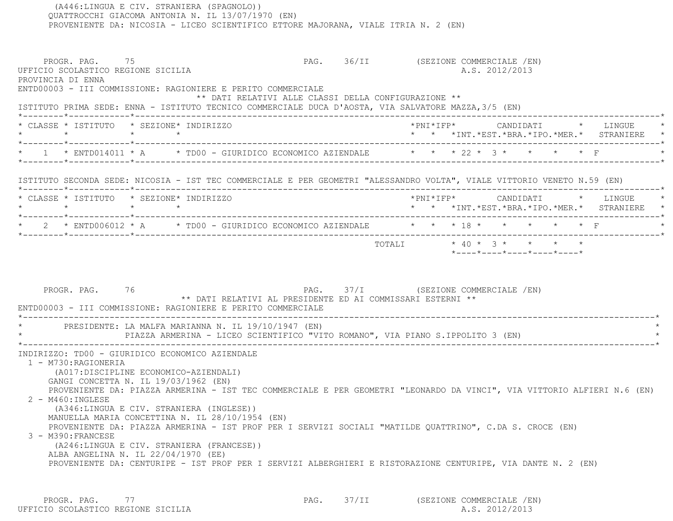QUATTROCCHI GIACOMA ANTONIA N. IL 13/07/1970 (EN) PROVENIENTE DA: NICOSIA - LICEO SCIENTIFICO ETTORE MAJORANA, VIALE ITRIA N. 2 (EN) PROGR. PAG. 75 2001 12 PAG. 36/II (SEZIONE COMMERCIALE / EN) UFFICIO SCOLASTICO REGIONE SICILIA A.S. 2012/2013 PROVINCIA DI ENNA ENTD00003 - III COMMISSIONE: RAGIONIERE E PERITO COMMERCIALE \*\* DATI RELATIVI ALLE CLASSI DELLA CONFIGURAZIONE \*\* ISTITUTO PRIMA SEDE: ENNA - ISTITUTO TECNICO COMMERCIALE DUCA D'AOSTA, VIA SALVATORE MAZZA,3/5 (EN) \*--------\*------------\*-------------------------------------------------------------------------------------------------------\* \* CLASSE \* ISTITUTO \* SEZIONE\* INDIRIZZO \*PNI\*IFP\* CANDIDATI \* LINGUE \* \* \* \* \* \* \* \*INT.\*EST.\*BRA.\*IPO.\*MER.\* STRANIERE \* \*--------\*------------\*-------------------------------------------------------------------------------------------------------\* \* 1 \* ENTD014011 \* A \* TD00 - GIURIDICO ECONOMICO AZIENDALE \* \* \* 22 \* 3 \* \* \* \* F \* \*--------\*------------\*-------------------------------------------------------------------------------------------------------\* ISTITUTO SECONDA SEDE: NICOSIA - IST TEC COMMERCIALE E PER GEOMETRI "ALESSANDRO VOLTA", VIALE VITTORIO VENETO N.59 (EN) \*--------\*------------\*-------------------------------------------------------------------------------------------------------\* \* CLASSE \* ISTITUTO \* SEZIONE\* INDIRIZZO \*PNI\*IFP\* CANDIDATI \* LINGUE \* \* \* \* \* \* \* \*INT.\*EST.\*BRA.\*IPO.\*MER.\* STRANIERE \* \*--------\*------------\*-------------------------------------------------------------------------------------------------------\*\* 2 \* ENTD006012 \* A \* TD00 - GIURIDICO ECONOMICO AZIENDALE \* \* \* 18 \* \* \* \* \* \* F \*--------\*------------\*-------------------------------------------------------------------------------------------------------\*TOTALI  $* 40 * 3 * * * * * * *$  \*----\*----\*----\*----\*----\*PROGR. PAG. 76 76 PAG. 37/I (SEZIONE COMMERCIALE /EN) \*\* DATI RELATIVI AL PRESIDENTE ED AI COMMISSARI ESTERNI \*\* ENTD00003 - III COMMISSIONE: RAGIONIERE E PERITO COMMERCIALE \*----------------------------------------------------------------------------------------------------------------------------\*PRESIDENTE: LA MALFA MARIANNA N. IL 19/10/1947 (EN) PIAZZA ARMERINA - LICEO SCIENTIFICO "VITO ROMANO", VIA PIANO S.IPPOLITO 3 (EN) \*----------------------------------------------------------------------------------------------------------------------------\* INDIRIZZO: TD00 - GIURIDICO ECONOMICO AZIENDALE 1 - M730:RAGIONERIA (A017:DISCIPLINE ECONOMICO-AZIENDALI) GANGI CONCETTA N. IL 19/03/1962 (EN) PROVENIENTE DA: PIAZZA ARMERINA - IST TEC COMMERCIALE E PER GEOMETRI "LEONARDO DA VINCI", VIA VITTORIO ALFIERI N.6 (EN) 2 - M460:INGLESE (A346:LINGUA E CIV. STRANIERA (INGLESE)) MANUELLA MARIA CONCETTINA N. IL 28/10/1954 (EN) PROVENIENTE DA: PIAZZA ARMERINA - IST PROF PER I SERVIZI SOCIALI "MATILDE QUATTRINO", C.DA S. CROCE (EN) 3 - M390:FRANCESE (A246:LINGUA E CIV. STRANIERA (FRANCESE)) ALBA ANGELINA N. IL 22/04/1970 (EE) PROVENIENTE DA: CENTURIPE - IST PROF PER I SERVIZI ALBERGHIERI E RISTORAZIONE CENTURIPE, VIA DANTE N. 2 (EN)

PROGR. PAG. 77 PAG. 97/II (SEZIONE COMMERCIALE /EN) UFFICIO SCOLASTICO REGIONE SICILIA A.S. 2012/2013

(A446:LINGUA E CIV. STRANIERA (SPAGNOLO))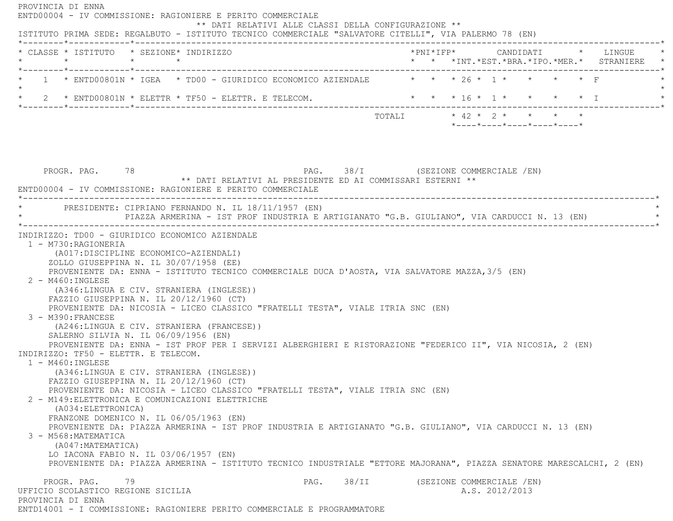PROVINCIA DI ENNA ENTD00004 - IV COMMISSIONE: RAGIONIERE E PERITO COMMERCIALE \*\* DATI RELATIVI ALLE CLASSI DELLA CONFIGURAZIONE \*\* ISTITUTO PRIMA SEDE: REGALBUTO - ISTITUTO TECNICO COMMERCIALE "SALVATORE CITELLI", VIA PALERMO 78 (EN) \*--------\*------------\*-------------------------------------------------------------------------------------------------------\* \* CLASSE \* ISTITUTO \* SEZIONE\* INDIRIZZO \*PNI\*IFP\* CANDIDATI \* LINGUE \* \* \* \* \* \* \* \*INT.\*EST.\*BRA.\*IPO.\*MER.\* STRANIERE \* \*--------\*------------\*-------------------------------------------------------------------------------------------------------\*1 \* ENTD00801N \* IGEA \* TD00 - GIURIDICO ECONOMICO AZIENDALE \* \* \* 26 \* 1 \* \* \* \* \* F  $\star$ 2 \* ENTD00801N \* ELETTR \* TF50 - ELETTR. E TELECOM. \* \* \* \* \* \* \* \* \* \* \* \* \* \* \* I \*--------\*------------\*-------------------------------------------------------------------------------------------------------\*TOTALI  $\star$  42  $\star$  2  $\star$   $\star$   $\star$   $\star$  \*----\*----\*----\*----\*----\*PROGR. PAG. 78 78 PAG. PAG. 38/I (SEZIONE COMMERCIALE /EN) \*\* DATI RELATIVI AL PRESIDENTE ED AI COMMISSARI ESTERNI \*\* ENTD00004 - IV COMMISSIONE: RAGIONIERE E PERITO COMMERCIALE \*----------------------------------------------------------------------------------------------------------------------------\*PRESIDENTE: CIPRIANO FERNANDO N. IL 18/11/1957 (EN) PIAZZA ARMERINA - IST PROF INDUSTRIA E ARTIGIANATO "G.B. GIULIANO", VIA CARDUCCI N. 13 (EN) \*----------------------------------------------------------------------------------------------------------------------------\* INDIRIZZO: TD00 - GIURIDICO ECONOMICO AZIENDALE 1 - M730:RAGIONERIA (A017:DISCIPLINE ECONOMICO-AZIENDALI) ZOLLO GIUSEPPINA N. IL 30/07/1958 (EE) PROVENIENTE DA: ENNA - ISTITUTO TECNICO COMMERCIALE DUCA D'AOSTA, VIA SALVATORE MAZZA,3/5 (EN) 2 - M460:INGLESE (A346:LINGUA E CIV. STRANIERA (INGLESE)) FAZZIO GIUSEPPINA N. IL 20/12/1960 (CT) PROVENIENTE DA: NICOSIA - LICEO CLASSICO "FRATELLI TESTA", VIALE ITRIA SNC (EN) 3 - M390:FRANCESE (A246:LINGUA E CIV. STRANIERA (FRANCESE)) SALERNO SILVIA N. IL 06/09/1956 (EN) PROVENIENTE DA: ENNA - IST PROF PER I SERVIZI ALBERGHIERI E RISTORAZIONE "FEDERICO II", VIA NICOSIA, 2 (EN) INDIRIZZO: TF50 - ELETTR. E TELECOM. 1 - M460:INGLESE (A346:LINGUA E CIV. STRANIERA (INGLESE)) FAZZIO GIUSEPPINA N. IL 20/12/1960 (CT) PROVENIENTE DA: NICOSIA - LICEO CLASSICO "FRATELLI TESTA", VIALE ITRIA SNC (EN) 2 - M149:ELETTRONICA E COMUNICAZIONI ELETTRICHE (A034:ELETTRONICA) FRANZONE DOMENICO N. IL 06/05/1963 (EN) PROVENIENTE DA: PIAZZA ARMERINA - IST PROF INDUSTRIA E ARTIGIANATO "G.B. GIULIANO", VIA CARDUCCI N. 13 (EN) 3 - M568:MATEMATICA (A047:MATEMATICA) LO IACONA FABIO N. IL 03/06/1957 (EN) PROVENIENTE DA: PIAZZA ARMERINA - ISTITUTO TECNICO INDUSTRIALE "ETTORE MAJORANA", PIAZZA SENATORE MARESCALCHI, 2 (EN) PROGR. PAG. 79 THE PAG. 38/II (SEZIONE COMMERCIALE /EN) UFFICIO SCOLASTICO REGIONE SICILIA A.S. 2012/2013 PROVINCIA DI ENNAENTD14001 - I COMMISSIONE: RAGIONIERE PERITO COMMERCIALE E PROGRAMMATORE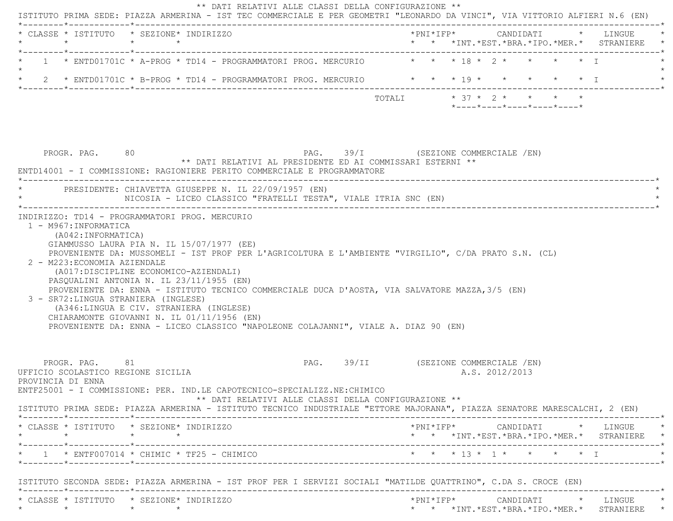|                                                                           | * CLASSE * ISTITUTO * SEZIONE* INDIRIZZO                                                                                                                                                                                                                                                                                   |        |                                                                                                      |  |
|---------------------------------------------------------------------------|----------------------------------------------------------------------------------------------------------------------------------------------------------------------------------------------------------------------------------------------------------------------------------------------------------------------------|--------|------------------------------------------------------------------------------------------------------|--|
|                                                                           | 1 * ENTD01701C * A-PROG * TD14 - PROGRAMMATORI PROG. MERCURIO * * * 18 * 2 * * * * * * T                                                                                                                                                                                                                                   |        |                                                                                                      |  |
|                                                                           | 2 * ENTD01701C * B-PROG * TD14 - PROGRAMMATORI PROG. MERCURIO * * * * 19 * * * * * * * *                                                                                                                                                                                                                                   |        |                                                                                                      |  |
|                                                                           |                                                                                                                                                                                                                                                                                                                            | TOTALI | $* 37 * 2 * * * * * * *$<br>$*$ ---- $*$ ---- $*$ ---- $*$ ---- $*$ ---- $*$                         |  |
| PROGR. PAG. 80                                                            | ** DATI RELATIVI AL PRESIDENTE ED AI COMMISSARI ESTERNI **<br>ENTD14001 - I COMMISSIONE: RAGIONIERE PERITO COMMERCIALE E PROGRAMMATORE                                                                                                                                                                                     |        | PAG. 39/I (SEZIONE COMMERCIALE /EN)                                                                  |  |
|                                                                           | PRESIDENTE: CHIAVETTA GIUSEPPE N. IL 22/09/1957 (EN)<br>NICOSIA - LICEO CLASSICO "FRATELLI TESTA", VIALE ITRIA SNC (EN)                                                                                                                                                                                                    |        |                                                                                                      |  |
| 2 - M223: ECONOMIA AZIENDALE                                              | (A017:DISCIPLINE ECONOMICO-AZIENDALI)                                                                                                                                                                                                                                                                                      |        | PROVENIENTE DA: MUSSOMELI - IST PROF PER L'AGRICOLTURA E L'AMBIENTE "VIRGILIO", C/DA PRATO S.N. (CL) |  |
| 3 - SR72: LINGUA STRANIERA (INGLESE)                                      | PASQUALINI ANTONIA N. IL 23/11/1955 (EN)<br>PROVENIENTE DA: ENNA - ISTITUTO TECNICO COMMERCIALE DUCA D'AOSTA, VIA SALVATORE MAZZA, 3/5 (EN)<br>(A346:LINGUA E CIV. STRANIERA (INGLESE)<br>CHIARAMONTE GIOVANNI N. IL 01/11/1956 (EN)<br>PROVENIENTE DA: ENNA - LICEO CLASSICO "NAPOLEONE COLAJANNI", VIALE A. DIAZ 90 (EN) |        |                                                                                                      |  |
| PROGR, PAG, 81<br>UFFICIO SCOLASTICO REGIONE SICILIA<br>PROVINCIA DI ENNA | ENTF25001 - I COMMISSIONE: PER. IND.LE CAPOTECNICO-SPECIALIZZ.NE:CHIMICO<br>** DATI RELATIVI ALLE CLASSI DELLA CONFIGURAZIONE **                                                                                                                                                                                           |        | PAG. 39/II (SEZIONE COMMERCIALE /EN)<br>A.S. 2012/2013                                               |  |
| $\star$                                                                   | ISTITUTO PRIMA SEDE: PIAZZA ARMERINA - ISTITUTO TECNICO INDUSTRIALE "ETTORE MAJORANA", PIAZZA SENATORE MARESCALCHI, 2 (EN)<br>* CLASSE * ISTITUTO * SEZIONE* INDIRIZZO<br>$\star$ $\star$                                                                                                                                  |        | * * *INT.*EST.*BRA.*IPO.*MER.* STRANIERE *                                                           |  |
|                                                                           | $*$ 1 $*$ ENTF007014 $*$ CHIMIC $*$ TF25 - CHIMICO                                                                                                                                                                                                                                                                         |        | * * * 13 * 1 * * * * * I                                                                             |  |
|                                                                           | ISTITUTO SECONDA SEDE: PIAZZA ARMERINA - IST PROF PER I SERVIZI SOCIALI "MATILDE QUATTRINO", C.DA S. CROCE (EN)                                                                                                                                                                                                            |        |                                                                                                      |  |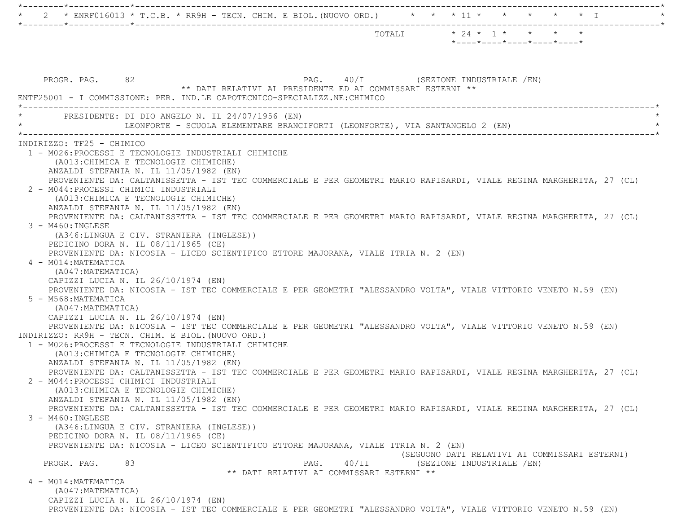|                                                                                 | $*$ ---- $*$ ---- $*$ ---- $*$ ---- $*$ ---- $*$                                                                     |
|---------------------------------------------------------------------------------|----------------------------------------------------------------------------------------------------------------------|
|                                                                                 |                                                                                                                      |
| PROGR. PAG. 82                                                                  | PAG. 40/I (SEZIONE INDUSTRIALE /EN)                                                                                  |
| ENTF25001 - I COMMISSIONE: PER. IND.LE CAPOTECNICO-SPECIALIZZ.NE: CHIMICO       | ** DATI RELATIVI AL PRESIDENTE ED AI COMMISSARI ESTERNI **                                                           |
| PRESIDENTE: DI DIO ANGELO N. IL 24/07/1956 (EN)                                 | LEONFORTE - SCUOLA ELEMENTARE BRANCIFORTI (LEONFORTE), VIA SANTANGELO 2 (EN)                                         |
| INDIRIZZO: TF25 - CHIMICO                                                       |                                                                                                                      |
| 1 - M026: PROCESSI E TECNOLOGIE INDUSTRIALI CHIMICHE                            |                                                                                                                      |
| (A013: CHIMICA E TECNOLOGIE CHIMICHE)                                           |                                                                                                                      |
| ANZALDI STEFANIA N. IL 11/05/1982 (EN)                                          |                                                                                                                      |
|                                                                                 | PROVENIENTE DA: CALTANISSETTA - IST TEC COMMERCIALE E PER GEOMETRI MARIO RAPISARDI, VIALE REGINA MARGHERITA, 27 (CL) |
| 2 - M044: PROCESSI CHIMICI INDUSTRIALI<br>(A013: CHIMICA E TECNOLOGIE CHIMICHE) |                                                                                                                      |
| ANZALDI STEFANIA N. IL 11/05/1982 (EN)                                          |                                                                                                                      |
|                                                                                 | PROVENIENTE DA: CALTANISSETTA - IST TEC COMMERCIALE E PER GEOMETRI MARIO RAPISARDI, VIALE REGINA MARGHERITA, 27 (CL) |
| $3 - M460: INGLESE$                                                             |                                                                                                                      |
| (A346:LINGUA E CIV. STRANIERA (INGLESE))                                        |                                                                                                                      |
| PEDICINO DORA N. IL 08/11/1965 (CE)                                             |                                                                                                                      |
|                                                                                 | PROVENIENTE DA: NICOSIA - LICEO SCIENTIFICO ETTORE MAJORANA, VIALE ITRIA N. 2 (EN)                                   |
| 4 - M014: MATEMATICA                                                            |                                                                                                                      |
| (A047: MATEMATICA)                                                              |                                                                                                                      |
| CAPIZZI LUCIA N. IL 26/10/1974 (EN)                                             |                                                                                                                      |
|                                                                                 | PROVENIENTE DA: NICOSIA - IST TEC COMMERCIALE E PER GEOMETRI "ALESSANDRO VOLTA", VIALE VITTORIO VENETO N.59 (EN)     |
| 5 - M568: MATEMATICA                                                            |                                                                                                                      |
| (A047: MATEMATICA)                                                              |                                                                                                                      |
| CAPIZZI LUCIA N. IL 26/10/1974 (EN)                                             | PROVENIENTE DA: NICOSIA - IST TEC COMMERCIALE E PER GEOMETRI "ALESSANDRO VOLTA", VIALE VITTORIO VENETO N.59 (EN)     |
| INDIRIZZO: RR9H - TECN. CHIM. E BIOL. (NUOVO ORD.)                              |                                                                                                                      |
| 1 - M026: PROCESSI E TECNOLOGIE INDUSTRIALI CHIMICHE                            |                                                                                                                      |
| (A013: CHIMICA E TECNOLOGIE CHIMICHE)                                           |                                                                                                                      |
| ANZALDI STEFANIA N. IL 11/05/1982 (EN)                                          |                                                                                                                      |
|                                                                                 | PROVENIENTE DA: CALTANISSETTA - IST TEC COMMERCIALE E PER GEOMETRI MARIO RAPISARDI, VIALE REGINA MARGHERITA, 27 (CL) |
| 2 - M044: PROCESSI CHIMICI INDUSTRIALI                                          |                                                                                                                      |
| (A013: CHIMICA E TECNOLOGIE CHIMICHE)                                           |                                                                                                                      |
| ANZALDI STEFANIA N. IL 11/05/1982 (EN)                                          |                                                                                                                      |
|                                                                                 | PROVENIENTE DA: CALTANISSETTA - IST TEC COMMERCIALE E PER GEOMETRI MARIO RAPISARDI, VIALE REGINA MARGHERITA, 27 (CL) |
| 3 - M460: INGLESE                                                               |                                                                                                                      |
| (A346:LINGUA E CIV. STRANIERA (INGLESE))                                        |                                                                                                                      |
| PEDICINO DORA N. IL 08/11/1965 (CE)                                             | PROVENIENTE DA: NICOSIA - LICEO SCIENTIFICO ETTORE MAJORANA, VIALE ITRIA N. 2 (EN)                                   |
|                                                                                 | (SEGUONO DATI RELATIVI AI COMMISSARI ESTERNI)                                                                        |
| PROGR. PAG.<br>83                                                               | 40/II<br>PAG.<br>(SEZIONE INDUSTRIALE / EN)                                                                          |
|                                                                                 | ** DATI RELATIVI AI COMMISSARI ESTERNI **                                                                            |
| 4 - M014: MATEMATICA                                                            |                                                                                                                      |
| (A047: MATEMATICA)                                                              |                                                                                                                      |
| CAPIZZI LUCIA N. IL 26/10/1974 (EN)                                             |                                                                                                                      |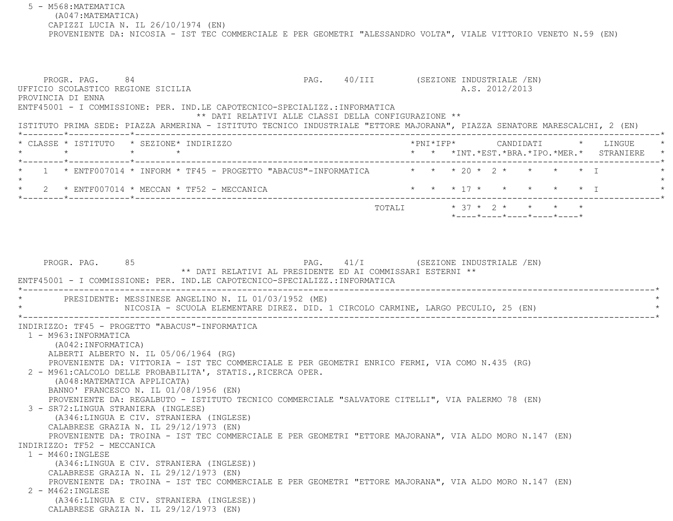5 - M568:MATEMATICA (A047:MATEMATICA) CAPIZZI LUCIA N. IL 26/10/1974 (EN) PROVENIENTE DA: NICOSIA - IST TEC COMMERCIALE E PER GEOMETRI "ALESSANDRO VOLTA", VIALE VITTORIO VENETO N.59 (EN)

PROGR. PAG. 84 84 PAG. 40/III (SEZIONE INDUSTRIALE /EN) UFFICIO SCOLASTICO REGIONE SICILIA A.S. 2012/2013 PROVINCIA DI ENNA ENTF45001 - I COMMISSIONE: PER. IND.LE CAPOTECNICO-SPECIALIZZ.:INFORMATICA \*\* DATI RELATIVI ALLE CLASSI DELLA CONFIGURAZIONE \*\* ISTITUTO PRIMA SEDE: PIAZZA ARMERINA - ISTITUTO TECNICO INDUSTRIALE "ETTORE MAJORANA", PIAZZA SENATORE MARESCALCHI, 2 (EN) \*--------\*------------\*-------------------------------------------------------------------------------------------------------\* \* CLASSE \* ISTITUTO \* SEZIONE\* INDIRIZZO \*PNI\*IFP\* CANDIDATI \* LINGUE \* \* \* \* \* \* \* \*INT.\*EST.\*BRA.\*IPO.\*MER.\* STRANIERE \* \*--------\*------------\*-------------------------------------------------------------------------------------------------------\* $1 *$  ENTF007014 \* INFORM \* TF45 - PROGETTO "ABACUS"-INFORMATICA  $* * * 20 * 2 * * * * * 1$  $\star$ \* 2 \* ENTF007014 \* MECCAN \* TF52 - MECCANICA \* \* \* \* \* \* \* \* \* \* \* \* \* \* \* \* T \*--------\*------------\*-------------------------------------------------------------------------------------------------------\*TOTALI \* 37 \* 2 \* \* \* \* \* \*----\*----\*----\*----\*----\*

PROGR. PAG. 85 88 PAG. Al/I (SEZIONE INDUSTRIALE /EN) \*\* DATI RELATIVI AL PRESIDENTE ED AI COMMISSARI ESTERNI \*\* ENTF45001 - I COMMISSIONE: PER. IND.LE CAPOTECNICO-SPECIALIZZ.:INFORMATICA \*----------------------------------------------------------------------------------------------------------------------------\*PRESIDENTE: MESSINESE ANGELINO N. IL 01/03/1952 (ME) NICOSIA - SCUOLA ELEMENTARE DIREZ. DID. 1 CIRCOLO CARMINE, LARGO PECULIO, 25 (EN) \*----------------------------------------------------------------------------------------------------------------------------\* INDIRIZZO: TF45 - PROGETTO "ABACUS"-INFORMATICA 1 - M963:INFORMATICA (A042:INFORMATICA) ALBERTI ALBERTO N. IL 05/06/1964 (RG) PROVENIENTE DA: VITTORIA - IST TEC COMMERCIALE E PER GEOMETRI ENRICO FERMI, VIA COMO N.435 (RG) 2 - M961:CALCOLO DELLE PROBABILITA', STATIS.,RICERCA OPER. (A048:MATEMATICA APPLICATA) BANNO' FRANCESCO N. IL 01/08/1956 (EN) PROVENIENTE DA: REGALBUTO - ISTITUTO TECNICO COMMERCIALE "SALVATORE CITELLI", VIA PALERMO 78 (EN) 3 - SR72:LINGUA STRANIERA (INGLESE) (A346:LINGUA E CIV. STRANIERA (INGLESE) CALABRESE GRAZIA N. IL 29/12/1973 (EN) PROVENIENTE DA: TROINA - IST TEC COMMERCIALE E PER GEOMETRI "ETTORE MAJORANA", VIA ALDO MORO N.147 (EN) INDIRIZZO: TF52 - MECCANICA 1 - M460:INGLESE (A346:LINGUA E CIV. STRANIERA (INGLESE)) CALABRESE GRAZIA N. IL 29/12/1973 (EN) PROVENIENTE DA: TROINA - IST TEC COMMERCIALE E PER GEOMETRI "ETTORE MAJORANA", VIA ALDO MORO N.147 (EN) 2 - M462:INGLESE (A346:LINGUA E CIV. STRANIERA (INGLESE)) CALABRESE GRAZIA N. IL 29/12/1973 (EN)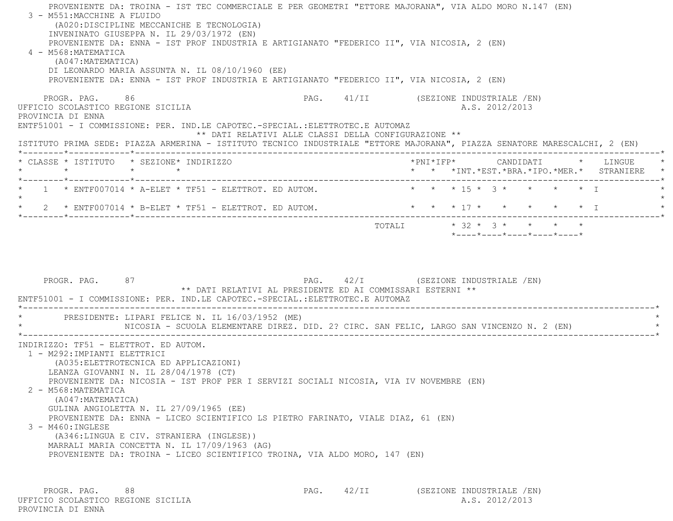PROVENIENTE DA: TROINA - IST TEC COMMERCIALE E PER GEOMETRI "ETTORE MAJORANA", VIA ALDO MORO N.147 (EN) 3 - M551:MACCHINE A FLUIDO (A020:DISCIPLINE MECCANICHE E TECNOLOGIA) INVENINATO GIUSEPPA N. IL 29/03/1972 (EN) PROVENIENTE DA: ENNA - IST PROF INDUSTRIA E ARTIGIANATO "FEDERICO II", VIA NICOSIA, 2 (EN) 4 - M568:MATEMATICA (A047:MATEMATICA) DI LEONARDO MARIA ASSUNTA N. IL 08/10/1960 (EE) PROVENIENTE DA: ENNA - IST PROF INDUSTRIA E ARTIGIANATO "FEDERICO II", VIA NICOSIA, 2 (EN) PROGR. PAG. 86 PAG. 41/II (SEZIONE INDUSTRIALE /EN) UFFICIO SCOLASTICO REGIONE SICILIA A.S. 2012/2013 PROVINCIA DI ENNA ENTF51001 - I COMMISSIONE: PER. IND.LE CAPOTEC.-SPECIAL.:ELETTROTEC.E AUTOMAZ \*\* DATI RELATIVI ALLE CLASSI DELLA CONFIGURAZIONE \*\* ISTITUTO PRIMA SEDE: PIAZZA ARMERINA - ISTITUTO TECNICO INDUSTRIALE "ETTORE MAJORANA", PIAZZA SENATORE MARESCALCHI, 2 (EN) \*--------\*------------\*-------------------------------------------------------------------------------------------------------\* \* CLASSE \* ISTITUTO \* SEZIONE\* INDIRIZZO \*PNI\*IFP\* CANDIDATI \* LINGUE \* \* \* \* \* \* \* \*INT.\*EST.\*BRA.\*IPO.\*MER.\* STRANIERE \* \*--------\*------------\*-------------------------------------------------------------------------------------------------------\* \* 1 \* ENTF007014 \* A-ELET \* TF51 - ELETTROT. ED AUTOM. \* \* \* 15 \* 3 \* \* \* \* I \* $\star$  \* 2 \* ENTF007014 \* B-ELET \* TF51 - ELETTROT. ED AUTOM. \* \* \* 17 \* \* \* \* \* I \* \*--------\*------------\*-------------------------------------------------------------------------------------------------------\* TOTALI \* 32 \* 3 \* \* \* \* \*----\*----\*----\*----\*----\*PROGR. PAG. 87 87 PAG. PAG. 42/I (SEZIONE INDUSTRIALE /EN) \*\* DATI RELATIVI AL PRESIDENTE ED AI COMMISSARI ESTERNI \*\* ENTF51001 - I COMMISSIONE: PER. IND.LE CAPOTEC.-SPECIAL.:ELETTROTEC.E AUTOMAZ \*----------------------------------------------------------------------------------------------------------------------------\* \* PRESIDENTE: LIPARI FELICE N. IL 16/03/1952 (ME) \* NICOSIA - SCUOLA ELEMENTARE DIREZ. DID. 2? CIRC. SAN FELIC, LARGO SAN VINCENZO N. 2 (EN) \*----------------------------------------------------------------------------------------------------------------------------\* INDIRIZZO: TF51 - ELETTROT. ED AUTOM. 1 - M292:IMPIANTI ELETTRICI(A035:ELETTROTECNICA ED APPLICAZIONI)

LEANZA GIOVANNI N. IL 28/04/1978 (CT)

PROVENIENTE DA: NICOSIA - IST PROF PER I SERVIZI SOCIALI NICOSIA, VIA IV NOVEMBRE (EN)

2 - M568:MATEMATICA

(A047:MATEMATICA)

GULINA ANGIOLETTA N. IL 27/09/1965 (EE)

PROVENIENTE DA: ENNA - LICEO SCIENTIFICO LS PIETRO FARINATO, VIALE DIAZ, 61 (EN)

3 - M460:INGLESE

 (A346:LINGUA E CIV. STRANIERA (INGLESE)) MARRALI MARIA CONCETTA N. IL 17/09/1963 (AG) PROVENIENTE DA: TROINA - LICEO SCIENTIFICO TROINA, VIA ALDO MORO, 147 (EN)

PROGR. PAG. 88 88 PAG. 42/II (SEZIONE INDUSTRIALE /EN) UFFICIO SCOLASTICO REGIONE SICILIA A.S. 2012/2013 PROVINCIA DI ENNA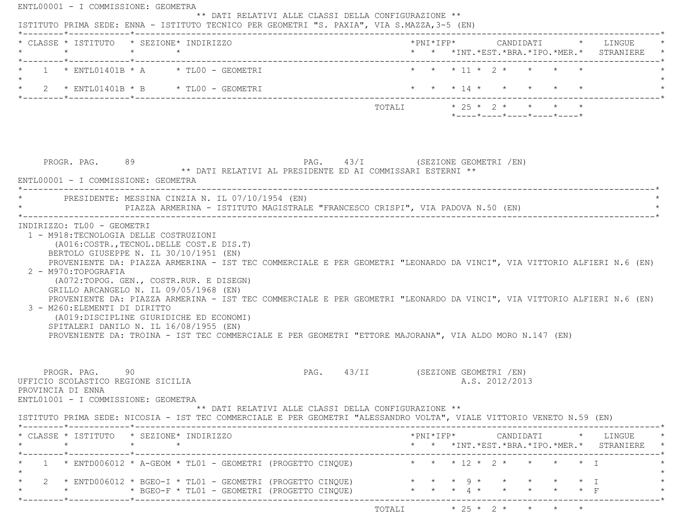|                   | * CLASSE * ISTITUTO * SEZIONE* INDIRIZZO                                                                                                                                                                                                                                                                                                                                                                                                      |                 |  |  |                                                                                                |  |  |                |                                                                 |  | *PNI*IFP*     CANDIDATI    *   LINGUE                                                           |
|-------------------|-----------------------------------------------------------------------------------------------------------------------------------------------------------------------------------------------------------------------------------------------------------------------------------------------------------------------------------------------------------------------------------------------------------------------------------------------|-----------------|--|--|------------------------------------------------------------------------------------------------|--|--|----------------|-----------------------------------------------------------------|--|-------------------------------------------------------------------------------------------------|
|                   | $1 \times$ ENTL01401B $\star$ A $\star$ TL00 - GEOMETRI                                                                                                                                                                                                                                                                                                                                                                                       |                 |  |  |                                                                                                |  |  |                | * * * 11 * 2 * * * * *                                          |  |                                                                                                 |
|                   | * 2 * ENTL01401B * B * TL00 - GEOMETRI                                                                                                                                                                                                                                                                                                                                                                                                        |                 |  |  |                                                                                                |  |  |                | * * * 14 * * * * * *                                            |  |                                                                                                 |
|                   |                                                                                                                                                                                                                                                                                                                                                                                                                                               |                 |  |  | TOTALI * 25 * 2 * * * * *                                                                      |  |  |                | $*$ - - - - $*$ - - - - $*$ - - - - $*$ - - - - $*$ - - - - $*$ |  |                                                                                                 |
|                   | PROGR. PAG. 89                                                                                                                                                                                                                                                                                                                                                                                                                                |                 |  |  | PAG. 43/I (SEZIONE GEOMETRI /EN)<br>** DATI RELATIVI AL PRESIDENTE ED AI COMMISSARI ESTERNI ** |  |  |                |                                                                 |  |                                                                                                 |
|                   | ENTL00001 - I COMMISSIONE: GEOMETRA                                                                                                                                                                                                                                                                                                                                                                                                           |                 |  |  |                                                                                                |  |  |                |                                                                 |  |                                                                                                 |
|                   | PRESIDENTE: MESSINA CINZIA N. IL 07/10/1954 (EN)                                                                                                                                                                                                                                                                                                                                                                                              |                 |  |  |                                                                                                |  |  |                |                                                                 |  |                                                                                                 |
|                   | PIAZZA ARMERINA - ISTITUTO MAGISTRALE "FRANCESCO CRISPI", VIA PADOVA N.50 (EN)                                                                                                                                                                                                                                                                                                                                                                |                 |  |  |                                                                                                |  |  |                |                                                                 |  |                                                                                                 |
|                   | INDIRIZZO: TLOO - GEOMETRI<br>1 - M918: TECNOLOGIA DELLE COSTRUZIONI<br>(A016: COSTR., TECNOL. DELLE COST. E DIS. T)<br>BERTOLO GIUSEPPE N. IL 30/10/1951 (EN)<br>PROVENIENTE DA: PIAZZA ARMERINA - IST TEC COMMERCIALE E PER GEOMETRI "LEONARDO DA VINCI", VIA VITTORIO ALFIERI N.6 (EN)<br>2 - M970:TOPOGRAFIA                                                                                                                              |                 |  |  |                                                                                                |  |  |                |                                                                 |  |                                                                                                 |
|                   | (A072:TOPOG. GEN., COSTR.RUR. E DISEGN)<br>GRILLO ARCANGELO N. IL 09/05/1968 (EN)<br>PROVENIENTE DA: PIAZZA ARMERINA - IST TEC COMMERCIALE E PER GEOMETRI "LEONARDO DA VINCI", VIA VITTORIO ALFIERI N.6 (EN)<br>3 - M260: ELEMENTI DI DIRITTO<br>(A019:DISCIPLINE GIURIDICHE ED ECONOMI)<br>SPITALERI DANILO N. IL 16/08/1955 (EN)<br>PROVENIENTE DA: TROINA - IST TEC COMMERCIALE E PER GEOMETRI "ETTORE MAJORANA", VIA ALDO MORO N.147 (EN) |                 |  |  |                                                                                                |  |  |                |                                                                 |  |                                                                                                 |
|                   | PROGR. PAG. 90<br>UFFICIO SCOLASTICO REGIONE SICILIA<br>ENTL01001 - I COMMISSIONE: GEOMETRA<br>ISTITUTO PRIMA SEDE: NICOSIA - IST TEC COMMERCIALE E PER GEOMETRI "ALESSANDRO VOLTA", VIALE VITTORIO VENETO N.59 (EN)                                                                                                                                                                                                                          |                 |  |  | PAG. 43/II (SEZIONE GEOMETRI / EN)<br>** DATI RELATIVI ALLE CLASSI DELLA CONFIGURAZIONE **     |  |  | A.S. 2012/2013 |                                                                 |  |                                                                                                 |
| $\star$           | * CLASSE * ISTITUTO * SEZIONE* INDIRIZZO                                                                                                                                                                                                                                                                                                                                                                                                      | $\star$ $\star$ |  |  |                                                                                                |  |  |                |                                                                 |  | $*$ PNI $*$ IFP $*$ CANDIDATI $*$ LINGUE $*$<br>* * *INT. *EST. *BRA. *IPO. *MER. * STRANIERE * |
|                   | 1 * ENTD006012 * A-GEOM * TL01 - GEOMETRI (PROGETTO CINQUE) * * * * 12 * 2 * * * * * * T                                                                                                                                                                                                                                                                                                                                                      |                 |  |  |                                                                                                |  |  |                |                                                                 |  |                                                                                                 |
| PROVINCIA DI ENNA | 2 * ENTD006012 * BGEO-I * TL01 - GEOMETRI (PROGETTO CINQUE) * * * * 9 * * * * * * * I                                                                                                                                                                                                                                                                                                                                                         |                 |  |  |                                                                                                |  |  |                |                                                                 |  |                                                                                                 |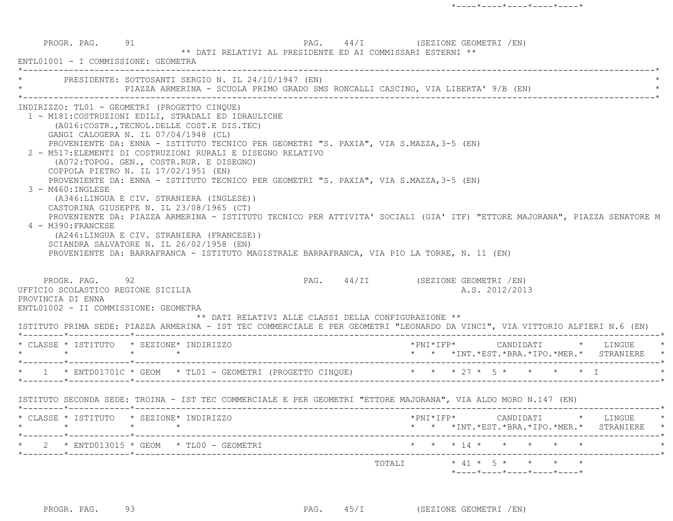|                                                                                                                    | PRESIDENTE: SOTTOSANTI SERGIO N. IL 24/10/1947 (EN)<br>PIAZZA ARMERINA - SCUOLA PRIMO GRADO SMS RONCALLI CASCINO, VIA LIBERTA' 9/B (EN)                                                                                                                                                                                                                                                                                                                                                                                                                                                                                                                                   |                                                                                                                                                                                                          |
|--------------------------------------------------------------------------------------------------------------------|---------------------------------------------------------------------------------------------------------------------------------------------------------------------------------------------------------------------------------------------------------------------------------------------------------------------------------------------------------------------------------------------------------------------------------------------------------------------------------------------------------------------------------------------------------------------------------------------------------------------------------------------------------------------------|----------------------------------------------------------------------------------------------------------------------------------------------------------------------------------------------------------|
| 3 - M460: INGLESE<br>4 - M390: FRANCESE                                                                            | INDIRIZZO: TL01 - GEOMETRI (PROGETTO CINOUE)<br>1 - M181: COSTRUZIONI EDILI, STRADALI ED IDRAULICHE<br>(A016: COSTR., TECNOL. DELLE COST. E DIS. TEC)<br>GANGI CALOGERA N. IL 07/04/1948 (CL)<br>PROVENIENTE DA: ENNA - ISTITUTO TECNICO PER GEOMETRI "S. PAXIA", VIA S.MAZZA, 3-5 (EN)<br>2 - M517: ELEMENTI DI COSTRUZIONI RURALI E DISEGNO RELATIVO<br>(A072:TOPOG. GEN., COSTR.RUR. E DISEGNO)<br>COPPOLA PIETRO N. IL 17/02/1951 (EN)<br>PROVENIENTE DA: ENNA - ISTITUTO TECNICO PER GEOMETRI "S. PAXIA", VIA S.MAZZA, 3-5 (EN)<br>(A346:LINGUA E CIV. STRANIERA (INGLESE))<br>CASTORINA GIUSEPPE N. IL 23/08/1965 (CT)<br>(A246:LINGUA E CIV. STRANIERA (FRANCESE)) | PROVENIENTE DA: PIAZZA ARMERINA - ISTITUTO TECNICO PER ATTIVITA' SOCIALI (GIA' ITF) "ETTORE MAJORANA", PIAZZA SENATORE M                                                                                 |
| PROGR. PAG. 92                                                                                                     | SCIANDRA SALVATORE N. IL 26/02/1958 (EN)<br>PROVENIENTE DA: BARRAFRANCA - ISTITUTO MAGISTRALE BARRAFRANCA, VIA PIO LA TORRE, N. 11 (EN)                                                                                                                                                                                                                                                                                                                                                                                                                                                                                                                                   | PAG. 44/II (SEZIONE GEOMETRI /EN)                                                                                                                                                                        |
|                                                                                                                    | ** DATI RELATIVI ALLE CLASSI DELLA CONFIGURAZIONE **                                                                                                                                                                                                                                                                                                                                                                                                                                                                                                                                                                                                                      | A.S. 2012/2013                                                                                                                                                                                           |
| UFFICIO SCOLASTICO REGIONE SICILIA<br>PROVINCIA DI ENNA<br>ENTL01002 - II COMMISSIONE: GEOMETRA<br>$\star$ $\star$ | * CLASSE * ISTITUTO * SEZIONE* INDIRIZZO<br>$\star$ $\star$                                                                                                                                                                                                                                                                                                                                                                                                                                                                                                                                                                                                               | ISTITUTO PRIMA SEDE: PIAZZA ARMERINA - IST TEC COMMERCIALE E PER GEOMETRI "LEONARDO DA VINCI", VIA VITTORIO ALFIERI N.6 (EN)<br>*PNI*IFP* CANDIDATI * LINGUE<br>* * *INT.*EST.*BRA.*IPO.*MER.* STRANIERE |
|                                                                                                                    | * 1 * ENTD01701C * GEOM * TL01 - GEOMETRI (PROGETTO CINQUE) * * * * 27 * 5 * * * * * * T                                                                                                                                                                                                                                                                                                                                                                                                                                                                                                                                                                                  |                                                                                                                                                                                                          |
|                                                                                                                    | ISTITUTO SECONDA SEDE: TROINA - IST TEC COMMERCIALE E PER GEOMETRI "ETTORE MAJORANA", VIA ALDO MORO N.147 (EN)                                                                                                                                                                                                                                                                                                                                                                                                                                                                                                                                                            |                                                                                                                                                                                                          |
| $\star$ $\star$                                                                                                    | * CLASSE * ISTITUTO * SEZIONE* INDIRIZZO<br>$\star$ $\star$                                                                                                                                                                                                                                                                                                                                                                                                                                                                                                                                                                                                               | *PNI*IFP*     CANDIDATI    *   LINGUE<br>* * *INT.*EST.*BRA.*IPO.*MER.* STRANIERE *                                                                                                                      |